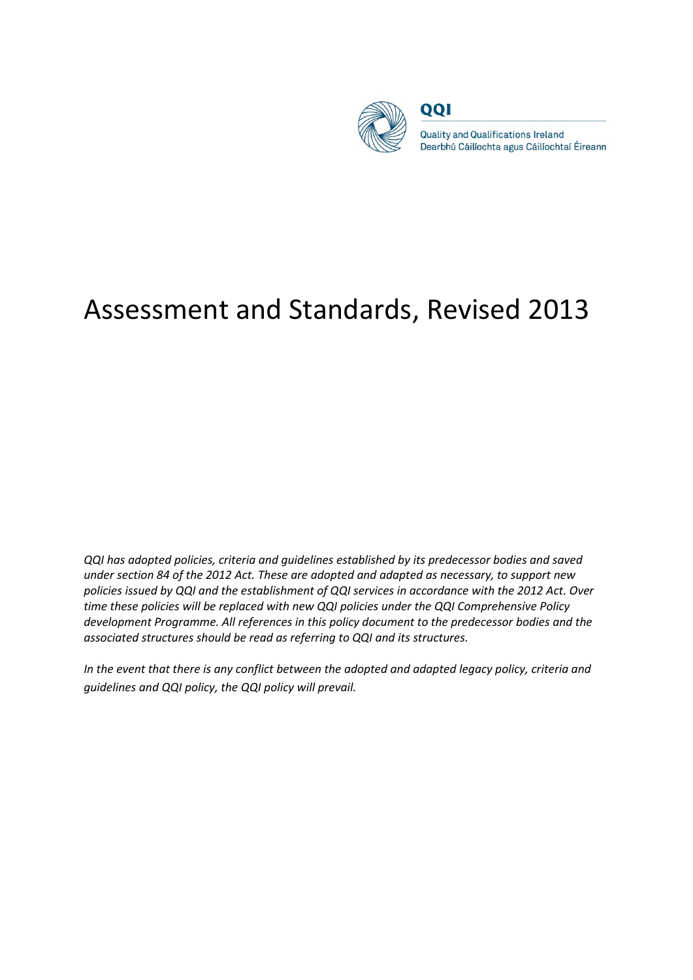

QQI

**Quality and Qualifications Ireland** Dearbhú Cáilíochta agus Cáilíochtaí Éireann

# Assessment and Standards, Revised 2013

*QQI has adopted policies, criteria and guidelines established by its predecessor bodies and saved under section 84 of the 2012 Act. These are adopted and adapted as necessary, to support new policies issued by QQI and the establishment of QQI services in accordance with the 2012 Act. Over time these policies will be replaced with new QQI policies under the QQI Comprehensive Policy development Programme. All references in this policy document to the predecessor bodies and the associated structures should be read as referring to QQI and its structures.* 

*In the event that there is any conflict between the adopted and adapted legacy policy, criteria and guidelines and QQI policy, the QQI policy will prevail.*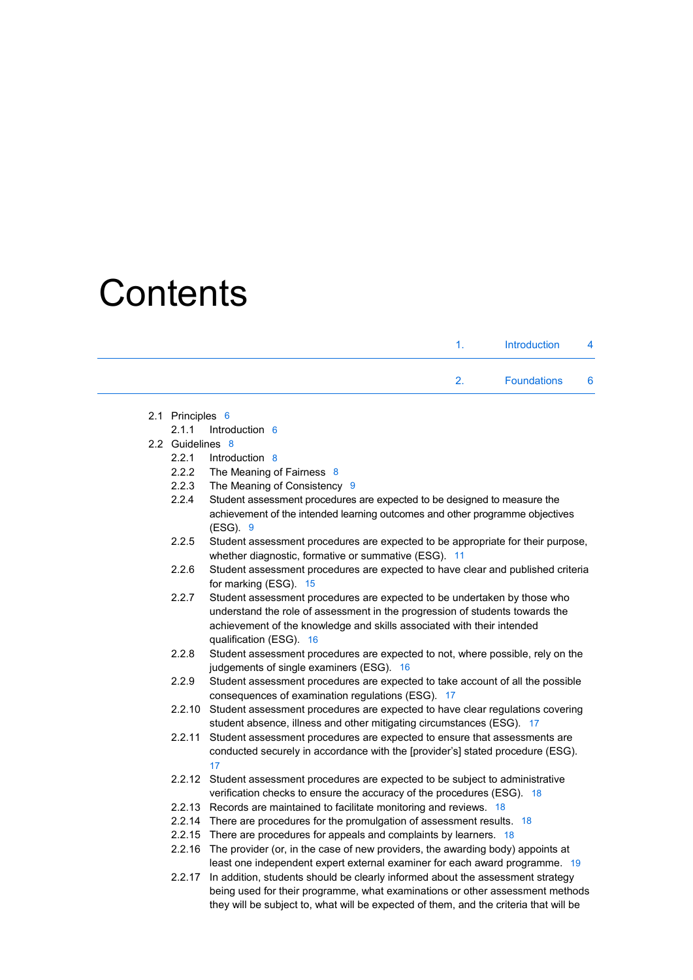# **Contents**

| $\mathbf{1}$ | Introduction 4       |  |
|--------------|----------------------|--|
| $2^{\circ}$  | <b>Foundations</b> 6 |  |

- 2.1 Principles 6
	- 2.1.1 Introduction 6
- 2.2 Guidelines 8
	- 2.2.1 Introduction 8
	- 2.2.2 The Meaning of Fairness 8
	- 2.2.3 The Meaning of Consistency 9
	- 2.2.4 Student assessment procedures are expected to be designed to measure the achievement of the intended learning outcomes and other programme objectives (ESG). 9
	- 2.2.5 Student assessment procedures are expected to be appropriate for their purpose, whether diagnostic, formative or summative (ESG). 11
	- 2.2.6 Student assessment procedures are expected to have clear and published criteria for marking (ESG). 15
	- 2.2.7 Student assessment procedures are expected to be undertaken by those who understand the role of assessment in the progression of students towards the achievement of the knowledge and skills associated with their intended qualification (ESG). 16
	- 2.2.8 Student assessment procedures are expected to not, where possible, rely on the judgements of single examiners (ESG). 16
	- 2.2.9 Student assessment procedures are expected to take account of all the possible consequences of examination regulations (ESG). 17
	- 2.2.10 Student assessment procedures are expected to have clear regulations covering student absence, illness and other mitigating circumstances (ESG). 17
	- 2.2.11 Student assessment procedures are expected to ensure that assessments are conducted securely in accordance with the [provider's] stated procedure (ESG). 17
	- 2.2.12 Student assessment procedures are expected to be subject to administrative verification checks to ensure the accuracy of the procedures (ESG). 18
	- 2.2.13 Records are maintained to facilitate monitoring and reviews. 18
	- 2.2.14 There are procedures for the promulgation of assessment results. 18
	- 2.2.15 There are procedures for appeals and complaints by learners. 18
	- 2.2.16 The provider (or, in the case of new providers, the awarding body) appoints at least one independent expert external examiner for each award programme. 19
	- 2.2.17 In addition, students should be clearly informed about the assessment strategy being used for their programme, what examinations or other assessment methods they will be subject to, what will be expected of them, and the criteria that will be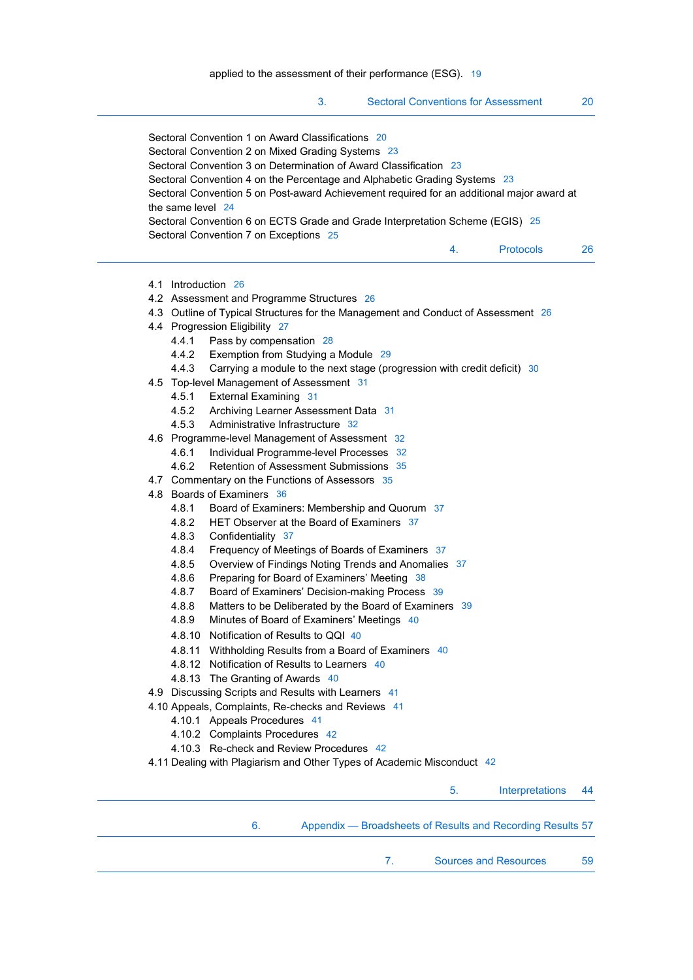|                                                                                                                                                                                                                                                                                                                                                                                                                                                                                                                                                                                                                                                                                                                                                                                                                                                                                                                                                                                                                                                                                                                                                                                                                                                                                                                                                                                                                             | 3.<br><b>Sectoral Conventions for Assessment</b>                                                                                                                                                                                                                                                                                                                                               |    |                  | 20 |
|-----------------------------------------------------------------------------------------------------------------------------------------------------------------------------------------------------------------------------------------------------------------------------------------------------------------------------------------------------------------------------------------------------------------------------------------------------------------------------------------------------------------------------------------------------------------------------------------------------------------------------------------------------------------------------------------------------------------------------------------------------------------------------------------------------------------------------------------------------------------------------------------------------------------------------------------------------------------------------------------------------------------------------------------------------------------------------------------------------------------------------------------------------------------------------------------------------------------------------------------------------------------------------------------------------------------------------------------------------------------------------------------------------------------------------|------------------------------------------------------------------------------------------------------------------------------------------------------------------------------------------------------------------------------------------------------------------------------------------------------------------------------------------------------------------------------------------------|----|------------------|----|
| Sectoral Convention 1 on Award Classifications 20<br>Sectoral Convention 2 on Mixed Grading Systems 23<br>Sectoral Convention 3 on Determination of Award Classification 23<br>Sectoral Convention 4 on the Percentage and Alphabetic Grading Systems 23<br>Sectoral Convention 5 on Post-award Achievement required for an additional major award at<br>the same level 24<br>Sectoral Convention 6 on ECTS Grade and Grade Interpretation Scheme (EGIS) 25<br>Sectoral Convention 7 on Exceptions 25                                                                                                                                                                                                                                                                                                                                                                                                                                                                                                                                                                                                                                                                                                                                                                                                                                                                                                                       |                                                                                                                                                                                                                                                                                                                                                                                                |    |                  |    |
|                                                                                                                                                                                                                                                                                                                                                                                                                                                                                                                                                                                                                                                                                                                                                                                                                                                                                                                                                                                                                                                                                                                                                                                                                                                                                                                                                                                                                             |                                                                                                                                                                                                                                                                                                                                                                                                | 4. | <b>Protocols</b> | 26 |
| 4.1 Introduction 26<br>4.2 Assessment and Programme Structures 26<br>4.3 Outline of Typical Structures for the Management and Conduct of Assessment 26<br>4.4 Progression Eligibility 27<br>4.4.1<br>Pass by compensation 28<br>4.4.2<br>Exemption from Studying a Module 29<br>4.4.3<br>4.5 Top-level Management of Assessment 31<br>4.5.1<br><b>External Examining 31</b><br>4.5.2<br>Archiving Learner Assessment Data 31<br>4.5.3<br>Administrative Infrastructure 32<br>4.6 Programme-level Management of Assessment 32<br>4.6.1<br>Individual Programme-level Processes 32<br>4.6.2<br>Retention of Assessment Submissions 35<br>4.7 Commentary on the Functions of Assessors 35<br>4.8 Boards of Examiners 36<br>4.8.1<br>4.8.2<br>HET Observer at the Board of Examiners 37<br>4.8.3<br>Confidentiality 37<br>4.8.4<br>4.8.5<br>4.8.6<br>4.8.7<br>4.8.8<br>4.8.9<br>Minutes of Board of Examiners' Meetings 40<br>4.8.10<br>Notification of Results to QQI 40<br>4.8.11 Withholding Results from a Board of Examiners 40<br>4.8.12 Notification of Results to Learners 40<br>4.8.13 The Granting of Awards 40<br>4.9 Discussing Scripts and Results with Learners 41<br>4.10 Appeals, Complaints, Re-checks and Reviews 41<br>4.10.1 Appeals Procedures 41<br>4.10.2 Complaints Procedures 42<br>4.10.3 Re-check and Review Procedures 42<br>4.11 Dealing with Plagiarism and Other Types of Academic Misconduct 42 | Carrying a module to the next stage (progression with credit deficit) 30<br>Board of Examiners: Membership and Quorum 37<br>Frequency of Meetings of Boards of Examiners 37<br>Overview of Findings Noting Trends and Anomalies 37<br>Preparing for Board of Examiners' Meeting 38<br>Board of Examiners' Decision-making Process 39<br>Matters to be Deliberated by the Board of Examiners 39 |    |                  |    |
|                                                                                                                                                                                                                                                                                                                                                                                                                                                                                                                                                                                                                                                                                                                                                                                                                                                                                                                                                                                                                                                                                                                                                                                                                                                                                                                                                                                                                             |                                                                                                                                                                                                                                                                                                                                                                                                | 5. | Interpretations  | 44 |
| 6.                                                                                                                                                                                                                                                                                                                                                                                                                                                                                                                                                                                                                                                                                                                                                                                                                                                                                                                                                                                                                                                                                                                                                                                                                                                                                                                                                                                                                          | Appendix - Broadsheets of Results and Recording Results 57                                                                                                                                                                                                                                                                                                                                     |    |                  |    |

7. Sources and Resources 59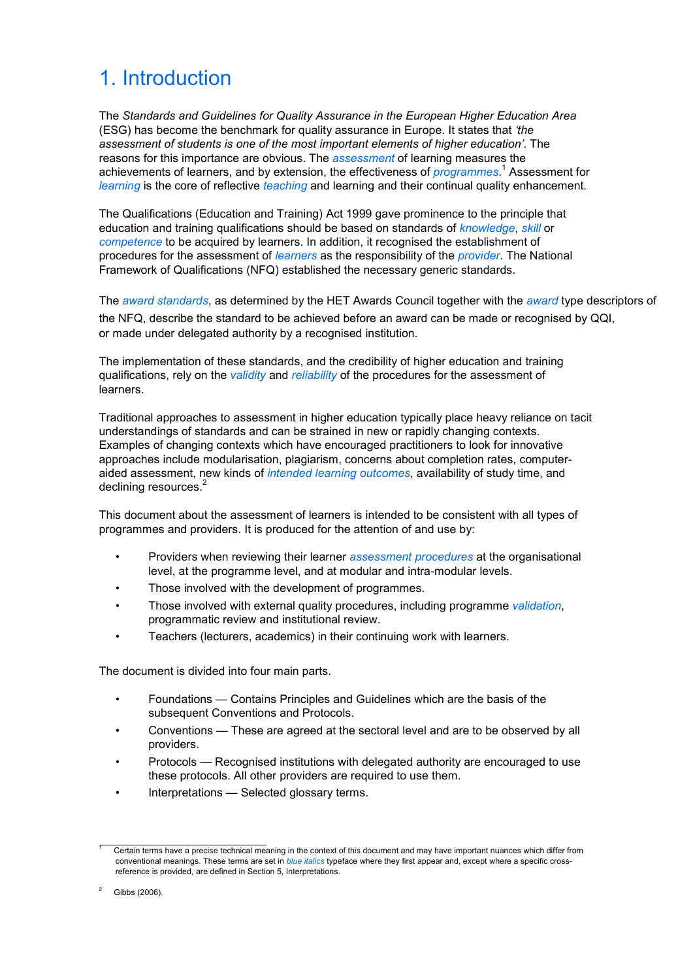# 1. Introduction

The *Standards and Guidelines for Quality Assurance in the European Higher Education Area* (ESG) has become the benchmark for quality assurance in Europe. It states that *'the assessment of students is one of the most important elements of higher education'*. The reasons for this importance are obvious. The *assessment* of learning measures the achievements of learners, and by extension, the effectiveness of *programmes*. 1 Assessment for *learning* is the core of reflective *teaching* and learning and their continual quality enhancement.

The Qualifications (Education and Training) Act 1999 gave prominence to the principle that education and training qualifications should be based on standards of *knowledge*, *skill* or *competence* to be acquired by learners. In addition, it recognised the establishment of procedures for the assessment of *learners* as the responsibility of the *provider*. The National Framework of Qualifications (NFQ) established the necessary generic standards.

The *award standards*, as determined by the HET Awards Council together with the *award* type descriptors of the NFQ, describe the standard to be achieved before an award can be made or recognised by QQI, or made under delegated authority by a recognised institution.

The implementation of these standards, and the credibility of higher education and training qualifications, rely on the *validity* and *reliability* of the procedures for the assessment of learners.

Traditional approaches to assessment in higher education typically place heavy reliance on tacit understandings of standards and can be strained in new or rapidly changing contexts. Examples of changing contexts which have encouraged practitioners to look for innovative approaches include modularisation, plagiarism, concerns about completion rates, computeraided assessment, new kinds of *intended learning outcomes*, availability of study time, and declining resources.<sup>2</sup>

This document about the assessment of learners is intended to be consistent with all types of programmes and providers. It is produced for the attention of and use by:

- Providers when reviewing their learner *assessment procedures* at the organisational level, at the programme level, and at modular and intra-modular levels.
- Those involved with the development of programmes.
- Those involved with external quality procedures, including programme *validation*, programmatic review and institutional review.
- Teachers (lecturers, academics) in their continuing work with learners.

The document is divided into four main parts.

- Foundations Contains Principles and Guidelines which are the basis of the subsequent Conventions and Protocols.
- Conventions These are agreed at the sectoral level and are to be observed by all providers.
- Protocols Recognised institutions with delegated authority are encouraged to use these protocols. All other providers are required to use them.
- Interpretations Selected glossary terms.

l, 1 Certain terms have a precise technical meaning in the context of this document and may have important nuances which differ from conventional meanings. These terms are set in *blue italics* typeface where they first appear and, except where a specific crossreference is provided, are defined in Section 5, Interpretations.

<sup>2</sup> Gibbs (2006).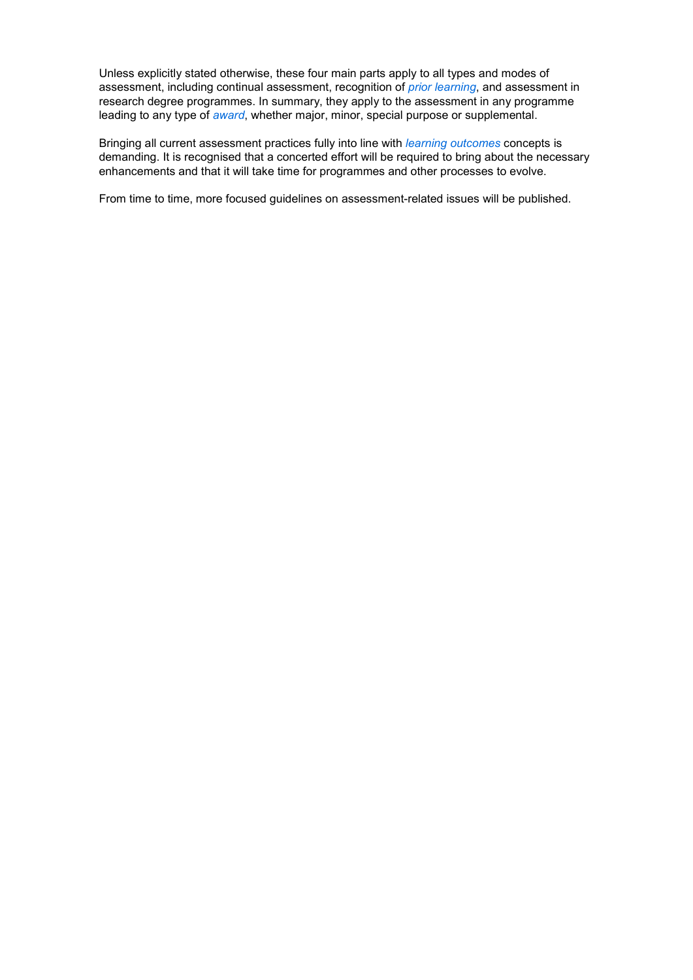Unless explicitly stated otherwise, these four main parts apply to all types and modes of assessment, including continual assessment, recognition of *prior learning*, and assessment in research degree programmes. In summary, they apply to the assessment in any programme leading to any type of *award*, whether major, minor, special purpose or supplemental.

Bringing all current assessment practices fully into line with *learning outcomes* concepts is demanding. It is recognised that a concerted effort will be required to bring about the necessary enhancements and that it will take time for programmes and other processes to evolve.

From time to time, more focused guidelines on assessment-related issues will be published.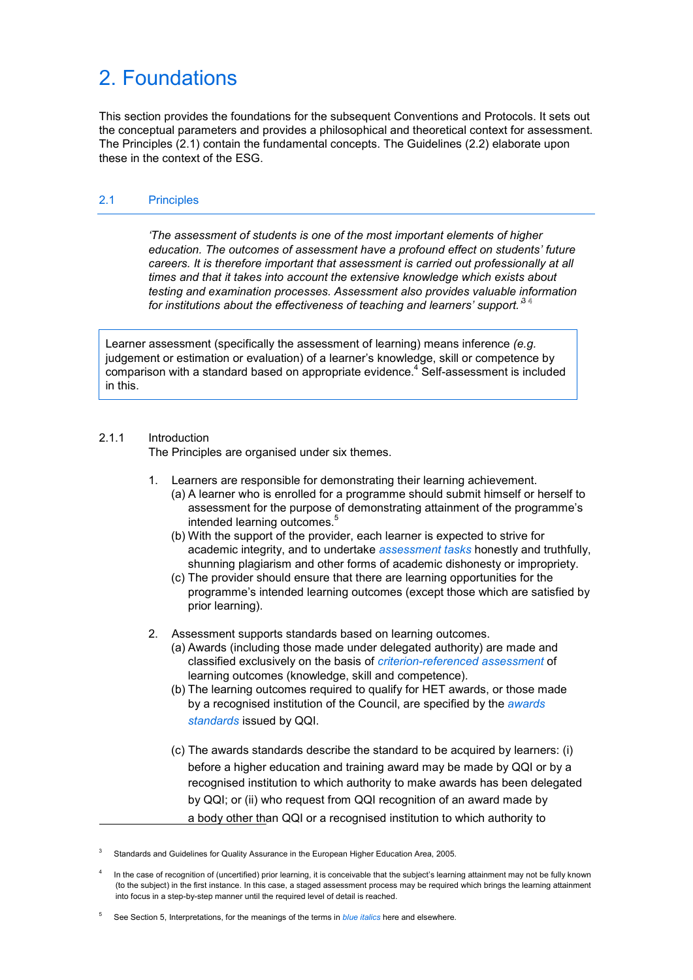# 2. Foundations

This section provides the foundations for the subsequent Conventions and Protocols. It sets out the conceptual parameters and provides a philosophical and theoretical context for assessment. The Principles (2.1) contain the fundamental concepts. The Guidelines (2.2) elaborate upon these in the context of the ESG.

# 2.1 Principles

 *'The assessment of students is one of the most important elements of higher education. The outcomes of assessment have a profound effect on students' future careers. It is therefore important that assessment is carried out professionally at all times and that it takes into account the extensive knowledge which exists about testing and examination processes. Assessment also provides valuable information*  for institutions about the effectiveness of teaching and learners' support.<sup>34</sup>

Learner assessment (specifically the assessment of learning) means inference *(e.g.* judgement or estimation or evaluation) of a learner's knowledge, skill or competence by comparison with a standard based on appropriate evidence. $4$  Self-assessment is included in this.

### 2.1.1 Introduction

The Principles are organised under six themes.

- 1. Learners are responsible for demonstrating their learning achievement.
	- (a) A learner who is enrolled for a programme should submit himself or herself to assessment for the purpose of demonstrating attainment of the programme's intended learning outcomes.<sup>5</sup>
	- (b) With the support of the provider, each learner is expected to strive for academic integrity, and to undertake *assessment tasks* honestly and truthfully, shunning plagiarism and other forms of academic dishonesty or impropriety.
	- (c) The provider should ensure that there are learning opportunities for the programme's intended learning outcomes (except those which are satisfied by prior learning).
- 2. Assessment supports standards based on learning outcomes.
	- (a) Awards (including those made under delegated authority) are made and classified exclusively on the basis of *criterion-referenced assessment* of learning outcomes (knowledge, skill and competence).
	- (b) The learning outcomes required to qualify for HET awards, or those made by a recognised institution of the Council, are specified by the *awards standards* issued by QQI.
	- (c) The awards standards describe the standard to be acquired by learners: (i) before a higher education and training award may be made by QQI or by a recognised institution to which authority to make awards has been delegated by QQI; or (ii) who request from QQI recognition of an award made by a body other than QQI or a recognised institution to which authority to

3 Standards and Guidelines for Quality Assurance in the European Higher Education Area, 2005.

5 See Section 5, Interpretations, for the meanings of the terms in *blue italics* here and elsewhere.

<sup>4</sup> In the case of recognition of (uncertified) prior learning, it is conceivable that the subject's learning attainment may not be fully known (to the subject) in the first instance. In this case, a staged assessment process may be required which brings the learning attainment into focus in a step-by-step manner until the required level of detail is reached.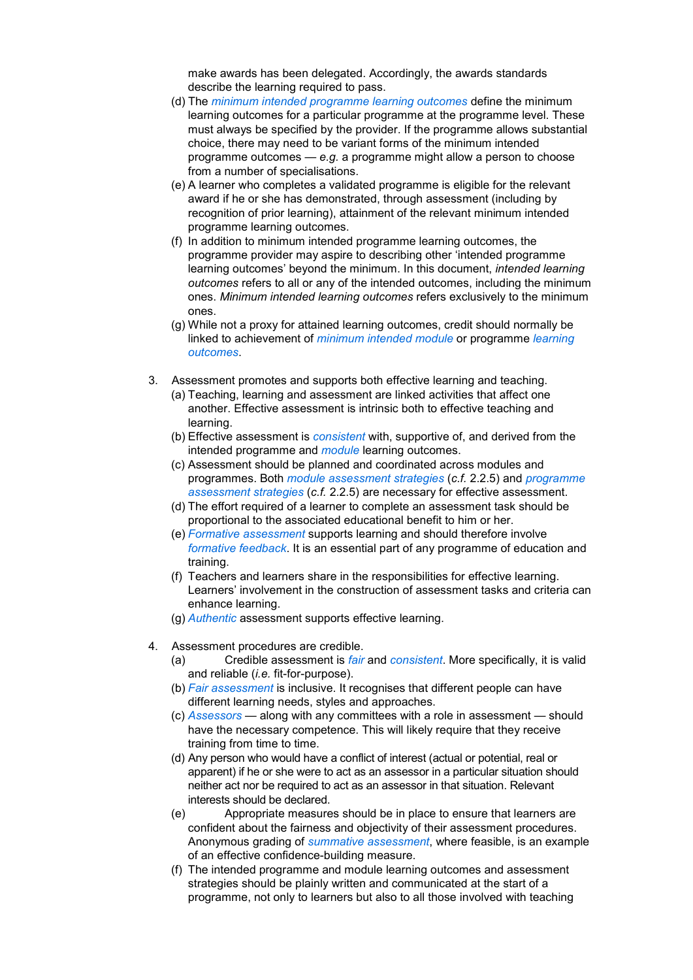make awards has been delegated. Accordingly, the awards standards describe the learning required to pass.

- (d) The *minimum intended programme learning outcomes* define the minimum learning outcomes for a particular programme at the programme level. These must always be specified by the provider. If the programme allows substantial choice, there may need to be variant forms of the minimum intended programme outcomes — *e.g.* a programme might allow a person to choose from a number of specialisations.
- (e) A learner who completes a validated programme is eligible for the relevant award if he or she has demonstrated, through assessment (including by recognition of prior learning), attainment of the relevant minimum intended programme learning outcomes.
- (f) In addition to minimum intended programme learning outcomes, the programme provider may aspire to describing other 'intended programme learning outcomes' beyond the minimum. In this document, *intended learning outcomes* refers to all or any of the intended outcomes, including the minimum ones. *Minimum intended learning outcomes* refers exclusively to the minimum ones.
- (g) While not a proxy for attained learning outcomes, credit should normally be linked to achievement of *minimum intended module* or programme *learning outcomes*.
- 3. Assessment promotes and supports both effective learning and teaching.
	- (a) Teaching, learning and assessment are linked activities that affect one another. Effective assessment is intrinsic both to effective teaching and learning.
	- (b) Effective assessment is *consistent* with, supportive of, and derived from the intended programme and *module* learning outcomes.
	- (c) Assessment should be planned and coordinated across modules and programmes. Both *module assessment strategies* (*c.f.* 2.2.5) and *programme assessment strategies* (*c.f.* 2.2.5) are necessary for effective assessment.
	- (d) The effort required of a learner to complete an assessment task should be proportional to the associated educational benefit to him or her.
	- (e) *Formative assessment* supports learning and should therefore involve *formative feedback*. It is an essential part of any programme of education and training.
	- (f) Teachers and learners share in the responsibilities for effective learning. Learners' involvement in the construction of assessment tasks and criteria can enhance learning.
	- (g) *Authentic* assessment supports effective learning.
- 4. Assessment procedures are credible.
	- (a) Credible assessment is *fair* and *consistent*. More specifically, it is valid and reliable (*i.e.* fit-for-purpose).
	- (b) *Fair assessment* is inclusive. It recognises that different people can have different learning needs, styles and approaches.
	- (c) *Assessors* along with any committees with a role in assessment should have the necessary competence. This will likely require that they receive training from time to time.
	- (d) Any person who would have a conflict of interest (actual or potential, real or apparent) if he or she were to act as an assessor in a particular situation should neither act nor be required to act as an assessor in that situation. Relevant interests should be declared.
	- (e) Appropriate measures should be in place to ensure that learners are confident about the fairness and objectivity of their assessment procedures. Anonymous grading of *summative assessment*, where feasible, is an example of an effective confidence-building measure.
	- (f) The intended programme and module learning outcomes and assessment strategies should be plainly written and communicated at the start of a programme, not only to learners but also to all those involved with teaching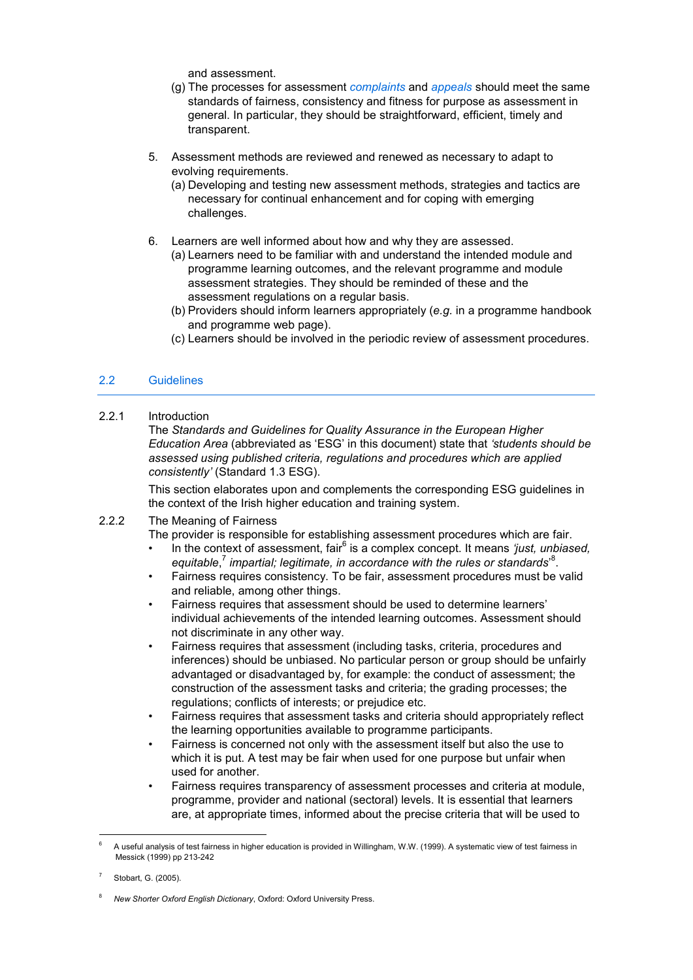and assessment.

- (g) The processes for assessment *complaints* and *appeals* should meet the same standards of fairness, consistency and fitness for purpose as assessment in general. In particular, they should be straightforward, efficient, timely and transparent.
- 5. Assessment methods are reviewed and renewed as necessary to adapt to evolving requirements.
	- (a) Developing and testing new assessment methods, strategies and tactics are necessary for continual enhancement and for coping with emerging challenges.
- 6. Learners are well informed about how and why they are assessed.
	- (a) Learners need to be familiar with and understand the intended module and programme learning outcomes, and the relevant programme and module assessment strategies. They should be reminded of these and the assessment regulations on a regular basis.
	- (b) Providers should inform learners appropriately (*e.g.* in a programme handbook and programme web page).
	- (c) Learners should be involved in the periodic review of assessment procedures.

# 2.2 Guidelines

2.2.1 Introduction

 The *Standards and Guidelines for Quality Assurance in the European Higher Education Area* (abbreviated as 'ESG' in this document) state that *'students should be assessed using published criteria, regulations and procedures which are applied consistently'* (Standard 1.3 ESG).

 This section elaborates upon and complements the corresponding ESG guidelines in the context of the Irish higher education and training system.

# 2.2.2 The Meaning of Fairness

The provider is responsible for establishing assessment procedures which are fair.

- In the context of assessment, fair<sup>6</sup> is a complex concept. It means *'just, unbiased,* equitable,<sup>7</sup> impartial; legitimate, in accordance with the rules or standards<sup>8</sup>.
	- Fairness requires consistency. To be fair, assessment procedures must be valid and reliable, among other things.
	- Fairness requires that assessment should be used to determine learners' individual achievements of the intended learning outcomes. Assessment should not discriminate in any other way.
	- Fairness requires that assessment (including tasks, criteria, procedures and inferences) should be unbiased. No particular person or group should be unfairly advantaged or disadvantaged by, for example: the conduct of assessment; the construction of the assessment tasks and criteria; the grading processes; the regulations; conflicts of interests; or prejudice etc.
	- Fairness requires that assessment tasks and criteria should appropriately reflect the learning opportunities available to programme participants.
	- Fairness is concerned not only with the assessment itself but also the use to which it is put. A test may be fair when used for one purpose but unfair when used for another.
	- Fairness requires transparency of assessment processes and criteria at module, programme, provider and national (sectoral) levels. It is essential that learners are, at appropriate times, informed about the precise criteria that will be used to

<sup>-</sup>6 A useful analysis of test fairness in higher education is provided in Willingham, W.W. (1999). A systematic view of test fairness in Messick (1999) pp 213-242

<sup>7</sup> Stobart, G. (2005).

<sup>8</sup> *New Shorter Oxford English Dictionary*, Oxford: Oxford University Press.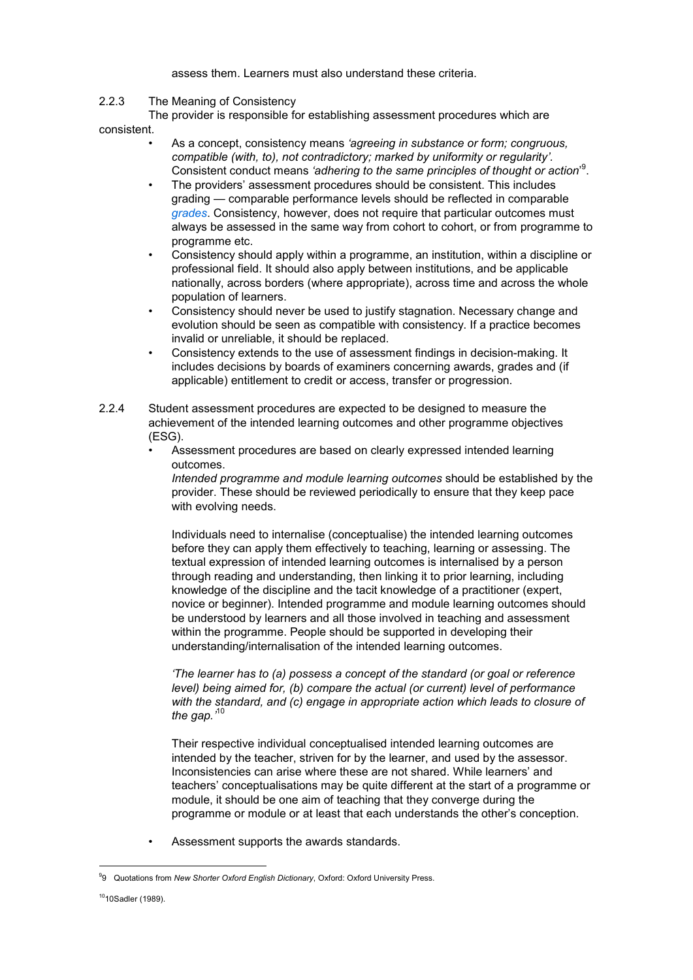#### assess them. Learners must also understand these criteria.

# 2.2.3 The Meaning of Consistency

 The provider is responsible for establishing assessment procedures which are consistent.

- As a concept, consistency means *'agreeing in substance or form; congruous, compatible (with, to), not contradictory; marked by uniformity or regularity'.* Consistent conduct means 'adhering to the same principles of thought or action<sup>9</sup>.
- The providers' assessment procedures should be consistent. This includes grading — comparable performance levels should be reflected in comparable *grades*. Consistency, however, does not require that particular outcomes must always be assessed in the same way from cohort to cohort, or from programme to programme etc.
- Consistency should apply within a programme, an institution, within a discipline or professional field. It should also apply between institutions, and be applicable nationally, across borders (where appropriate), across time and across the whole population of learners.
- Consistency should never be used to justify stagnation. Necessary change and evolution should be seen as compatible with consistency. If a practice becomes invalid or unreliable, it should be replaced.
- Consistency extends to the use of assessment findings in decision-making. It includes decisions by boards of examiners concerning awards, grades and (if applicable) entitlement to credit or access, transfer or progression.
- 2.2.4 Student assessment procedures are expected to be designed to measure the achievement of the intended learning outcomes and other programme objectives (ESG).
	- Assessment procedures are based on clearly expressed intended learning outcomes.

 *Intended programme and module learning outcomes* should be established by the provider. These should be reviewed periodically to ensure that they keep pace with evolving needs.

 Individuals need to internalise (conceptualise) the intended learning outcomes before they can apply them effectively to teaching, learning or assessing. The textual expression of intended learning outcomes is internalised by a person through reading and understanding, then linking it to prior learning, including knowledge of the discipline and the tacit knowledge of a practitioner (expert, novice or beginner). Intended programme and module learning outcomes should be understood by learners and all those involved in teaching and assessment within the programme. People should be supported in developing their understanding/internalisation of the intended learning outcomes.

 *'The learner has to (a) possess a concept of the standard (or goal or reference level) being aimed for, (b) compare the actual (or current) level of performance with the standard, and (c) engage in appropriate action which leads to closure of the gap.'*<sup>10</sup>

 Their respective individual conceptualised intended learning outcomes are intended by the teacher, striven for by the learner, and used by the assessor. Inconsistencies can arise where these are not shared. While learners' and teachers' conceptualisations may be quite different at the start of a programme or module, it should be one aim of teaching that they converge during the programme or module or at least that each understands the other's conception.

• Assessment supports the awards standards.

 $\overline{a}$ <sup>9</sup>9 Quotations from *New Shorter Oxford English Dictionary*, Oxford: Oxford University Press.

<sup>1010</sup>Sadler (1989).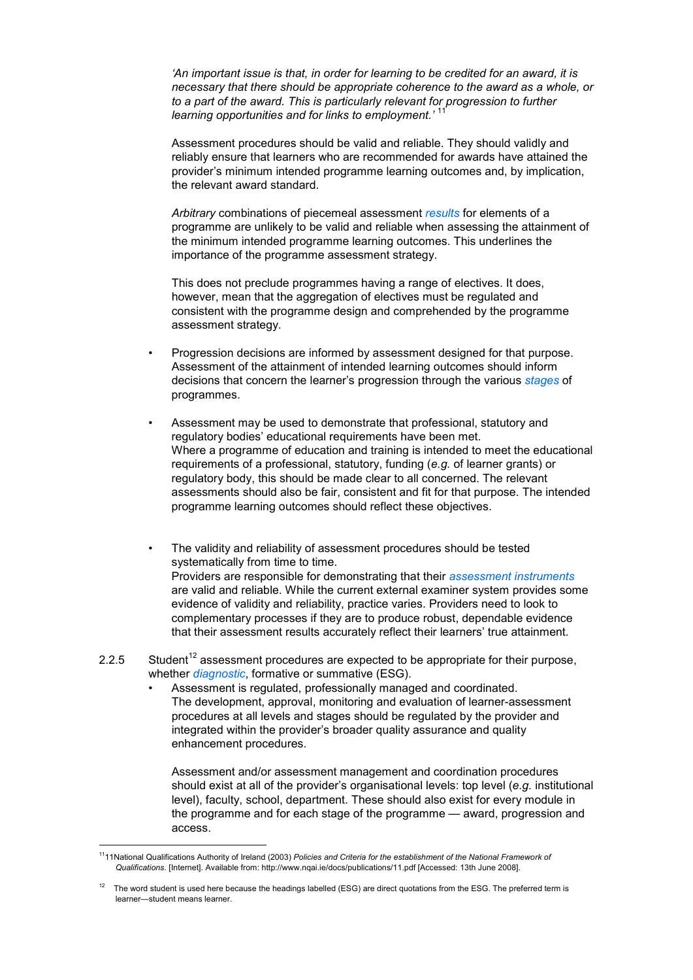*'An important issue is that, in order for learning to be credited for an award, it is necessary that there should be appropriate coherence to the award as a whole, or to a part of the award. This is particularly relevant for progression to further learning opportunities and for links to employment.'* 

 Assessment procedures should be valid and reliable. They should validly and reliably ensure that learners who are recommended for awards have attained the provider's minimum intended programme learning outcomes and, by implication, the relevant award standard.

 *Arbitrary* combinations of piecemeal assessment *results* for elements of a programme are unlikely to be valid and reliable when assessing the attainment of the minimum intended programme learning outcomes. This underlines the importance of the programme assessment strategy.

 This does not preclude programmes having a range of electives. It does, however, mean that the aggregation of electives must be regulated and consistent with the programme design and comprehended by the programme assessment strategy.

- Progression decisions are informed by assessment designed for that purpose. Assessment of the attainment of intended learning outcomes should inform decisions that concern the learner's progression through the various *stages* of programmes.
- Assessment may be used to demonstrate that professional, statutory and regulatory bodies' educational requirements have been met. Where a programme of education and training is intended to meet the educational requirements of a professional, statutory, funding (*e.g.* of learner grants) or regulatory body, this should be made clear to all concerned. The relevant assessments should also be fair, consistent and fit for that purpose. The intended programme learning outcomes should reflect these objectives.
- The validity and reliability of assessment procedures should be tested systematically from time to time. Providers are responsible for demonstrating that their *assessment instruments* are valid and reliable. While the current external examiner system provides some evidence of validity and reliability, practice varies. Providers need to look to complementary processes if they are to produce robust, dependable evidence that their assessment results accurately reflect their learners' true attainment.
- 2.2.5 Student<sup>12</sup> assessment procedures are expected to be appropriate for their purpose, whether *diagnostic*, formative or summative (ESG).
	- Assessment is regulated, professionally managed and coordinated. The development, approval, monitoring and evaluation of learner-assessment procedures at all levels and stages should be regulated by the provider and integrated within the provider's broader quality assurance and quality enhancement procedures.

 Assessment and/or assessment management and coordination procedures should exist at all of the provider's organisational levels: top level (*e.g.* institutional level), faculty, school, department. These should also exist for every module in the programme and for each stage of the programme — award, progression and access.

<sup>-</sup><sup>11</sup>11National Qualifications Authority of Ireland (2003) *Policies and Criteria for the establishment of the National Framework of Qualifications*. [Internet]. Available from: http://www.nqai.ie/docs/publications/11.pdf [Accessed: 13th June 2008].

<sup>12</sup> The word student is used here because the headings labelled (ESG) are direct quotations from the ESG. The preferred term is learner—student means learner.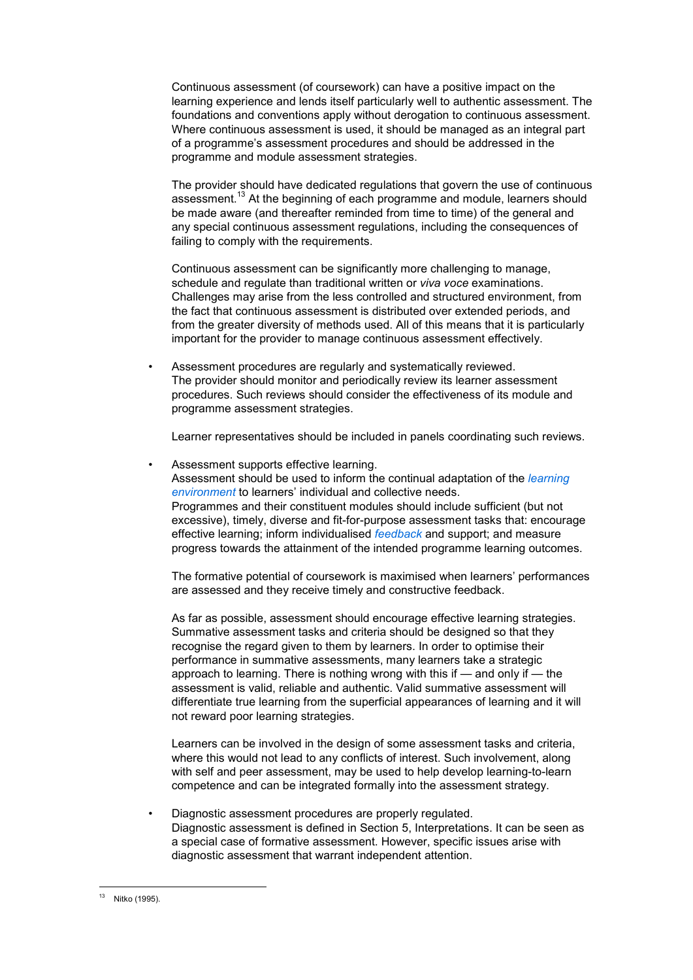Continuous assessment (of coursework) can have a positive impact on the learning experience and lends itself particularly well to authentic assessment. The foundations and conventions apply without derogation to continuous assessment. Where continuous assessment is used, it should be managed as an integral part of a programme's assessment procedures and should be addressed in the programme and module assessment strategies.

 The provider should have dedicated regulations that govern the use of continuous assessment.<sup>13</sup> At the beginning of each programme and module, learners should be made aware (and thereafter reminded from time to time) of the general and any special continuous assessment regulations, including the consequences of failing to comply with the requirements.

 Continuous assessment can be significantly more challenging to manage, schedule and regulate than traditional written or *viva voce* examinations. Challenges may arise from the less controlled and structured environment, from the fact that continuous assessment is distributed over extended periods, and from the greater diversity of methods used. All of this means that it is particularly important for the provider to manage continuous assessment effectively.

 • Assessment procedures are regularly and systematically reviewed. The provider should monitor and periodically review its learner assessment procedures. Such reviews should consider the effectiveness of its module and programme assessment strategies.

Learner representatives should be included in panels coordinating such reviews.

 • Assessment supports effective learning. Assessment should be used to inform the continual adaptation of the *learning environment* to learners' individual and collective needs. Programmes and their constituent modules should include sufficient (but not excessive), timely, diverse and fit-for-purpose assessment tasks that: encourage effective learning; inform individualised *feedback* and support; and measure progress towards the attainment of the intended programme learning outcomes.

 The formative potential of coursework is maximised when learners' performances are assessed and they receive timely and constructive feedback.

 As far as possible, assessment should encourage effective learning strategies. Summative assessment tasks and criteria should be designed so that they recognise the regard given to them by learners. In order to optimise their performance in summative assessments, many learners take a strategic approach to learning. There is nothing wrong with this if — and only if — the assessment is valid, reliable and authentic. Valid summative assessment will differentiate true learning from the superficial appearances of learning and it will not reward poor learning strategies.

 Learners can be involved in the design of some assessment tasks and criteria, where this would not lead to any conflicts of interest. Such involvement, along with self and peer assessment, may be used to help develop learning-to-learn competence and can be integrated formally into the assessment strategy.

 • Diagnostic assessment procedures are properly regulated. Diagnostic assessment is defined in Section 5, Interpretations. It can be seen as a special case of formative assessment. However, specific issues arise with diagnostic assessment that warrant independent attention.

 $13<sup>-13</sup>$ Nitko (1995).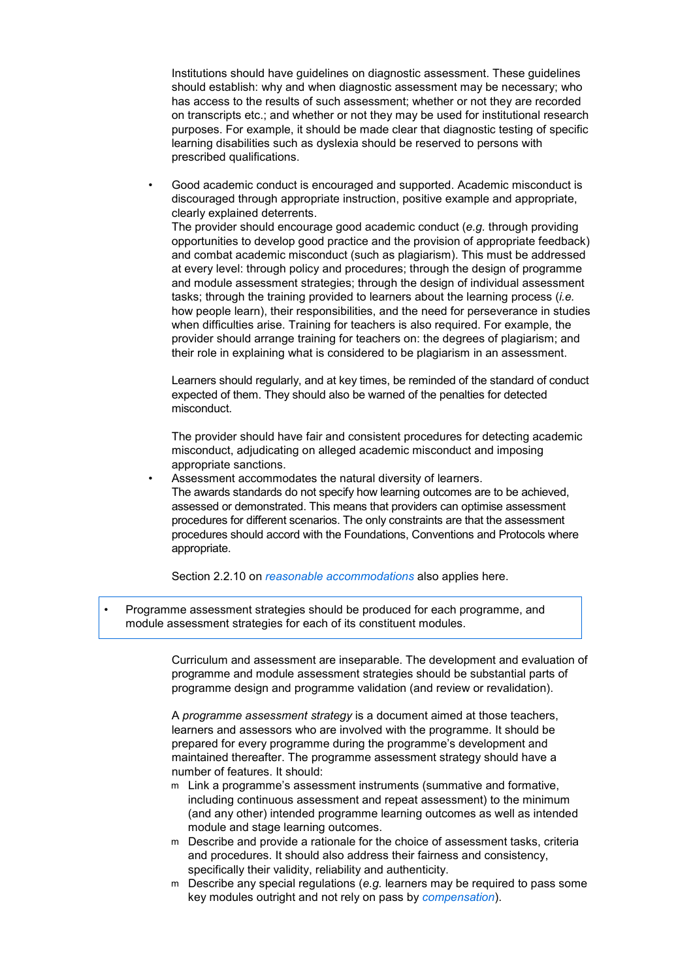Institutions should have guidelines on diagnostic assessment. These guidelines should establish: why and when diagnostic assessment may be necessary; who has access to the results of such assessment; whether or not they are recorded on transcripts etc.; and whether or not they may be used for institutional research purposes. For example, it should be made clear that diagnostic testing of specific learning disabilities such as dyslexia should be reserved to persons with prescribed qualifications.

 • Good academic conduct is encouraged and supported. Academic misconduct is discouraged through appropriate instruction, positive example and appropriate, clearly explained deterrents. The provider should encourage good academic conduct (*e.g.* through providing opportunities to develop good practice and the provision of appropriate feedback) and combat academic misconduct (such as plagiarism). This must be addressed at every level: through policy and procedures; through the design of programme and module assessment strategies; through the design of individual assessment tasks; through the training provided to learners about the learning process (*i.e.*

how people learn), their responsibilities, and the need for perseverance in studies when difficulties arise. Training for teachers is also required. For example, the provider should arrange training for teachers on: the degrees of plagiarism; and their role in explaining what is considered to be plagiarism in an assessment.

 Learners should regularly, and at key times, be reminded of the standard of conduct expected of them. They should also be warned of the penalties for detected misconduct.

 The provider should have fair and consistent procedures for detecting academic misconduct, adjudicating on alleged academic misconduct and imposing appropriate sanctions.

Assessment accommodates the natural diversity of learners. The awards standards do not specify how learning outcomes are to be achieved, assessed or demonstrated. This means that providers can optimise assessment procedures for different scenarios. The only constraints are that the assessment procedures should accord with the Foundations, Conventions and Protocols where appropriate.

Section 2.2.10 on *reasonable accommodations* also applies here.

• Programme assessment strategies should be produced for each programme, and module assessment strategies for each of its constituent modules.

> Curriculum and assessment are inseparable. The development and evaluation of programme and module assessment strategies should be substantial parts of programme design and programme validation (and review or revalidation).

 A *programme assessment strategy* is a document aimed at those teachers, learners and assessors who are involved with the programme. It should be prepared for every programme during the programme's development and maintained thereafter. The programme assessment strategy should have a number of features. It should:

- m Link a programme's assessment instruments (summative and formative, including continuous assessment and repeat assessment) to the minimum (and any other) intended programme learning outcomes as well as intended module and stage learning outcomes.
- m Describe and provide a rationale for the choice of assessment tasks, criteria and procedures. It should also address their fairness and consistency, specifically their validity, reliability and authenticity.
- m Describe any special regulations (*e.g.* learners may be required to pass some key modules outright and not rely on pass by *compensation*).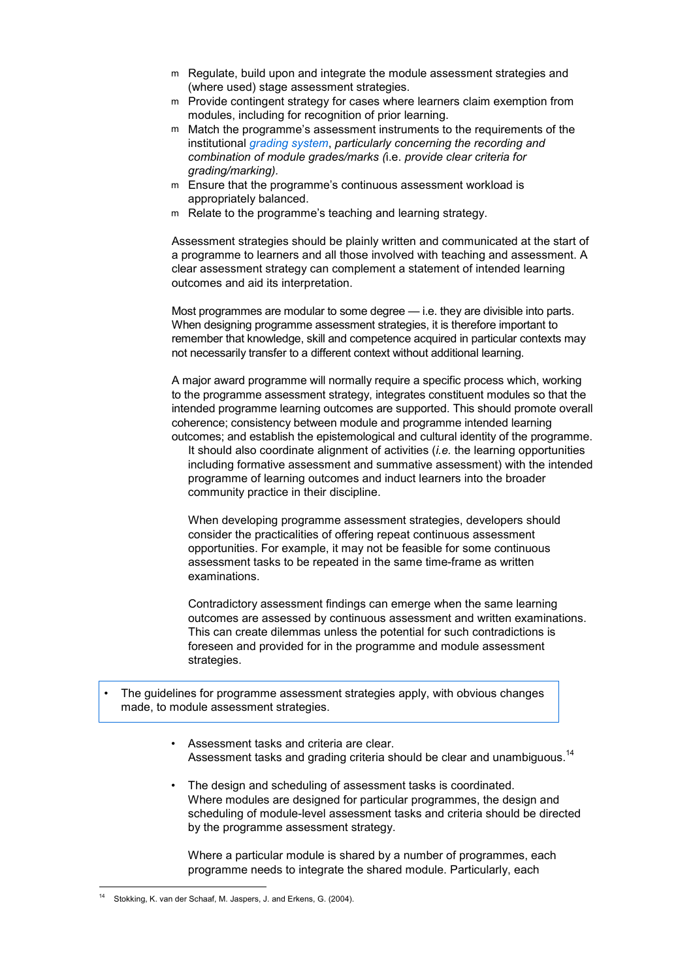- m Regulate, build upon and integrate the module assessment strategies and (where used) stage assessment strategies.
- m Provide contingent strategy for cases where learners claim exemption from modules, including for recognition of prior learning.
- m Match the programme's assessment instruments to the requirements of the institutional *grading system*, *particularly concerning the recording and combination of module grades/marks (*i.e. *provide clear criteria for grading/marking).*
- m Ensure that the programme's continuous assessment workload is appropriately balanced.
- m Relate to the programme's teaching and learning strategy.

 Assessment strategies should be plainly written and communicated at the start of a programme to learners and all those involved with teaching and assessment. A clear assessment strategy can complement a statement of intended learning outcomes and aid its interpretation.

 Most programmes are modular to some degree — i.e. they are divisible into parts. When designing programme assessment strategies, it is therefore important to remember that knowledge, skill and competence acquired in particular contexts may not necessarily transfer to a different context without additional learning.

 A major award programme will normally require a specific process which, working to the programme assessment strategy, integrates constituent modules so that the intended programme learning outcomes are supported. This should promote overall coherence; consistency between module and programme intended learning outcomes; and establish the epistemological and cultural identity of the programme. It should also coordinate alignment of activities (*i.e.* the learning opportunities

including formative assessment and summative assessment) with the intended programme of learning outcomes and induct learners into the broader community practice in their discipline.

 When developing programme assessment strategies, developers should consider the practicalities of offering repeat continuous assessment opportunities. For example, it may not be feasible for some continuous assessment tasks to be repeated in the same time-frame as written examinations.

 Contradictory assessment findings can emerge when the same learning outcomes are assessed by continuous assessment and written examinations. This can create dilemmas unless the potential for such contradictions is foreseen and provided for in the programme and module assessment strategies.

- The guidelines for programme assessment strategies apply, with obvious changes made, to module assessment strategies.
	- Assessment tasks and criteria are clear. Assessment tasks and grading criteria should be clear and unambiquous.<sup>14</sup>
	- The design and scheduling of assessment tasks is coordinated. Where modules are designed for particular programmes, the design and scheduling of module-level assessment tasks and criteria should be directed by the programme assessment strategy.

 Where a particular module is shared by a number of programmes, each programme needs to integrate the shared module. Particularly, each

 $\overline{a}$ Stokking, K. van der Schaaf, M. Jaspers, J. and Erkens, G. (2004).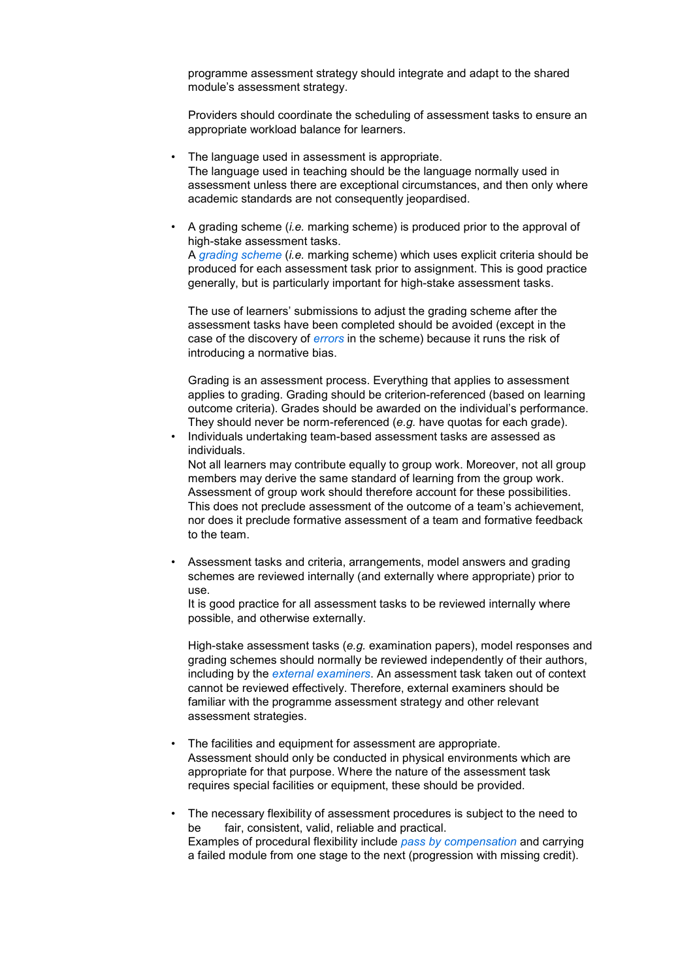programme assessment strategy should integrate and adapt to the shared module's assessment strategy.

 Providers should coordinate the scheduling of assessment tasks to ensure an appropriate workload balance for learners.

- The language used in assessment is appropriate. The language used in teaching should be the language normally used in assessment unless there are exceptional circumstances, and then only where academic standards are not consequently jeopardised.
- A grading scheme (*i.e.* marking scheme) is produced prior to the approval of high-stake assessment tasks. A *grading scheme* (*i.e.* marking scheme) which uses explicit criteria should be produced for each assessment task prior to assignment. This is good practice generally, but is particularly important for high-stake assessment tasks.

 The use of learners' submissions to adjust the grading scheme after the assessment tasks have been completed should be avoided (except in the case of the discovery of *errors* in the scheme) because it runs the risk of introducing a normative bias.

 Grading is an assessment process. Everything that applies to assessment applies to grading. Grading should be criterion-referenced (based on learning outcome criteria). Grades should be awarded on the individual's performance. They should never be norm-referenced (*e.g.* have quotas for each grade).

 • Individuals undertaking team-based assessment tasks are assessed as individuals.

 Not all learners may contribute equally to group work. Moreover, not all group members may derive the same standard of learning from the group work. Assessment of group work should therefore account for these possibilities. This does not preclude assessment of the outcome of a team's achievement, nor does it preclude formative assessment of a team and formative feedback to the team.

 • Assessment tasks and criteria, arrangements, model answers and grading schemes are reviewed internally (and externally where appropriate) prior to use.

 It is good practice for all assessment tasks to be reviewed internally where possible, and otherwise externally.

 High-stake assessment tasks (*e.g.* examination papers), model responses and grading schemes should normally be reviewed independently of their authors, including by the *external examiners*. An assessment task taken out of context cannot be reviewed effectively. Therefore, external examiners should be familiar with the programme assessment strategy and other relevant assessment strategies.

- The facilities and equipment for assessment are appropriate. Assessment should only be conducted in physical environments which are appropriate for that purpose. Where the nature of the assessment task requires special facilities or equipment, these should be provided.
- The necessary flexibility of assessment procedures is subject to the need to be fair, consistent, valid, reliable and practical. Examples of procedural flexibility include *pass by compensation* and carrying a failed module from one stage to the next (progression with missing credit).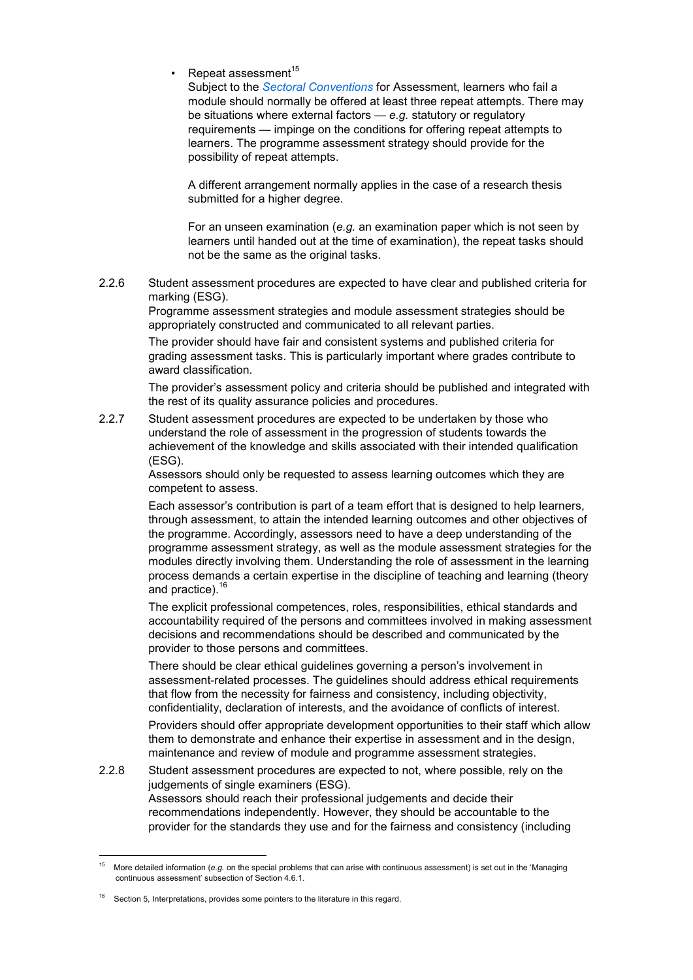Repeat assessment<sup>15</sup>

 Subject to the *Sectoral Conventions* for Assessment, learners who fail a module should normally be offered at least three repeat attempts. There may be situations where external factors — *e.g.* statutory or regulatory requirements — impinge on the conditions for offering repeat attempts to learners. The programme assessment strategy should provide for the possibility of repeat attempts.

 A different arrangement normally applies in the case of a research thesis submitted for a higher degree.

 For an unseen examination (*e.g.* an examination paper which is not seen by learners until handed out at the time of examination), the repeat tasks should not be the same as the original tasks.

2.2.6 Student assessment procedures are expected to have clear and published criteria for marking (ESG).

> Programme assessment strategies and module assessment strategies should be appropriately constructed and communicated to all relevant parties.

 The provider should have fair and consistent systems and published criteria for grading assessment tasks. This is particularly important where grades contribute to award classification.

 The provider's assessment policy and criteria should be published and integrated with the rest of its quality assurance policies and procedures.

2.2.7 Student assessment procedures are expected to be undertaken by those who understand the role of assessment in the progression of students towards the achievement of the knowledge and skills associated with their intended qualification (ESG).

> Assessors should only be requested to assess learning outcomes which they are competent to assess.

 Each assessor's contribution is part of a team effort that is designed to help learners, through assessment, to attain the intended learning outcomes and other objectives of the programme. Accordingly, assessors need to have a deep understanding of the programme assessment strategy, as well as the module assessment strategies for the modules directly involving them. Understanding the role of assessment in the learning process demands a certain expertise in the discipline of teaching and learning (theory and practice).<sup>16</sup>

 The explicit professional competences, roles, responsibilities, ethical standards and accountability required of the persons and committees involved in making assessment decisions and recommendations should be described and communicated by the provider to those persons and committees.

 There should be clear ethical guidelines governing a person's involvement in assessment-related processes. The guidelines should address ethical requirements that flow from the necessity for fairness and consistency, including objectivity, confidentiality, declaration of interests, and the avoidance of conflicts of interest.

 Providers should offer appropriate development opportunities to their staff which allow them to demonstrate and enhance their expertise in assessment and in the design, maintenance and review of module and programme assessment strategies.

2.2.8 Student assessment procedures are expected to not, where possible, rely on the judgements of single examiners (ESG). Assessors should reach their professional judgements and decide their recommendations independently. However, they should be accountable to the provider for the standards they use and for the fairness and consistency (including

<sup>-</sup><sup>15</sup> More detailed information (*e.g.* on the special problems that can arise with continuous assessment) is set out in the 'Managing continuous assessment' subsection of Section 4.6.1.

Section 5, Interpretations, provides some pointers to the literature in this regard.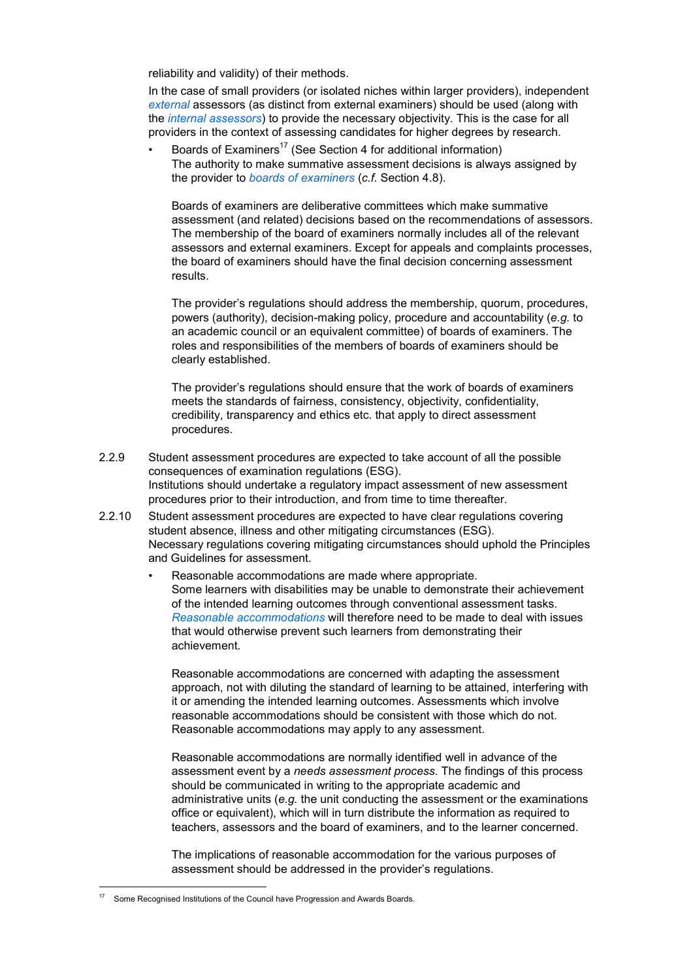reliability and validity) of their methods.

 In the case of small providers (or isolated niches within larger providers), independent *external* assessors (as distinct from external examiners) should be used (along with the *internal assessors*) to provide the necessary objectivity. This is the case for all providers in the context of assessing candidates for higher degrees by research.

Boards of Examiners<sup>17</sup> (See Section 4 for additional information) The authority to make summative assessment decisions is always assigned by the provider to *boards of examiners* (*c.f.* Section 4.8).

 Boards of examiners are deliberative committees which make summative assessment (and related) decisions based on the recommendations of assessors. The membership of the board of examiners normally includes all of the relevant assessors and external examiners. Except for appeals and complaints processes, the board of examiners should have the final decision concerning assessment results.

 The provider's regulations should address the membership, quorum, procedures, powers (authority), decision-making policy, procedure and accountability (*e.g.* to an academic council or an equivalent committee) of boards of examiners. The roles and responsibilities of the members of boards of examiners should be clearly established.

 The provider's regulations should ensure that the work of boards of examiners meets the standards of fairness, consistency, objectivity, confidentiality, credibility, transparency and ethics etc. that apply to direct assessment procedures.

- 2.2.9 Student assessment procedures are expected to take account of all the possible consequences of examination regulations (ESG). Institutions should undertake a regulatory impact assessment of new assessment procedures prior to their introduction, and from time to time thereafter.
- 2.2.10 Student assessment procedures are expected to have clear regulations covering student absence, illness and other mitigating circumstances (ESG). Necessary regulations covering mitigating circumstances should uphold the Principles and Guidelines for assessment.
	- Reasonable accommodations are made where appropriate. Some learners with disabilities may be unable to demonstrate their achievement of the intended learning outcomes through conventional assessment tasks. *Reasonable accommodations* will therefore need to be made to deal with issues that would otherwise prevent such learners from demonstrating their achievement.

 Reasonable accommodations are concerned with adapting the assessment approach, not with diluting the standard of learning to be attained, interfering with it or amending the intended learning outcomes. Assessments which involve reasonable accommodations should be consistent with those which do not. Reasonable accommodations may apply to any assessment.

 Reasonable accommodations are normally identified well in advance of the assessment event by a *needs assessment process*. The findings of this process should be communicated in writing to the appropriate academic and administrative units (*e.g.* the unit conducting the assessment or the examinations office or equivalent), which will in turn distribute the information as required to teachers, assessors and the board of examiners, and to the learner concerned.

 The implications of reasonable accommodation for the various purposes of assessment should be addressed in the provider's regulations.

 $\overline{a}$ Some Recognised Institutions of the Council have Progression and Awards Boards.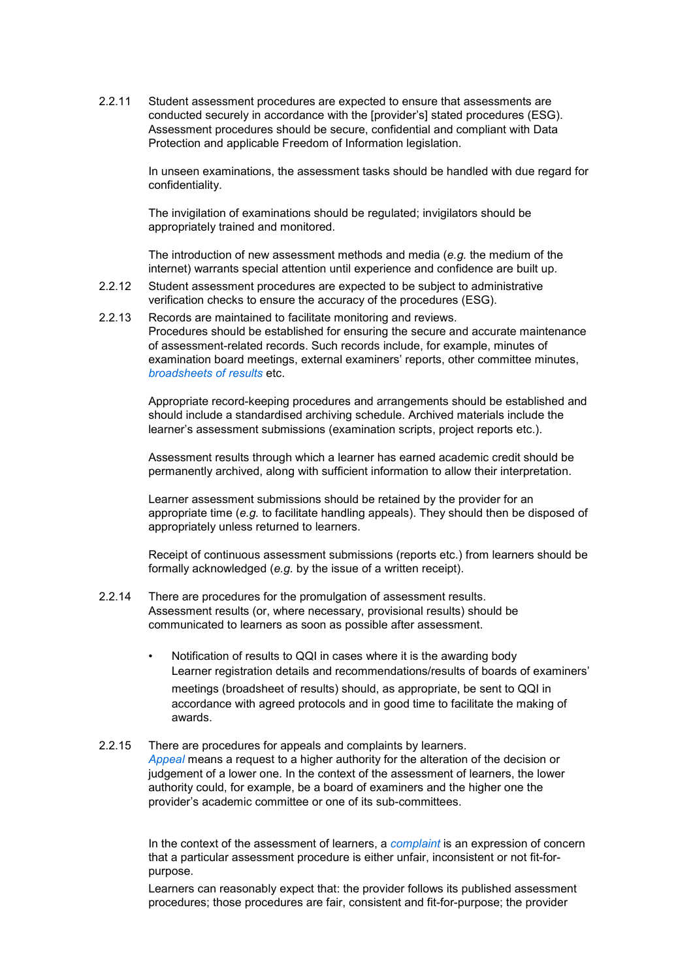2.2.11 Student assessment procedures are expected to ensure that assessments are conducted securely in accordance with the [provider's] stated procedures (ESG). Assessment procedures should be secure, confidential and compliant with Data Protection and applicable Freedom of Information legislation.

> In unseen examinations, the assessment tasks should be handled with due regard for confidentiality.

 The invigilation of examinations should be regulated; invigilators should be appropriately trained and monitored.

 The introduction of new assessment methods and media (*e.g.* the medium of the internet) warrants special attention until experience and confidence are built up.

- 2.2.12 Student assessment procedures are expected to be subject to administrative verification checks to ensure the accuracy of the procedures (ESG).
- 2.2.13 Records are maintained to facilitate monitoring and reviews. Procedures should be established for ensuring the secure and accurate maintenance of assessment-related records. Such records include, for example, minutes of examination board meetings, external examiners' reports, other committee minutes, *broadsheets of results* etc.

 Appropriate record-keeping procedures and arrangements should be established and should include a standardised archiving schedule. Archived materials include the learner's assessment submissions (examination scripts, project reports etc.).

 Assessment results through which a learner has earned academic credit should be permanently archived, along with sufficient information to allow their interpretation.

 Learner assessment submissions should be retained by the provider for an appropriate time (*e.g.* to facilitate handling appeals). They should then be disposed of appropriately unless returned to learners.

 Receipt of continuous assessment submissions (reports etc.) from learners should be formally acknowledged (*e.g.* by the issue of a written receipt).

- 2.2.14 There are procedures for the promulgation of assessment results. Assessment results (or, where necessary, provisional results) should be communicated to learners as soon as possible after assessment.
	- Notification of results to QQI in cases where it is the awarding body Learner registration details and recommendations/results of boards of examiners' meetings (broadsheet of results) should, as appropriate, be sent to QQI in accordance with agreed protocols and in good time to facilitate the making of awards.
- 2.2.15 There are procedures for appeals and complaints by learners. *Appeal* means a request to a higher authority for the alteration of the decision or judgement of a lower one. In the context of the assessment of learners, the lower authority could, for example, be a board of examiners and the higher one the provider's academic committee or one of its sub-committees.

 In the context of the assessment of learners, a *complaint* is an expression of concern that a particular assessment procedure is either unfair, inconsistent or not fit-forpurpose.

 Learners can reasonably expect that: the provider follows its published assessment procedures; those procedures are fair, consistent and fit-for-purpose; the provider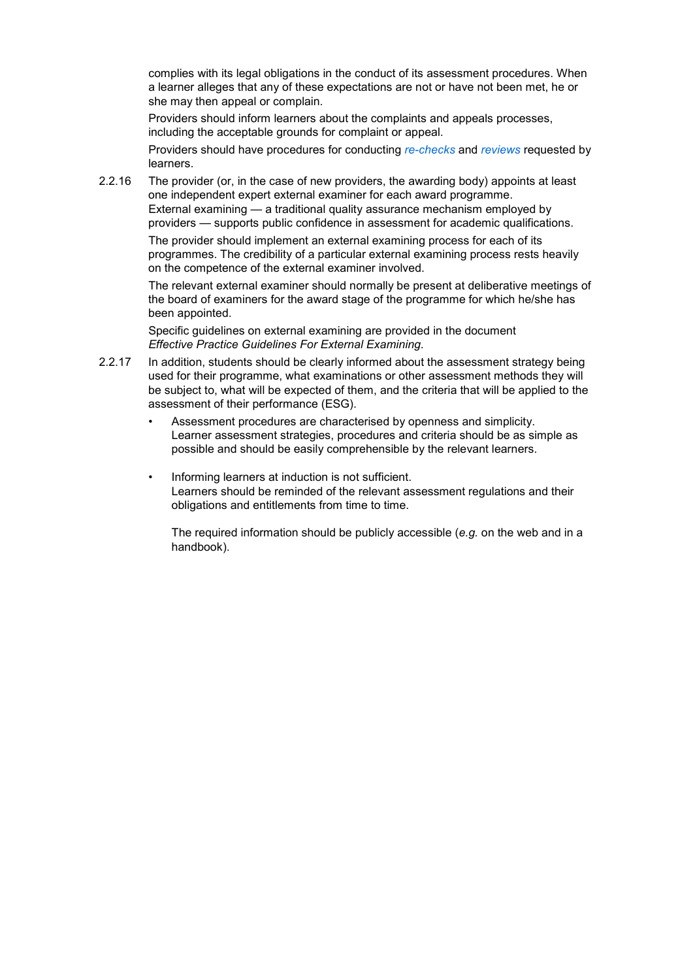complies with its legal obligations in the conduct of its assessment procedures. When a learner alleges that any of these expectations are not or have not been met, he or she may then appeal or complain.

 Providers should inform learners about the complaints and appeals processes, including the acceptable grounds for complaint or appeal.

 Providers should have procedures for conducting *re-checks* and *reviews* requested by learners.

2.2.16 The provider (or, in the case of new providers, the awarding body) appoints at least one independent expert external examiner for each award programme. External examining — a traditional quality assurance mechanism employed by providers — supports public confidence in assessment for academic qualifications.

> The provider should implement an external examining process for each of its programmes. The credibility of a particular external examining process rests heavily on the competence of the external examiner involved.

 The relevant external examiner should normally be present at deliberative meetings of the board of examiners for the award stage of the programme for which he/she has been appointed.

 Specific guidelines on external examining are provided in the document *Effective Practice Guidelines For External Examining*.

- 2.2.17 In addition, students should be clearly informed about the assessment strategy being used for their programme, what examinations or other assessment methods they will be subject to, what will be expected of them, and the criteria that will be applied to the assessment of their performance (ESG).
	- Assessment procedures are characterised by openness and simplicity. Learner assessment strategies, procedures and criteria should be as simple as possible and should be easily comprehensible by the relevant learners.
	- Informing learners at induction is not sufficient. Learners should be reminded of the relevant assessment regulations and their obligations and entitlements from time to time.

 The required information should be publicly accessible (*e.g.* on the web and in a handbook).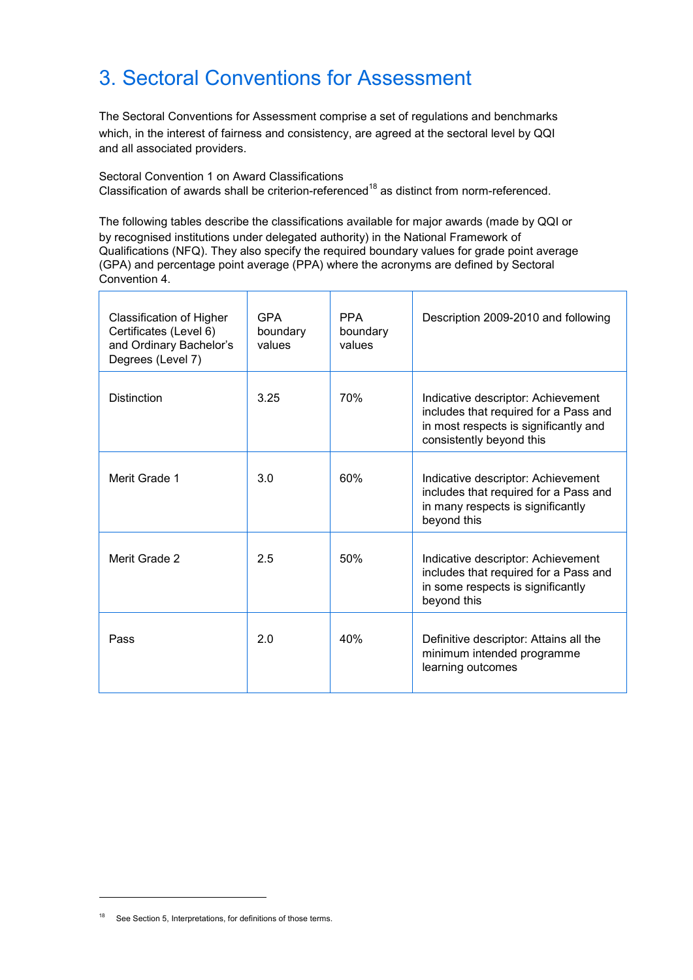# 3. Sectoral Conventions for Assessment

The Sectoral Conventions for Assessment comprise a set of regulations and benchmarks which, in the interest of fairness and consistency, are agreed at the sectoral level by QQI and all associated providers.

Sectoral Convention 1 on Award Classifications Classification of awards shall be criterion-referenced<sup>18</sup> as distinct from norm-referenced.

The following tables describe the classifications available for major awards (made by QQI or by recognised institutions under delegated authority) in the National Framework of Qualifications (NFQ). They also specify the required boundary values for grade point average (GPA) and percentage point average (PPA) where the acronyms are defined by Sectoral Convention 4.

| Classification of Higher<br>Certificates (Level 6)<br>and Ordinary Bachelor's<br>Degrees (Level 7) | <b>GPA</b><br>boundary<br>values | <b>PPA</b><br>boundary<br>values | Description 2009-2010 and following                                                                                                              |
|----------------------------------------------------------------------------------------------------|----------------------------------|----------------------------------|--------------------------------------------------------------------------------------------------------------------------------------------------|
| <b>Distinction</b>                                                                                 | 3.25                             | 70%                              | Indicative descriptor: Achievement<br>includes that required for a Pass and<br>in most respects is significantly and<br>consistently beyond this |
| Merit Grade 1                                                                                      | 3.0                              | 60%                              | Indicative descriptor: Achievement<br>includes that required for a Pass and<br>in many respects is significantly<br>beyond this                  |
| Merit Grade 2                                                                                      | 2.5                              | 50%                              | Indicative descriptor: Achievement<br>includes that required for a Pass and<br>in some respects is significantly<br>beyond this                  |
| Pass                                                                                               | 2.0                              | 40%                              | Definitive descriptor: Attains all the<br>minimum intended programme<br>learning outcomes                                                        |

<sup>&</sup>lt;sup>18</sup> See Section 5, Interpretations, for definitions of those terms.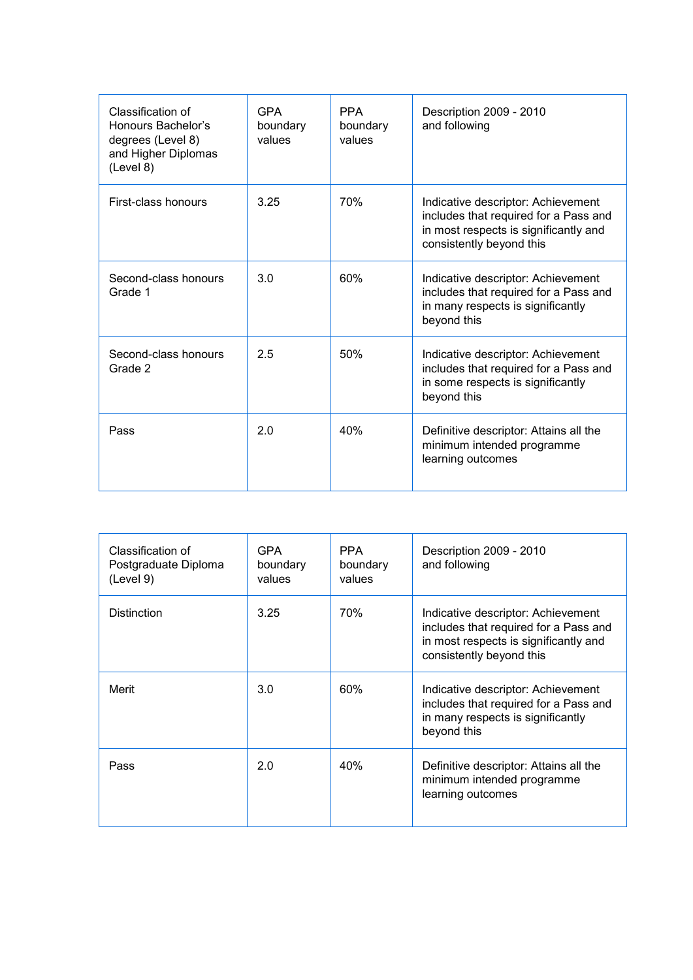| Classification of<br>Honours Bachelor's<br>degrees (Level 8)<br>and Higher Diplomas<br>(Level 8) | <b>GPA</b><br>boundary<br>values | <b>PPA</b><br>boundary<br>values | Description 2009 - 2010<br>and following                                                                                                         |
|--------------------------------------------------------------------------------------------------|----------------------------------|----------------------------------|--------------------------------------------------------------------------------------------------------------------------------------------------|
| First-class honours                                                                              | 3.25                             | 70%                              | Indicative descriptor: Achievement<br>includes that required for a Pass and<br>in most respects is significantly and<br>consistently beyond this |
| Second-class honours<br>Grade 1                                                                  | 3.0                              | 60%                              | Indicative descriptor: Achievement<br>includes that required for a Pass and<br>in many respects is significantly<br>beyond this                  |
| Second-class honours<br>Grade 2                                                                  | 2.5                              | 50%                              | Indicative descriptor: Achievement<br>includes that required for a Pass and<br>in some respects is significantly<br>beyond this                  |
| Pass                                                                                             | 2.0                              | 40%                              | Definitive descriptor: Attains all the<br>minimum intended programme<br>learning outcomes                                                        |

| Classification of<br>Postgraduate Diploma<br>(Level 9) | <b>GPA</b><br>boundary<br>values | <b>PPA</b><br>boundary<br>values | Description 2009 - 2010<br>and following                                                                                                         |
|--------------------------------------------------------|----------------------------------|----------------------------------|--------------------------------------------------------------------------------------------------------------------------------------------------|
| <b>Distinction</b>                                     | 3.25                             | 70%                              | Indicative descriptor: Achievement<br>includes that required for a Pass and<br>in most respects is significantly and<br>consistently beyond this |
| Merit                                                  | 3.0                              | 60%                              | Indicative descriptor: Achievement<br>includes that required for a Pass and<br>in many respects is significantly<br>beyond this                  |
| Pass                                                   | 2.0                              | 40%                              | Definitive descriptor: Attains all the<br>minimum intended programme<br>learning outcomes                                                        |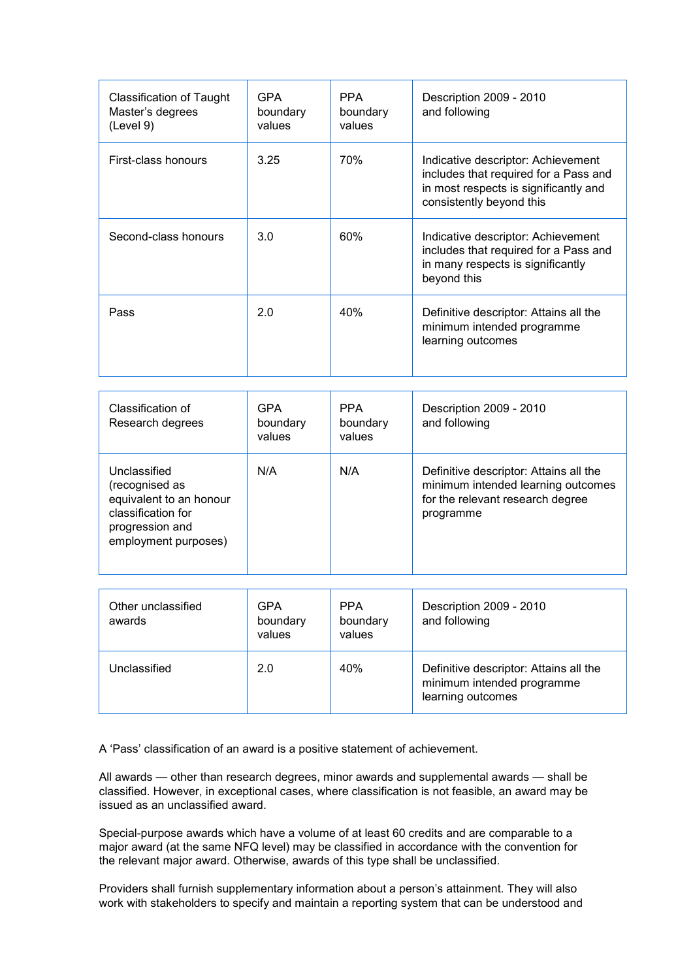| Classification of Taught<br>Master's degrees<br>(Level 9) | <b>GPA</b><br>boundary<br>values | PPA<br>boundary<br>values | Description 2009 - 2010<br>and following                                                                                                         |
|-----------------------------------------------------------|----------------------------------|---------------------------|--------------------------------------------------------------------------------------------------------------------------------------------------|
| First-class honours                                       | 3.25                             | 70%                       | Indicative descriptor: Achievement<br>includes that required for a Pass and<br>in most respects is significantly and<br>consistently beyond this |
| Second-class honours                                      | 3.0                              | 60%                       | Indicative descriptor: Achievement<br>includes that required for a Pass and<br>in many respects is significantly<br>beyond this                  |
| Pass                                                      | 2.0                              | 40%                       | Definitive descriptor: Attains all the<br>minimum intended programme<br>learning outcomes                                                        |

| Classification of<br>Research degrees                                                                                      | GPA<br>boundary<br>values | <b>PPA</b><br>boundary<br>values | Description 2009 - 2010<br>and following                                                                                      |
|----------------------------------------------------------------------------------------------------------------------------|---------------------------|----------------------------------|-------------------------------------------------------------------------------------------------------------------------------|
| Unclassified<br>(recognised as<br>equivalent to an honour<br>classification for<br>progression and<br>employment purposes) | N/A                       | N/A                              | Definitive descriptor: Attains all the<br>minimum intended learning outcomes<br>for the relevant research degree<br>programme |

| Other unclassified<br>awards | GPA<br>boundary<br>values | <b>PPA</b><br>boundary<br>values | Description 2009 - 2010<br>and following                                                  |
|------------------------------|---------------------------|----------------------------------|-------------------------------------------------------------------------------------------|
| Unclassified                 | 2.0                       | 40%                              | Definitive descriptor: Attains all the<br>minimum intended programme<br>learning outcomes |

A 'Pass' classification of an award is a positive statement of achievement.

All awards — other than research degrees, minor awards and supplemental awards — shall be classified. However, in exceptional cases, where classification is not feasible, an award may be issued as an unclassified award.

Special-purpose awards which have a volume of at least 60 credits and are comparable to a major award (at the same NFQ level) may be classified in accordance with the convention for the relevant major award. Otherwise, awards of this type shall be unclassified.

Providers shall furnish supplementary information about a person's attainment. They will also work with stakeholders to specify and maintain a reporting system that can be understood and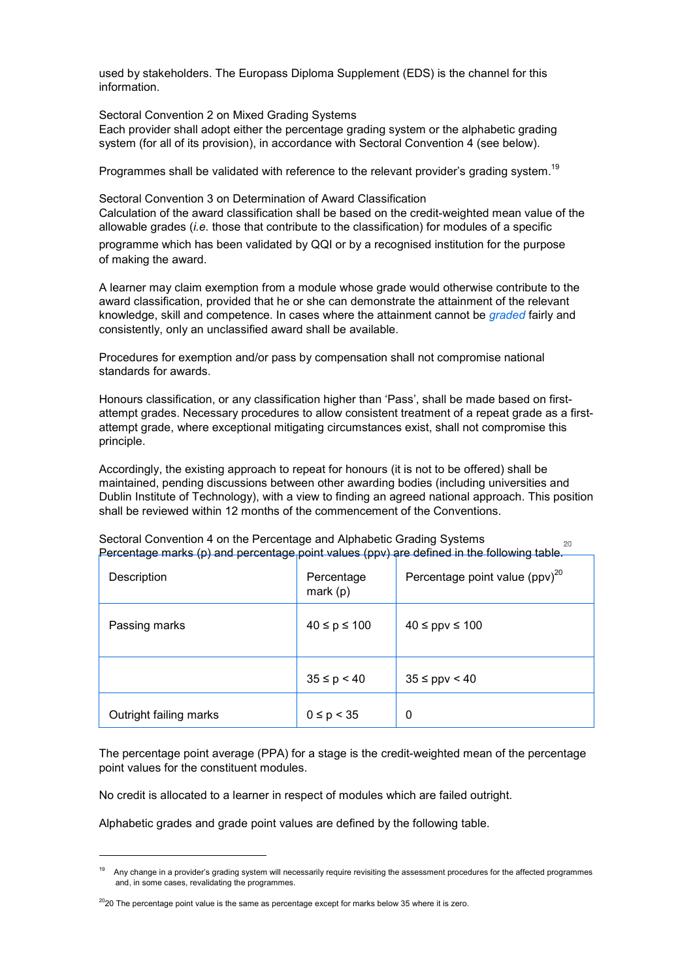used by stakeholders. The Europass Diploma Supplement (EDS) is the channel for this information.

Sectoral Convention 2 on Mixed Grading Systems Each provider shall adopt either the percentage grading system or the alphabetic grading system (for all of its provision), in accordance with Sectoral Convention 4 (see below).

Programmes shall be validated with reference to the relevant provider's grading system.<sup>19</sup>

Sectoral Convention 3 on Determination of Award Classification Calculation of the award classification shall be based on the credit-weighted mean value of the allowable grades (*i.e.* those that contribute to the classification) for modules of a specific programme which has been validated by QQI or by a recognised institution for the purpose of making the award.

A learner may claim exemption from a module whose grade would otherwise contribute to the award classification, provided that he or she can demonstrate the attainment of the relevant knowledge, skill and competence. In cases where the attainment cannot be *graded* fairly and consistently, only an unclassified award shall be available.

Procedures for exemption and/or pass by compensation shall not compromise national standards for awards.

Honours classification, or any classification higher than 'Pass', shall be made based on firstattempt grades. Necessary procedures to allow consistent treatment of a repeat grade as a firstattempt grade, where exceptional mitigating circumstances exist, shall not compromise this principle.

Accordingly, the existing approach to repeat for honours (it is not to be offered) shall be maintained, pending discussions between other awarding bodies (including universities and Dublin Institute of Technology), with a view to finding an agreed national approach. This position shall be reviewed within 12 months of the commencement of the Conventions.

| Description            | Percentage<br>mark $(p)$ | Percentage point value $(ppv)^{20}$ |
|------------------------|--------------------------|-------------------------------------|
| Passing marks          | $40 \le p \le 100$       | $40 \leq ppv \leq 100$              |
|                        | $35 \le p < 40$          | $35 \leq ppv \leq 40$               |
| Outright failing marks | $0 \le p < 35$           | 0                                   |

Sectoral Convention 4 on the Percentage and Alphabetic Grading Systems Percentage marks (p) and percentage point values (ppv) are defined in the following table.

The percentage point average (PPA) for a stage is the credit-weighted mean of the percentage point values for the constituent modules.

No credit is allocated to a learner in respect of modules which are failed outright.

Alphabetic grades and grade point values are defined by the following table.

j

<sup>19</sup> Any change in a provider's grading system will necessarily require revisiting the assessment procedures for the affected programmes and, in some cases, revalidating the programmes.

 $2020$  The percentage point value is the same as percentage except for marks below 35 where it is zero.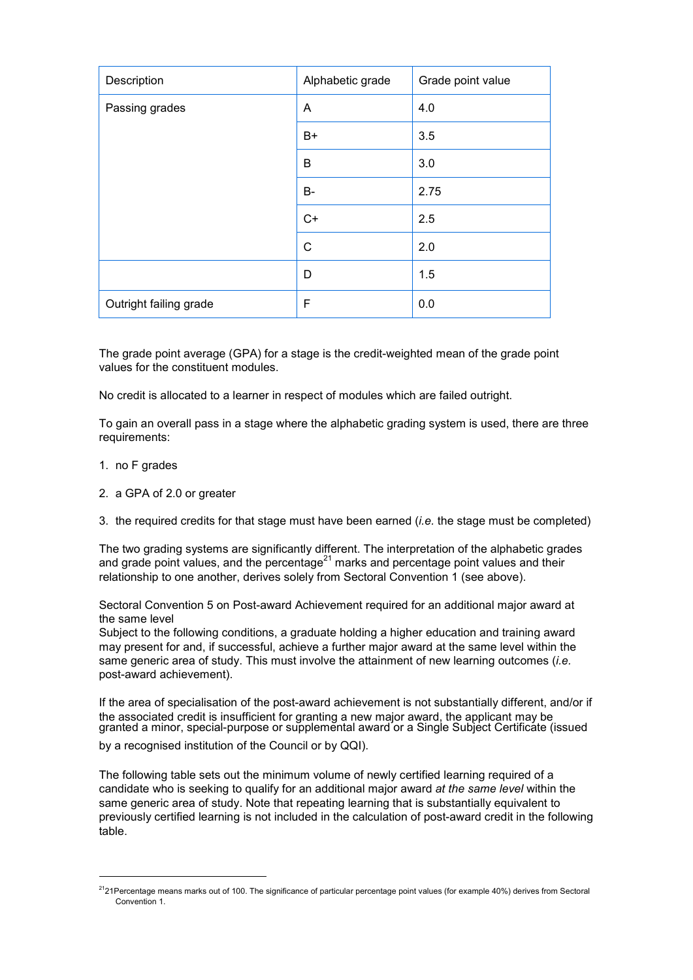| Description            | Alphabetic grade | Grade point value |
|------------------------|------------------|-------------------|
| Passing grades         | A                | 4.0               |
|                        | B+               | 3.5               |
|                        | B                | 3.0               |
|                        | B-               | 2.75              |
|                        | $C+$             | 2.5               |
|                        | $\mathsf{C}$     | 2.0               |
|                        | D                | 1.5               |
| Outright failing grade | F                | 0.0               |

The grade point average (GPA) for a stage is the credit-weighted mean of the grade point values for the constituent modules.

No credit is allocated to a learner in respect of modules which are failed outright.

To gain an overall pass in a stage where the alphabetic grading system is used, there are three requirements:

1. no F grades

i,

- 2. a GPA of 2.0 or greater
- 3. the required credits for that stage must have been earned (*i.e.* the stage must be completed)

The two grading systems are significantly different. The interpretation of the alphabetic grades and grade point values, and the percentage $^{21}$  marks and percentage point values and their relationship to one another, derives solely from Sectoral Convention 1 (see above).

Sectoral Convention 5 on Post-award Achievement required for an additional major award at the same level

Subject to the following conditions, a graduate holding a higher education and training award may present for and, if successful, achieve a further major award at the same level within the same generic area of study. This must involve the attainment of new learning outcomes (*i.e.* post-award achievement).

If the area of specialisation of the post-award achievement is not substantially different, and/or if the associated credit is insufficient for granting a new major award, the applicant may be granted a minor, special-purpose or supplemental award or a Single Subject Certificate (issued

by a recognised institution of the Council or by QQI).

The following table sets out the minimum volume of newly certified learning required of a candidate who is seeking to qualify for an additional major award *at the same level* within the same generic area of study. Note that repeating learning that is substantially equivalent to previously certified learning is not included in the calculation of post-award credit in the following table.

 $^{21}$ 21Percentage means marks out of 100. The significance of particular percentage point values (for example 40%) derives from Sectoral Convention 1.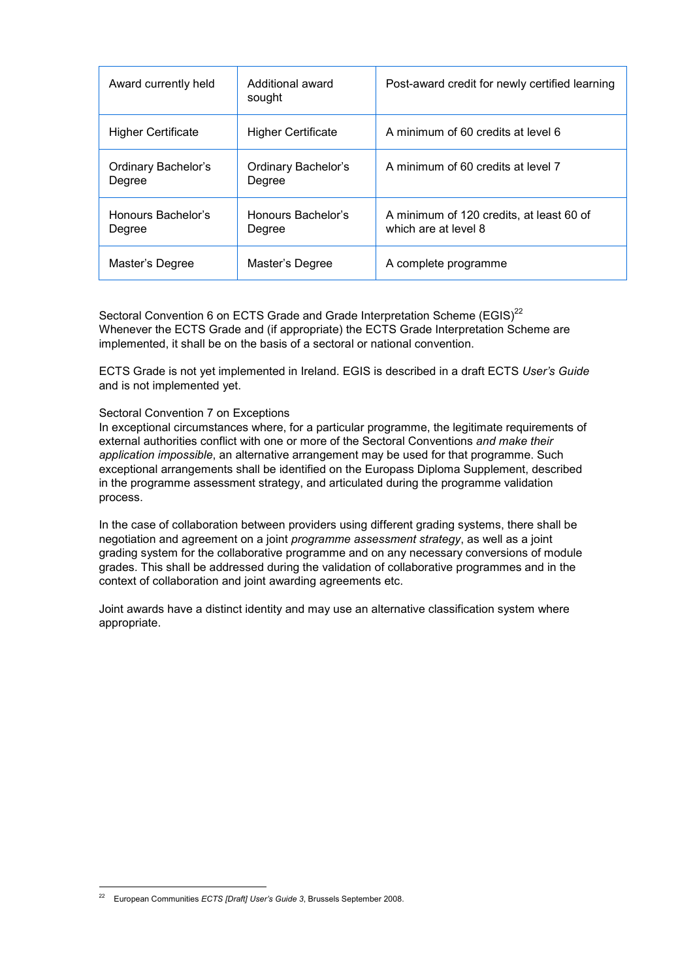| Award currently held          | Additional award<br>sought    | Post-award credit for newly certified learning                   |
|-------------------------------|-------------------------------|------------------------------------------------------------------|
| <b>Higher Certificate</b>     | <b>Higher Certificate</b>     | A minimum of 60 credits at level 6                               |
| Ordinary Bachelor's<br>Degree | Ordinary Bachelor's<br>Degree | A minimum of 60 credits at level 7                               |
| Honours Bachelor's<br>Degree  | Honours Bachelor's<br>Degree  | A minimum of 120 credits, at least 60 of<br>which are at level 8 |
| Master's Degree               | Master's Degree               | A complete programme                                             |

Sectoral Convention 6 on ECTS Grade and Grade Interpretation Scheme (EGIS)<sup>22</sup> Whenever the ECTS Grade and (if appropriate) the ECTS Grade Interpretation Scheme are implemented, it shall be on the basis of a sectoral or national convention.

ECTS Grade is not yet implemented in Ireland. EGIS is described in a draft ECTS *User's Guide* and is not implemented yet.

#### Sectoral Convention 7 on Exceptions

In exceptional circumstances where, for a particular programme, the legitimate requirements of external authorities conflict with one or more of the Sectoral Conventions *and make their application impossible*, an alternative arrangement may be used for that programme. Such exceptional arrangements shall be identified on the Europass Diploma Supplement, described in the programme assessment strategy, and articulated during the programme validation process.

In the case of collaboration between providers using different grading systems, there shall be negotiation and agreement on a joint *programme assessment strategy*, as well as a joint grading system for the collaborative programme and on any necessary conversions of module grades. This shall be addressed during the validation of collaborative programmes and in the context of collaboration and joint awarding agreements etc.

Joint awards have a distinct identity and may use an alternative classification system where appropriate.

 $\overline{a}$ <sup>22</sup> European Communities *ECTS [Draft] User's Guide 3*, Brussels September 2008.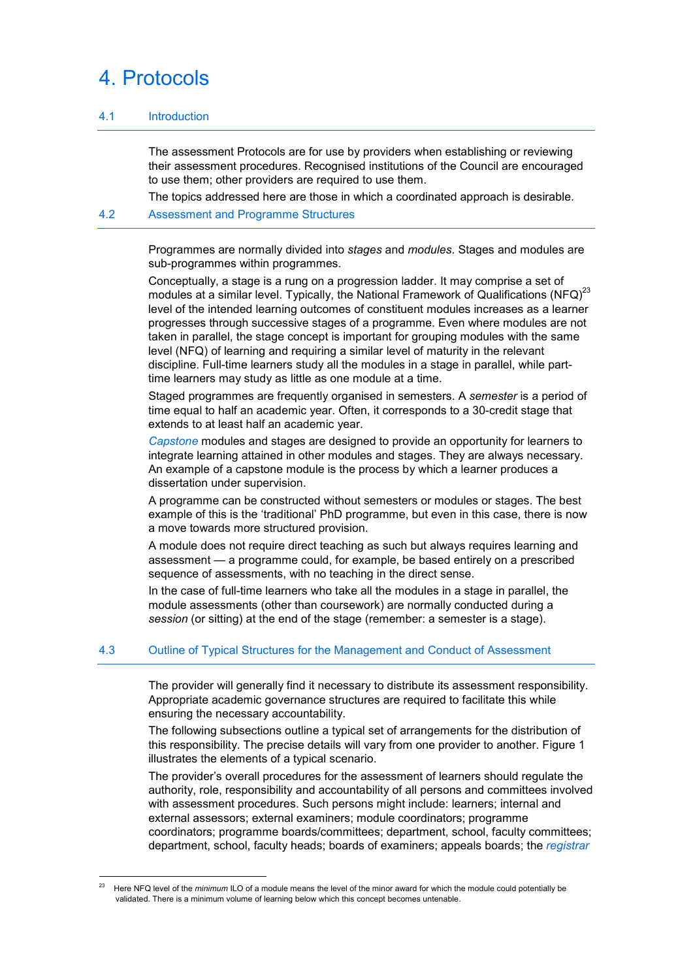# 4. Protocols

# 4.1 Introduction

 The assessment Protocols are for use by providers when establishing or reviewing their assessment procedures. Recognised institutions of the Council are encouraged to use them; other providers are required to use them.

The topics addressed here are those in which a coordinated approach is desirable.

## 4.2 Assessment and Programme Structures

 Programmes are normally divided into *stages* and *modules*. Stages and modules are sub-programmes within programmes.

 Conceptually, a stage is a rung on a progression ladder. It may comprise a set of modules at a similar level. Typically, the National Framework of Qualifications  $(NFQ)^{23}$ level of the intended learning outcomes of constituent modules increases as a learner progresses through successive stages of a programme. Even where modules are not taken in parallel, the stage concept is important for grouping modules with the same level (NFQ) of learning and requiring a similar level of maturity in the relevant discipline. Full-time learners study all the modules in a stage in parallel, while parttime learners may study as little as one module at a time.

 Staged programmes are frequently organised in semesters. A *semester* is a period of time equal to half an academic year. Often, it corresponds to a 30-credit stage that extends to at least half an academic year.

 *Capstone* modules and stages are designed to provide an opportunity for learners to integrate learning attained in other modules and stages. They are always necessary. An example of a capstone module is the process by which a learner produces a dissertation under supervision.

 A programme can be constructed without semesters or modules or stages. The best example of this is the 'traditional' PhD programme, but even in this case, there is now a move towards more structured provision.

 A module does not require direct teaching as such but always requires learning and assessment — a programme could, for example, be based entirely on a prescribed sequence of assessments, with no teaching in the direct sense.

 In the case of full-time learners who take all the modules in a stage in parallel, the module assessments (other than coursework) are normally conducted during a *session* (or sitting) at the end of the stage (remember: a semester is a stage).

# 4.3 Outline of Typical Structures for the Management and Conduct of Assessment

 The provider will generally find it necessary to distribute its assessment responsibility. Appropriate academic governance structures are required to facilitate this while ensuring the necessary accountability.

 The following subsections outline a typical set of arrangements for the distribution of this responsibility. The precise details will vary from one provider to another. Figure 1 illustrates the elements of a typical scenario.

 The provider's overall procedures for the assessment of learners should regulate the authority, role, responsibility and accountability of all persons and committees involved with assessment procedures. Such persons might include: learners; internal and external assessors; external examiners; module coordinators; programme coordinators; programme boards/committees; department, school, faculty committees; department, school, faculty heads; boards of examiners; appeals boards; the *registrar*

 $\overline{a}$ <sup>23</sup> Here NFQ level of the *minimum* ILO of a module means the level of the minor award for which the module could potentially be validated. There is a minimum volume of learning below which this concept becomes untenable.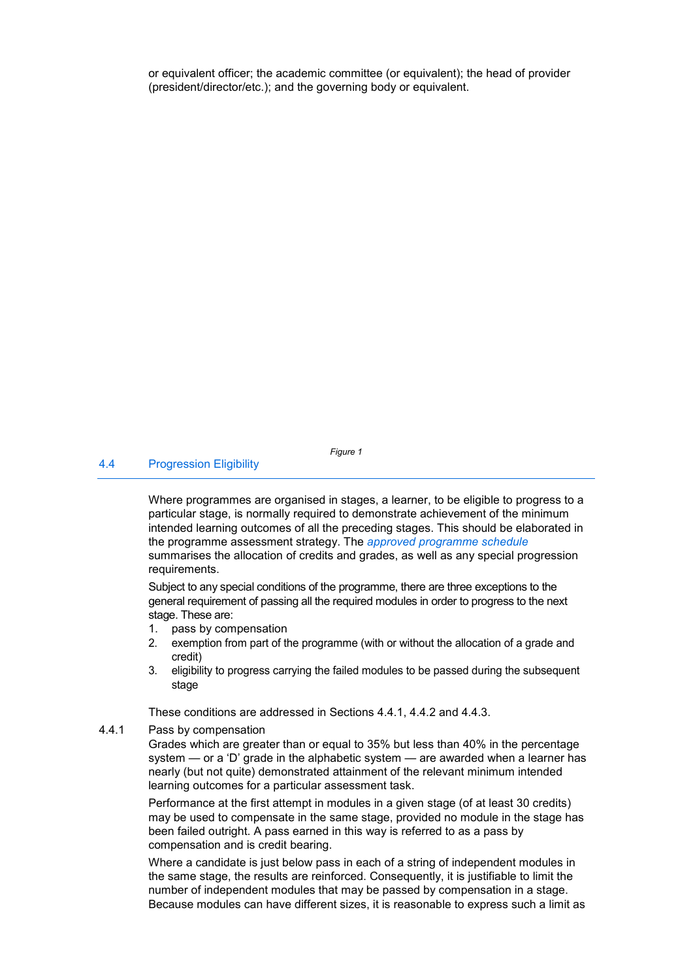or equivalent officer; the academic committee (or equivalent); the head of provider (president/director/etc.); and the governing body or equivalent.

### 4.4 Progression Eligibility

*Figure 1* 

 Where programmes are organised in stages, a learner, to be eligible to progress to a particular stage, is normally required to demonstrate achievement of the minimum intended learning outcomes of all the preceding stages. This should be elaborated in the programme assessment strategy. The *approved programme schedule* summarises the allocation of credits and grades, as well as any special progression requirements.

 Subject to any special conditions of the programme, there are three exceptions to the general requirement of passing all the required modules in order to progress to the next stage. These are:

- 1. pass by compensation
- 2. exemption from part of the programme (with or without the allocation of a grade and credit)
- 3. eligibility to progress carrying the failed modules to be passed during the subsequent stage

These conditions are addressed in Sections 4.4.1, 4.4.2 and 4.4.3.

4.4.1 Pass by compensation

 Grades which are greater than or equal to 35% but less than 40% in the percentage system — or a 'D' grade in the alphabetic system — are awarded when a learner has nearly (but not quite) demonstrated attainment of the relevant minimum intended learning outcomes for a particular assessment task.

 Performance at the first attempt in modules in a given stage (of at least 30 credits) may be used to compensate in the same stage, provided no module in the stage has been failed outright. A pass earned in this way is referred to as a pass by compensation and is credit bearing.

 Where a candidate is just below pass in each of a string of independent modules in the same stage, the results are reinforced. Consequently, it is justifiable to limit the number of independent modules that may be passed by compensation in a stage. Because modules can have different sizes, it is reasonable to express such a limit as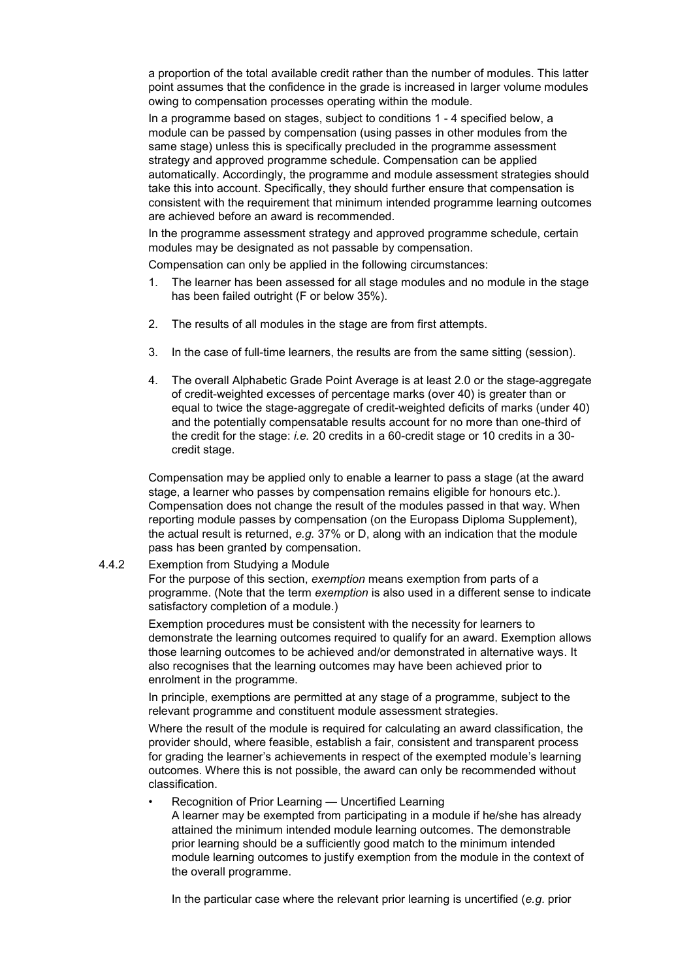a proportion of the total available credit rather than the number of modules. This latter point assumes that the confidence in the grade is increased in larger volume modules owing to compensation processes operating within the module.

 In a programme based on stages, subject to conditions 1 - 4 specified below, a module can be passed by compensation (using passes in other modules from the same stage) unless this is specifically precluded in the programme assessment strategy and approved programme schedule. Compensation can be applied automatically. Accordingly, the programme and module assessment strategies should take this into account. Specifically, they should further ensure that compensation is consistent with the requirement that minimum intended programme learning outcomes are achieved before an award is recommended.

 In the programme assessment strategy and approved programme schedule, certain modules may be designated as not passable by compensation.

Compensation can only be applied in the following circumstances:

- 1. The learner has been assessed for all stage modules and no module in the stage has been failed outright (F or below 35%).
- 2. The results of all modules in the stage are from first attempts.
- 3. In the case of full-time learners, the results are from the same sitting (session).
- 4. The overall Alphabetic Grade Point Average is at least 2.0 or the stage-aggregate of credit-weighted excesses of percentage marks (over 40) is greater than or equal to twice the stage-aggregate of credit-weighted deficits of marks (under 40) and the potentially compensatable results account for no more than one-third of the credit for the stage: *i.e.* 20 credits in a 60-credit stage or 10 credits in a 30 credit stage.

 Compensation may be applied only to enable a learner to pass a stage (at the award stage, a learner who passes by compensation remains eligible for honours etc.). Compensation does not change the result of the modules passed in that way. When reporting module passes by compensation (on the Europass Diploma Supplement), the actual result is returned, *e.g.* 37% or D, along with an indication that the module pass has been granted by compensation.

#### 4.4.2 Exemption from Studying a Module

 For the purpose of this section, *exemption* means exemption from parts of a programme. (Note that the term *exemption* is also used in a different sense to indicate satisfactory completion of a module.)

 Exemption procedures must be consistent with the necessity for learners to demonstrate the learning outcomes required to qualify for an award. Exemption allows those learning outcomes to be achieved and/or demonstrated in alternative ways. It also recognises that the learning outcomes may have been achieved prior to enrolment in the programme.

 In principle, exemptions are permitted at any stage of a programme, subject to the relevant programme and constituent module assessment strategies.

 Where the result of the module is required for calculating an award classification, the provider should, where feasible, establish a fair, consistent and transparent process for grading the learner's achievements in respect of the exempted module's learning outcomes. Where this is not possible, the award can only be recommended without classification.

- Recognition of Prior Learning Uncertified Learning
	- A learner may be exempted from participating in a module if he/she has already attained the minimum intended module learning outcomes. The demonstrable prior learning should be a sufficiently good match to the minimum intended module learning outcomes to justify exemption from the module in the context of the overall programme.

In the particular case where the relevant prior learning is uncertified (*e.g*. prior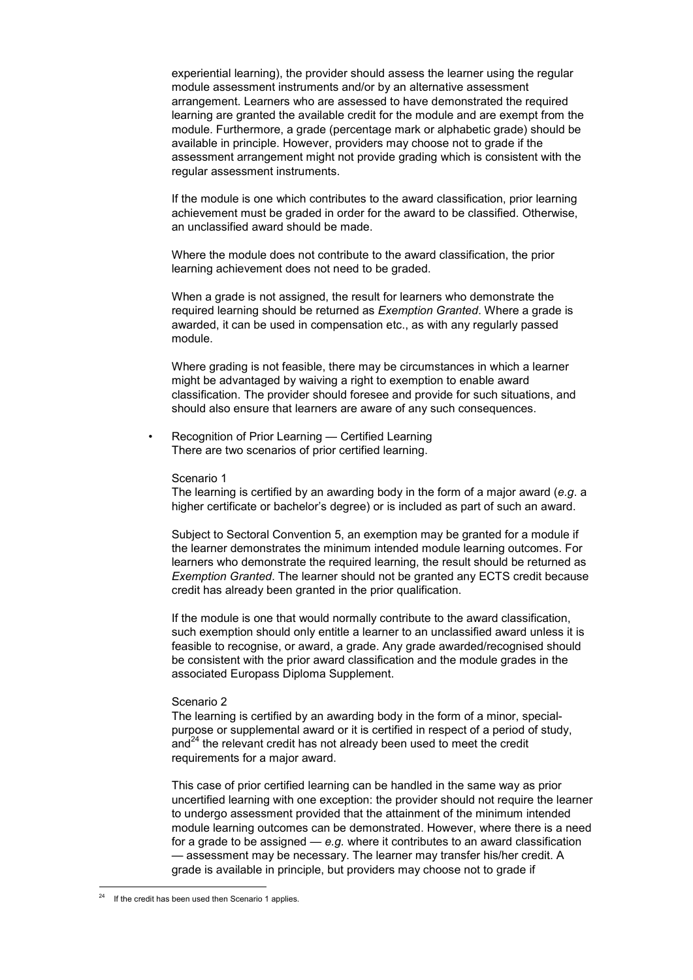experiential learning), the provider should assess the learner using the regular module assessment instruments and/or by an alternative assessment arrangement. Learners who are assessed to have demonstrated the required learning are granted the available credit for the module and are exempt from the module. Furthermore, a grade (percentage mark or alphabetic grade) should be available in principle. However, providers may choose not to grade if the assessment arrangement might not provide grading which is consistent with the regular assessment instruments.

 If the module is one which contributes to the award classification, prior learning achievement must be graded in order for the award to be classified. Otherwise, an unclassified award should be made.

 Where the module does not contribute to the award classification, the prior learning achievement does not need to be graded.

 When a grade is not assigned, the result for learners who demonstrate the required learning should be returned as *Exemption Granted*. Where a grade is awarded, it can be used in compensation etc., as with any regularly passed module.

 Where grading is not feasible, there may be circumstances in which a learner might be advantaged by waiving a right to exemption to enable award classification. The provider should foresee and provide for such situations, and should also ensure that learners are aware of any such consequences.

Recognition of Prior Learning — Certified Learning There are two scenarios of prior certified learning.

#### Scenario 1

 The learning is certified by an awarding body in the form of a major award (*e.g*. a higher certificate or bachelor's degree) or is included as part of such an award.

 Subject to Sectoral Convention 5, an exemption may be granted for a module if the learner demonstrates the minimum intended module learning outcomes. For learners who demonstrate the required learning, the result should be returned as *Exemption Granted*. The learner should not be granted any ECTS credit because credit has already been granted in the prior qualification.

 If the module is one that would normally contribute to the award classification, such exemption should only entitle a learner to an unclassified award unless it is feasible to recognise, or award, a grade. Any grade awarded/recognised should be consistent with the prior award classification and the module grades in the associated Europass Diploma Supplement.

#### Scenario 2

 The learning is certified by an awarding body in the form of a minor, specialpurpose or supplemental award or it is certified in respect of a period of study,  $a$ nd<sup>24</sup> the relevant credit has not already been used to meet the credit requirements for a major award.

 This case of prior certified learning can be handled in the same way as prior uncertified learning with one exception: the provider should not require the learner to undergo assessment provided that the attainment of the minimum intended module learning outcomes can be demonstrated. However, where there is a need for a grade to be assigned — *e.g.* where it contributes to an award classification — assessment may be necessary. The learner may transfer his/her credit. A grade is available in principle, but providers may choose not to grade if

 $\overline{a}$ 

If the credit has been used then Scenario 1 applies.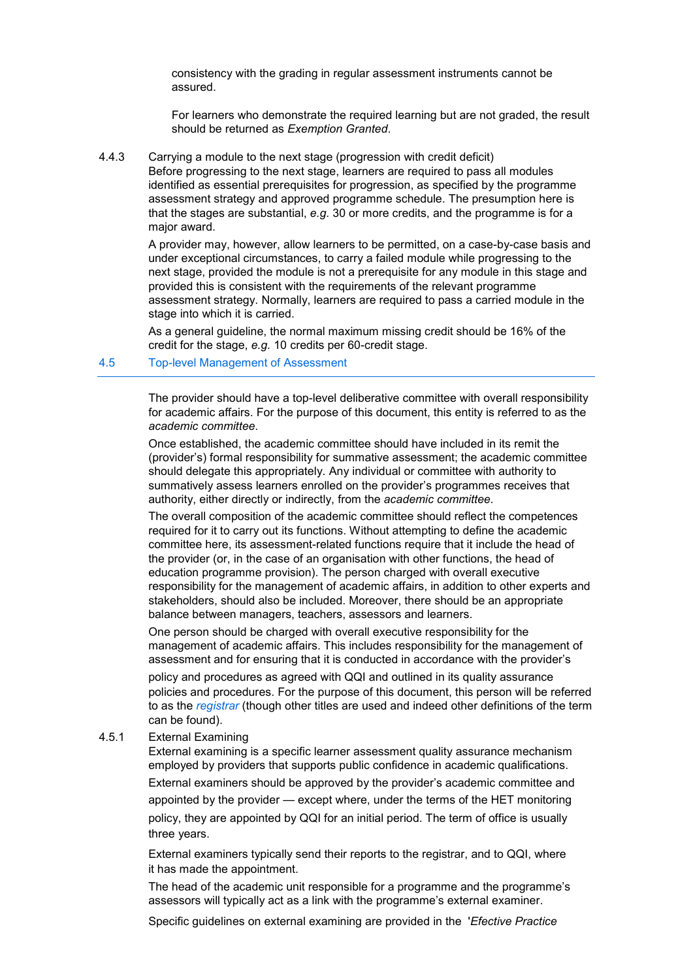consistency with the grading in regular assessment instruments cannot be assured.

 For learners who demonstrate the required learning but are not graded, the result should be returned as *Exemption Granted*.

4.4.3 Carrying a module to the next stage (progression with credit deficit)

 Before progressing to the next stage, learners are required to pass all modules identified as essential prerequisites for progression, as specified by the programme assessment strategy and approved programme schedule. The presumption here is that the stages are substantial, *e.g.* 30 or more credits, and the programme is for a major award.

 A provider may, however, allow learners to be permitted, on a case-by-case basis and under exceptional circumstances, to carry a failed module while progressing to the next stage, provided the module is not a prerequisite for any module in this stage and provided this is consistent with the requirements of the relevant programme assessment strategy. Normally, learners are required to pass a carried module in the stage into which it is carried.

 As a general guideline, the normal maximum missing credit should be 16% of the credit for the stage, *e.g.* 10 credits per 60-credit stage.

#### 4.5 Top-level Management of Assessment

 The provider should have a top-level deliberative committee with overall responsibility for academic affairs. For the purpose of this document, this entity is referred to as the *academic committee*.

 Once established, the academic committee should have included in its remit the (provider's) formal responsibility for summative assessment; the academic committee should delegate this appropriately. Any individual or committee with authority to summatively assess learners enrolled on the provider's programmes receives that authority, either directly or indirectly, from the *academic committee*.

 The overall composition of the academic committee should reflect the competences required for it to carry out its functions. Without attempting to define the academic committee here, its assessment-related functions require that it include the head of the provider (or, in the case of an organisation with other functions, the head of education programme provision). The person charged with overall executive responsibility for the management of academic affairs, in addition to other experts and stakeholders, should also be included. Moreover, there should be an appropriate balance between managers, teachers, assessors and learners.

 One person should be charged with overall executive responsibility for the management of academic affairs. This includes responsibility for the management of assessment and for ensuring that it is conducted in accordance with the provider's policy and procedures as agreed with QQI and outlined in its quality assurance policies and procedures. For the purpose of this document, this person will be referred to as the *registrar* (though other titles are used and indeed other definitions of the term can be found).

#### 4.5.1 External Examining

 External examining is a specific learner assessment quality assurance mechanism employed by providers that supports public confidence in academic qualifications. External examiners should be approved by the provider's academic committee and appointed by the provider — except where, under the terms of the HET monitoring policy, they are appointed by QQI for an initial period. The term of office is usually three years.

 External examiners typically send their reports to the registrar, and to QQI, where it has made the appointment.

 The head of the academic unit responsible for a programme and the programme's assessors will typically act as a link with the programme's external examiner.

Specific guidelines on external examining are provided in the '*Efective Practice*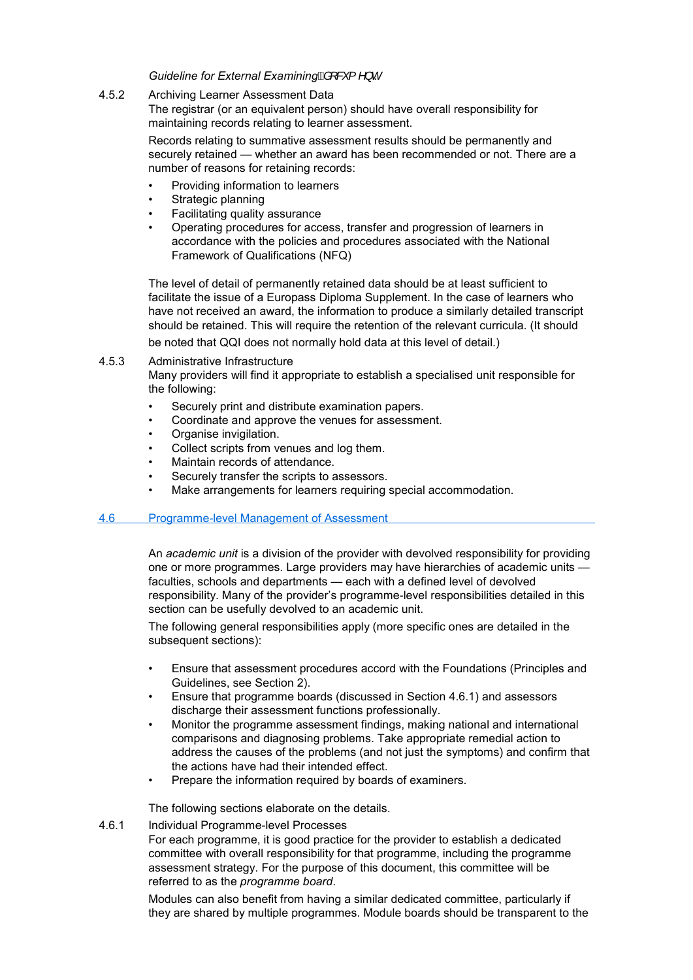# *Guideline for External Examining<sup>®</sup> [ & { ^ } c*

# 4.5.2 Archiving Learner Assessment Data

 The registrar (or an equivalent person) should have overall responsibility for maintaining records relating to learner assessment.

 Records relating to summative assessment results should be permanently and securely retained — whether an award has been recommended or not. There are a number of reasons for retaining records:

- Providing information to learners
- Strategic planning
- Facilitating quality assurance
- Operating procedures for access, transfer and progression of learners in accordance with the policies and procedures associated with the National Framework of Qualifications (NFQ)

 The level of detail of permanently retained data should be at least sufficient to facilitate the issue of a Europass Diploma Supplement. In the case of learners who have not received an award, the information to produce a similarly detailed transcript should be retained. This will require the retention of the relevant curricula. (It should be noted that QQI does not normally hold data at this level of detail.)

# 4.5.3 Administrative Infrastructure

 Many providers will find it appropriate to establish a specialised unit responsible for the following:

- Securely print and distribute examination papers.
- Coordinate and approve the venues for assessment.
- Organise invigilation.
- Collect scripts from venues and log them.
- Maintain records of attendance.
- Securely transfer the scripts to assessors.
- Make arrangements for learners requiring special accommodation.

# 4.6 Programme-level Management of Assessment

 An *academic unit* is a division of the provider with devolved responsibility for providing one or more programmes. Large providers may have hierarchies of academic units faculties, schools and departments — each with a defined level of devolved responsibility. Many of the provider's programme-level responsibilities detailed in this section can be usefully devolved to an academic unit.

 The following general responsibilities apply (more specific ones are detailed in the subsequent sections):

- Ensure that assessment procedures accord with the Foundations (Principles and Guidelines, see Section 2).
- Ensure that programme boards (discussed in Section 4.6.1) and assessors discharge their assessment functions professionally.
- Monitor the programme assessment findings, making national and international comparisons and diagnosing problems. Take appropriate remedial action to address the causes of the problems (and not just the symptoms) and confirm that the actions have had their intended effect.
- Prepare the information required by boards of examiners.

The following sections elaborate on the details.

# 4.6.1 Individual Programme-level Processes

 For each programme, it is good practice for the provider to establish a dedicated committee with overall responsibility for that programme, including the programme assessment strategy. For the purpose of this document, this committee will be referred to as the *programme board*.

 Modules can also benefit from having a similar dedicated committee, particularly if they are shared by multiple programmes. Module boards should be transparent to the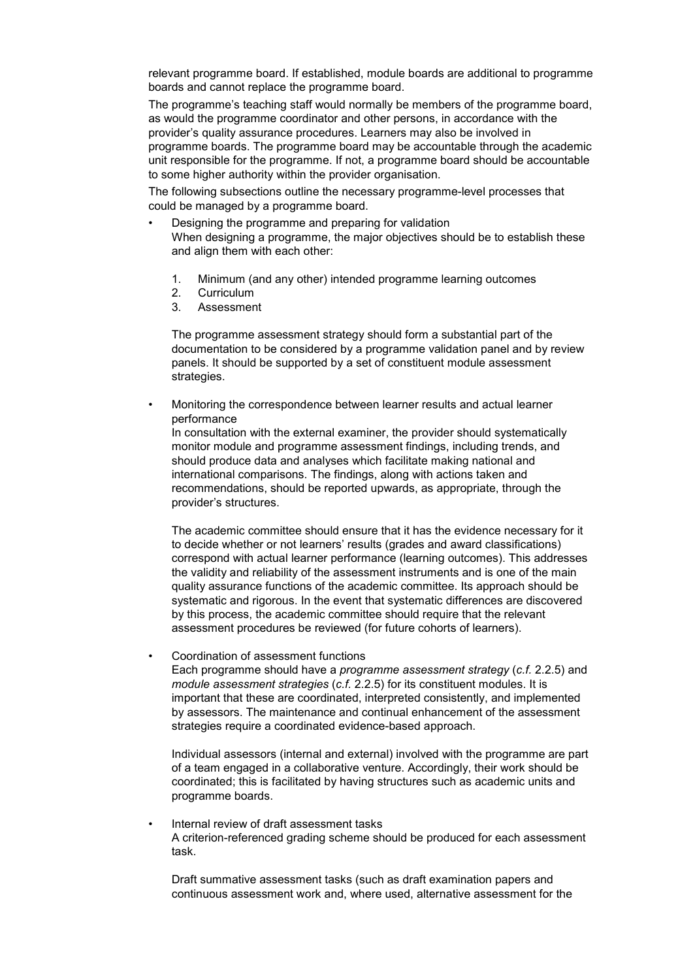relevant programme board. If established, module boards are additional to programme boards and cannot replace the programme board.

 The programme's teaching staff would normally be members of the programme board, as would the programme coordinator and other persons, in accordance with the provider's quality assurance procedures. Learners may also be involved in programme boards. The programme board may be accountable through the academic unit responsible for the programme. If not, a programme board should be accountable to some higher authority within the provider organisation.

 The following subsections outline the necessary programme-level processes that could be managed by a programme board.

- Designing the programme and preparing for validation When designing a programme, the major objectives should be to establish these and align them with each other:
	- 1. Minimum (and any other) intended programme learning outcomes
	- 2. Curriculum
	- 3. Assessment

 The programme assessment strategy should form a substantial part of the documentation to be considered by a programme validation panel and by review panels. It should be supported by a set of constituent module assessment strategies.

 • Monitoring the correspondence between learner results and actual learner performance In consultation with the external examiner, the provider should systematically

monitor module and programme assessment findings, including trends, and should produce data and analyses which facilitate making national and international comparisons. The findings, along with actions taken and recommendations, should be reported upwards, as appropriate, through the provider's structures.

 The academic committee should ensure that it has the evidence necessary for it to decide whether or not learners' results (grades and award classifications) correspond with actual learner performance (learning outcomes). This addresses the validity and reliability of the assessment instruments and is one of the main quality assurance functions of the academic committee. Its approach should be systematic and rigorous. In the event that systematic differences are discovered by this process, the academic committee should require that the relevant assessment procedures be reviewed (for future cohorts of learners).

• Coordination of assessment functions

 Each programme should have a *programme assessment strategy* (*c.f.* 2.2.5) and *module assessment strategies* (*c.f.* 2.2.5) for its constituent modules. It is important that these are coordinated, interpreted consistently, and implemented by assessors. The maintenance and continual enhancement of the assessment strategies require a coordinated evidence-based approach.

 Individual assessors (internal and external) involved with the programme are part of a team engaged in a collaborative venture. Accordingly, their work should be coordinated; this is facilitated by having structures such as academic units and programme boards.

 • Internal review of draft assessment tasks A criterion-referenced grading scheme should be produced for each assessment task.

 Draft summative assessment tasks (such as draft examination papers and continuous assessment work and, where used, alternative assessment for the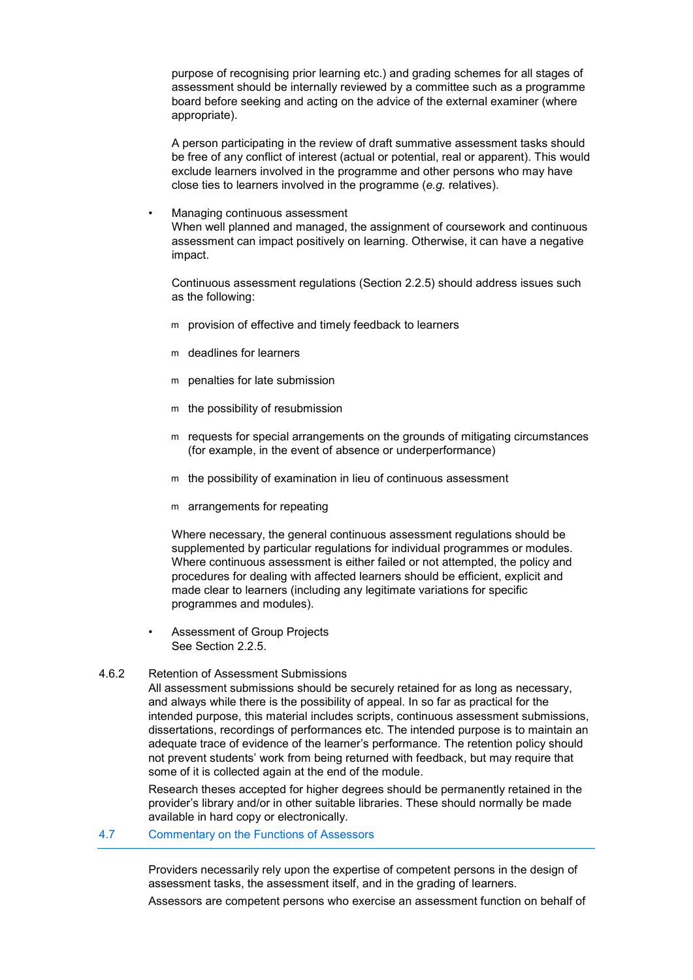purpose of recognising prior learning etc.) and grading schemes for all stages of assessment should be internally reviewed by a committee such as a programme board before seeking and acting on the advice of the external examiner (where appropriate).

 A person participating in the review of draft summative assessment tasks should be free of any conflict of interest (actual or potential, real or apparent). This would exclude learners involved in the programme and other persons who may have close ties to learners involved in the programme (*e.g.* relatives).

• Managing continuous assessment

 When well planned and managed, the assignment of coursework and continuous assessment can impact positively on learning. Otherwise, it can have a negative impact.

 Continuous assessment regulations (Section 2.2.5) should address issues such as the following:

- m provision of effective and timely feedback to learners
- m deadlines for learners
- m penalties for late submission
- m the possibility of resubmission
- m requests for special arrangements on the grounds of mitigating circumstances (for example, in the event of absence or underperformance)
- m the possibility of examination in lieu of continuous assessment
- m arrangements for repeating

 Where necessary, the general continuous assessment regulations should be supplemented by particular regulations for individual programmes or modules. Where continuous assessment is either failed or not attempted, the policy and procedures for dealing with affected learners should be efficient, explicit and made clear to learners (including any legitimate variations for specific programmes and modules).

- Assessment of Group Projects See Section 2.2.5.
- 4.6.2 Retention of Assessment Submissions

 All assessment submissions should be securely retained for as long as necessary, and always while there is the possibility of appeal. In so far as practical for the intended purpose, this material includes scripts, continuous assessment submissions, dissertations, recordings of performances etc. The intended purpose is to maintain an adequate trace of evidence of the learner's performance. The retention policy should not prevent students' work from being returned with feedback, but may require that some of it is collected again at the end of the module.

 Research theses accepted for higher degrees should be permanently retained in the provider's library and/or in other suitable libraries. These should normally be made available in hard copy or electronically.

4.7 Commentary on the Functions of Assessors

 Providers necessarily rely upon the expertise of competent persons in the design of assessment tasks, the assessment itself, and in the grading of learners.

Assessors are competent persons who exercise an assessment function on behalf of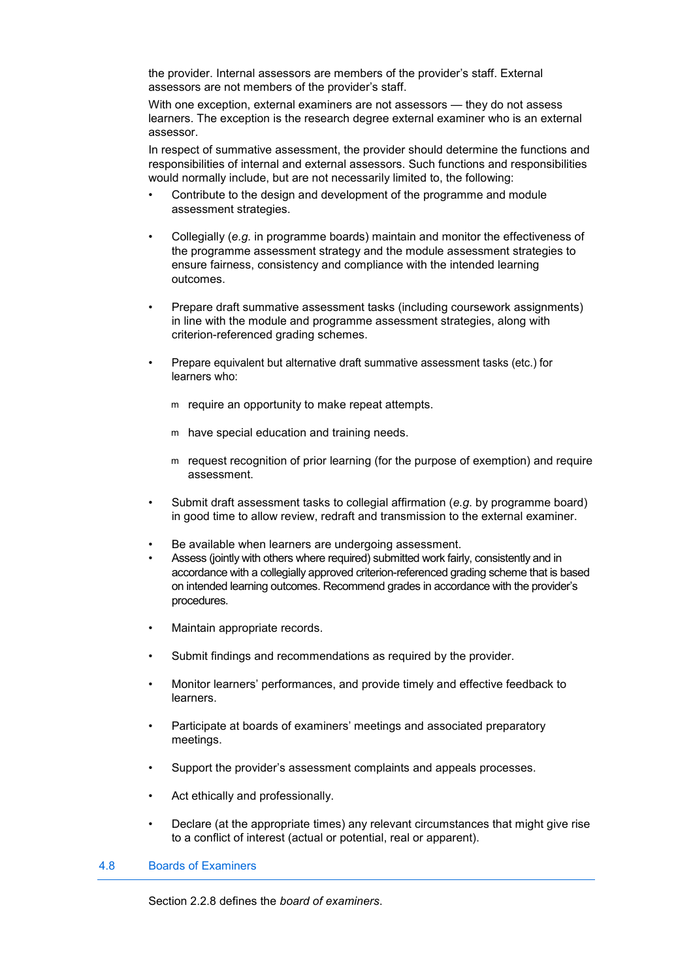the provider. Internal assessors are members of the provider's staff. External assessors are not members of the provider's staff.

 With one exception, external examiners are not assessors — they do not assess learners. The exception is the research degree external examiner who is an external assessor.

 In respect of summative assessment, the provider should determine the functions and responsibilities of internal and external assessors. Such functions and responsibilities would normally include, but are not necessarily limited to, the following:

- Contribute to the design and development of the programme and module assessment strategies.
- Collegially (*e.g.* in programme boards) maintain and monitor the effectiveness of the programme assessment strategy and the module assessment strategies to ensure fairness, consistency and compliance with the intended learning outcomes.
- Prepare draft summative assessment tasks (including coursework assignments) in line with the module and programme assessment strategies, along with criterion-referenced grading schemes.
- Prepare equivalent but alternative draft summative assessment tasks (etc.) for learners who:
	- m require an opportunity to make repeat attempts.
	- m have special education and training needs.
	- m request recognition of prior learning (for the purpose of exemption) and require assessment.
- Submit draft assessment tasks to collegial affirmation (*e.g*. by programme board) in good time to allow review, redraft and transmission to the external examiner.
- Be available when learners are undergoing assessment.
- Assess (jointly with others where required) submitted work fairly, consistently and in accordance with a collegially approved criterion-referenced grading scheme that is based on intended learning outcomes. Recommend grades in accordance with the provider's procedures.
- Maintain appropriate records.
- Submit findings and recommendations as required by the provider.
- Monitor learners' performances, and provide timely and effective feedback to learners.
- Participate at boards of examiners' meetings and associated preparatory meetings.
- Support the provider's assessment complaints and appeals processes.
- Act ethically and professionally.
- Declare (at the appropriate times) any relevant circumstances that might give rise to a conflict of interest (actual or potential, real or apparent).

#### 4.8 Boards of Examiners

Section 2.2.8 defines the *board of examiners*.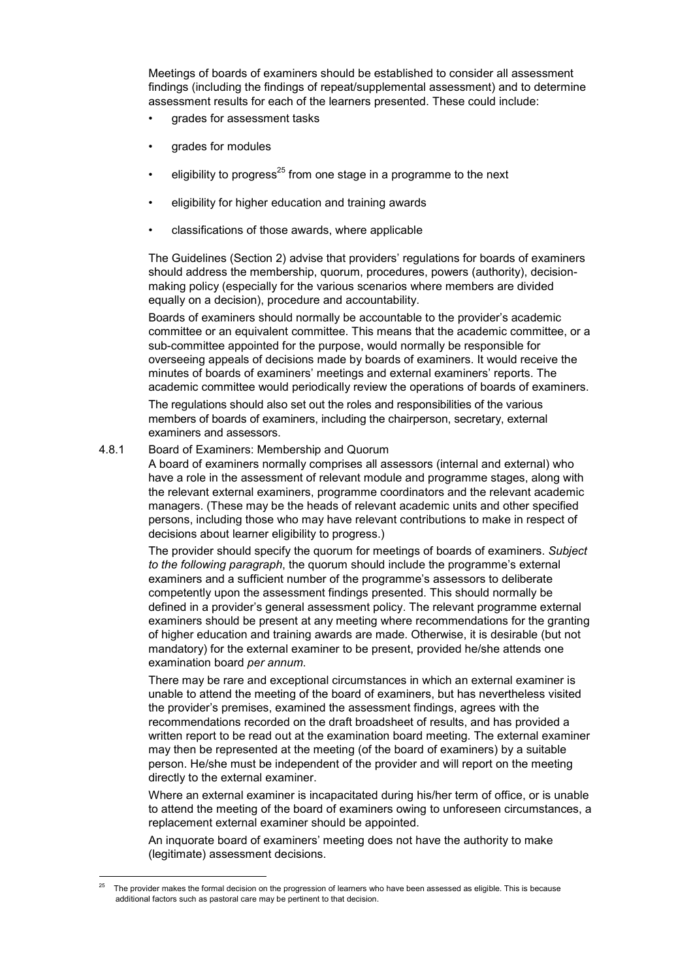Meetings of boards of examiners should be established to consider all assessment findings (including the findings of repeat/supplemental assessment) and to determine assessment results for each of the learners presented. These could include:

- grades for assessment tasks
- grades for modules
- eligibility to progress<sup>25</sup> from one stage in a programme to the next
- eligibility for higher education and training awards
- classifications of those awards, where applicable

 The Guidelines (Section 2) advise that providers' regulations for boards of examiners should address the membership, quorum, procedures, powers (authority), decisionmaking policy (especially for the various scenarios where members are divided equally on a decision), procedure and accountability.

 Boards of examiners should normally be accountable to the provider's academic committee or an equivalent committee. This means that the academic committee, or a sub-committee appointed for the purpose, would normally be responsible for overseeing appeals of decisions made by boards of examiners. It would receive the minutes of boards of examiners' meetings and external examiners' reports. The academic committee would periodically review the operations of boards of examiners.

 The regulations should also set out the roles and responsibilities of the various members of boards of examiners, including the chairperson, secretary, external examiners and assessors.

#### 4.8.1 Board of Examiners: Membership and Quorum

 $\overline{a}$ 

 A board of examiners normally comprises all assessors (internal and external) who have a role in the assessment of relevant module and programme stages, along with the relevant external examiners, programme coordinators and the relevant academic managers. (These may be the heads of relevant academic units and other specified persons, including those who may have relevant contributions to make in respect of decisions about learner eligibility to progress.)

 The provider should specify the quorum for meetings of boards of examiners. *Subject to the following paragraph*, the quorum should include the programme's external examiners and a sufficient number of the programme's assessors to deliberate competently upon the assessment findings presented. This should normally be defined in a provider's general assessment policy. The relevant programme external examiners should be present at any meeting where recommendations for the granting of higher education and training awards are made. Otherwise, it is desirable (but not mandatory) for the external examiner to be present, provided he/she attends one examination board *per annum*.

 There may be rare and exceptional circumstances in which an external examiner is unable to attend the meeting of the board of examiners, but has nevertheless visited the provider's premises, examined the assessment findings, agrees with the recommendations recorded on the draft broadsheet of results, and has provided a written report to be read out at the examination board meeting. The external examiner may then be represented at the meeting (of the board of examiners) by a suitable person. He/she must be independent of the provider and will report on the meeting directly to the external examiner.

 Where an external examiner is incapacitated during his/her term of office, or is unable to attend the meeting of the board of examiners owing to unforeseen circumstances, a replacement external examiner should be appointed.

 An inquorate board of examiners' meeting does not have the authority to make (legitimate) assessment decisions.

The provider makes the formal decision on the progression of learners who have been assessed as eligible. This is because additional factors such as pastoral care may be pertinent to that decision.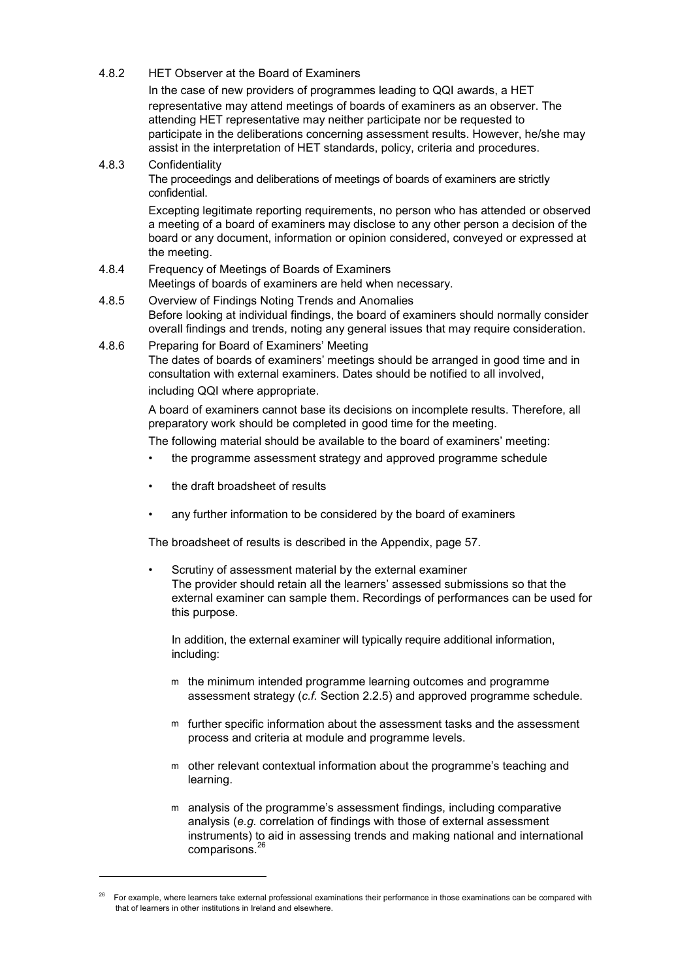4.8.2 HET Observer at the Board of Examiners

 In the case of new providers of programmes leading to QQI awards, a HET representative may attend meetings of boards of examiners as an observer. The attending HET representative may neither participate nor be requested to participate in the deliberations concerning assessment results. However, he/she may assist in the interpretation of HET standards, policy, criteria and procedures.

# 4.8.3 Confidentiality The proceedings and deliberations of meetings of boards of examiners are strictly

confidential. Excepting legitimate reporting requirements, no person who has attended or observed

a meeting of a board of examiners may disclose to any other person a decision of the board or any document, information or opinion considered, conveyed or expressed at the meeting.

- 4.8.4 Frequency of Meetings of Boards of Examiners Meetings of boards of examiners are held when necessary.
- 4.8.5 Overview of Findings Noting Trends and Anomalies Before looking at individual findings, the board of examiners should normally consider overall findings and trends, noting any general issues that may require consideration.
- 4.8.6 Preparing for Board of Examiners' Meeting The dates of boards of examiners' meetings should be arranged in good time and in consultation with external examiners. Dates should be notified to all involved,

including QQI where appropriate.

 A board of examiners cannot base its decisions on incomplete results. Therefore, all preparatory work should be completed in good time for the meeting.

The following material should be available to the board of examiners' meeting:

- the programme assessment strategy and approved programme schedule
- the draft broadsheet of results
- any further information to be considered by the board of examiners

The broadsheet of results is described in the Appendix, page 57.

Scrutiny of assessment material by the external examiner The provider should retain all the learners' assessed submissions so that the external examiner can sample them. Recordings of performances can be used for this purpose.

 In addition, the external examiner will typically require additional information, including:

- m the minimum intended programme learning outcomes and programme assessment strategy (*c.f.* Section 2.2.5) and approved programme schedule.
- m further specific information about the assessment tasks and the assessment process and criteria at module and programme levels.
- m other relevant contextual information about the programme's teaching and learning.
- m analysis of the programme's assessment findings, including comparative analysis (*e.g.* correlation of findings with those of external assessment instruments) to aid in assessing trends and making national and international comparisons.<sup>26</sup>

<sup>26</sup> For example, where learners take external professional examinations their performance in those examinations can be compared with that of learners in other institutions in Ireland and elsewhere.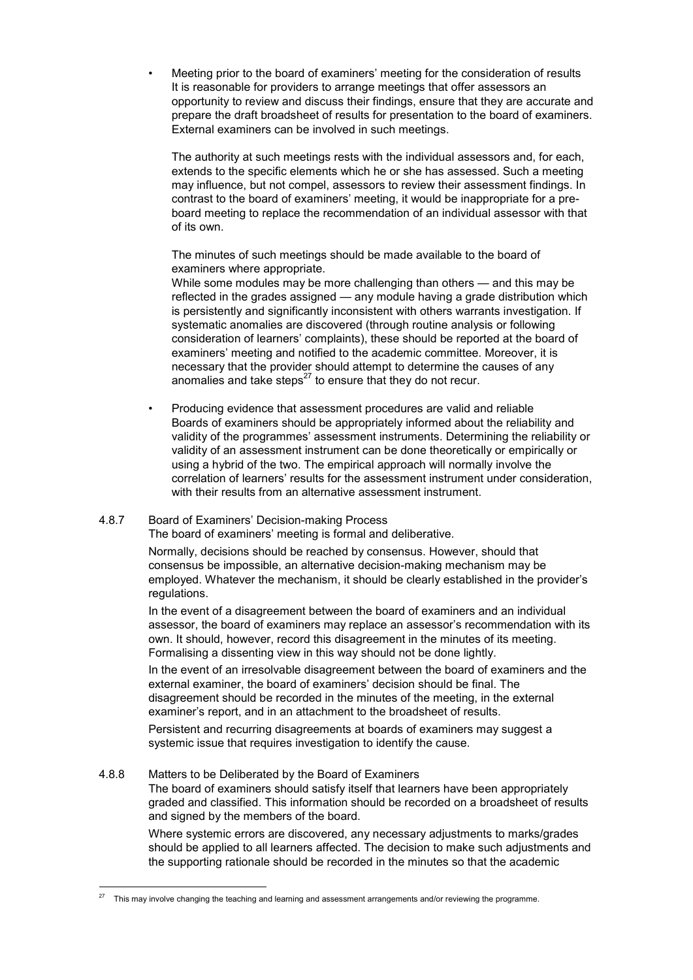• Meeting prior to the board of examiners' meeting for the consideration of results It is reasonable for providers to arrange meetings that offer assessors an opportunity to review and discuss their findings, ensure that they are accurate and prepare the draft broadsheet of results for presentation to the board of examiners. External examiners can be involved in such meetings.

 The authority at such meetings rests with the individual assessors and, for each, extends to the specific elements which he or she has assessed. Such a meeting may influence, but not compel, assessors to review their assessment findings. In contrast to the board of examiners' meeting, it would be inappropriate for a preboard meeting to replace the recommendation of an individual assessor with that of its own.

 The minutes of such meetings should be made available to the board of examiners where appropriate.

 While some modules may be more challenging than others — and this may be reflected in the grades assigned — any module having a grade distribution which is persistently and significantly inconsistent with others warrants investigation. If systematic anomalies are discovered (through routine analysis or following consideration of learners' complaints), these should be reported at the board of examiners' meeting and notified to the academic committee. Moreover, it is necessary that the provider should attempt to determine the causes of any anomalies and take steps $^{27}$  to ensure that they do not recur.

 • Producing evidence that assessment procedures are valid and reliable Boards of examiners should be appropriately informed about the reliability and validity of the programmes' assessment instruments. Determining the reliability or validity of an assessment instrument can be done theoretically or empirically or using a hybrid of the two. The empirical approach will normally involve the correlation of learners' results for the assessment instrument under consideration, with their results from an alternative assessment instrument.

# 4.8.7 Board of Examiners' Decision-making Process

The board of examiners' meeting is formal and deliberative.

 Normally, decisions should be reached by consensus. However, should that consensus be impossible, an alternative decision-making mechanism may be employed. Whatever the mechanism, it should be clearly established in the provider's regulations.

 In the event of a disagreement between the board of examiners and an individual assessor, the board of examiners may replace an assessor's recommendation with its own. It should, however, record this disagreement in the minutes of its meeting. Formalising a dissenting view in this way should not be done lightly.

 In the event of an irresolvable disagreement between the board of examiners and the external examiner, the board of examiners' decision should be final. The disagreement should be recorded in the minutes of the meeting, in the external examiner's report, and in an attachment to the broadsheet of results.

 Persistent and recurring disagreements at boards of examiners may suggest a systemic issue that requires investigation to identify the cause.

#### 4.8.8 Matters to be Deliberated by the Board of Examiners

 The board of examiners should satisfy itself that learners have been appropriately graded and classified. This information should be recorded on a broadsheet of results and signed by the members of the board.

 Where systemic errors are discovered, any necessary adjustments to marks/grades should be applied to all learners affected. The decision to make such adjustments and the supporting rationale should be recorded in the minutes so that the academic

 $27$ This may involve changing the teaching and learning and assessment arrangements and/or reviewing the programme.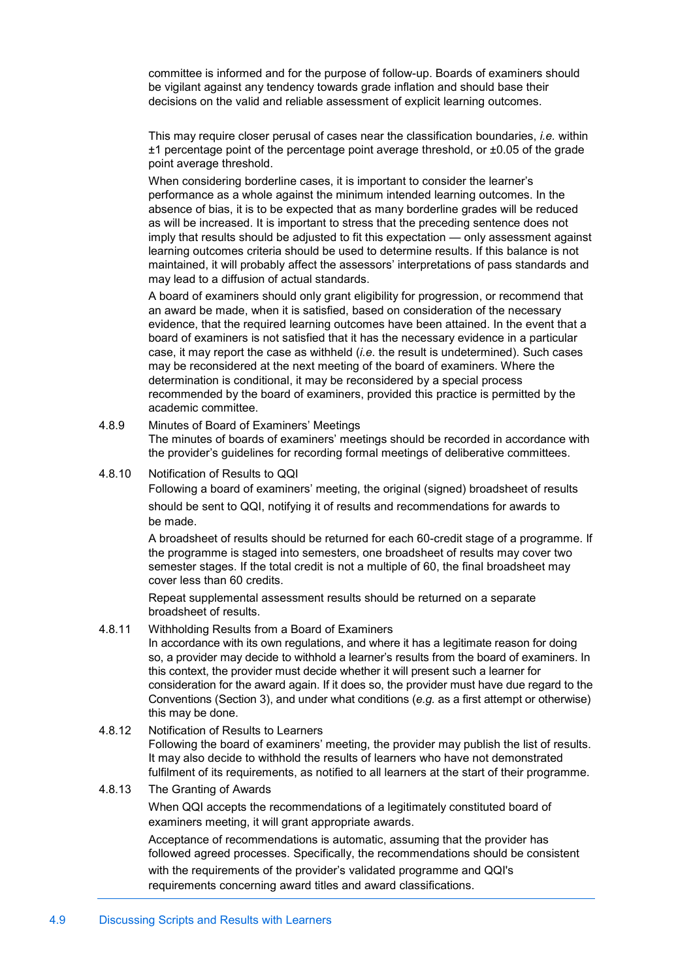committee is informed and for the purpose of follow-up. Boards of examiners should be vigilant against any tendency towards grade inflation and should base their decisions on the valid and reliable assessment of explicit learning outcomes.

 This may require closer perusal of cases near the classification boundaries, *i.e.* within ±1 percentage point of the percentage point average threshold, or ±0.05 of the grade point average threshold.

 When considering borderline cases, it is important to consider the learner's performance as a whole against the minimum intended learning outcomes. In the absence of bias, it is to be expected that as many borderline grades will be reduced as will be increased. It is important to stress that the preceding sentence does not imply that results should be adjusted to fit this expectation — only assessment against learning outcomes criteria should be used to determine results. If this balance is not maintained, it will probably affect the assessors' interpretations of pass standards and may lead to a diffusion of actual standards.

 A board of examiners should only grant eligibility for progression, or recommend that an award be made, when it is satisfied, based on consideration of the necessary evidence, that the required learning outcomes have been attained. In the event that a board of examiners is not satisfied that it has the necessary evidence in a particular case, it may report the case as withheld (*i.e.* the result is undetermined). Such cases may be reconsidered at the next meeting of the board of examiners. Where the determination is conditional, it may be reconsidered by a special process recommended by the board of examiners, provided this practice is permitted by the academic committee.

- 4.8.9 Minutes of Board of Examiners' Meetings The minutes of boards of examiners' meetings should be recorded in accordance with the provider's guidelines for recording formal meetings of deliberative committees.
- 4.8.10 Notification of Results to QQI

 Following a board of examiners' meeting, the original (signed) broadsheet of results should be sent to QQI, notifying it of results and recommendations for awards to be made.

 A broadsheet of results should be returned for each 60-credit stage of a programme. If the programme is staged into semesters, one broadsheet of results may cover two semester stages. If the total credit is not a multiple of 60, the final broadsheet may cover less than 60 credits.

 Repeat supplemental assessment results should be returned on a separate broadsheet of results.

# 4.8.11 Withholding Results from a Board of Examiners

 In accordance with its own regulations, and where it has a legitimate reason for doing so, a provider may decide to withhold a learner's results from the board of examiners. In this context, the provider must decide whether it will present such a learner for consideration for the award again. If it does so, the provider must have due regard to the Conventions (Section 3), and under what conditions (*e.g.* as a first attempt or otherwise) this may be done.

#### 4.8.12 Notification of Results to Learners

 Following the board of examiners' meeting, the provider may publish the list of results. It may also decide to withhold the results of learners who have not demonstrated fulfilment of its requirements, as notified to all learners at the start of their programme.

#### 4.8.13 The Granting of Awards

 When QQI accepts the recommendations of a legitimately constituted board of examiners meeting, it will grant appropriate awards.

 Acceptance of recommendations is automatic, assuming that the provider has followed agreed processes. Specifically, the recommendations should be consistent with the requirements of the provider's validated programme and QQI's requirements concerning award titles and award classifications.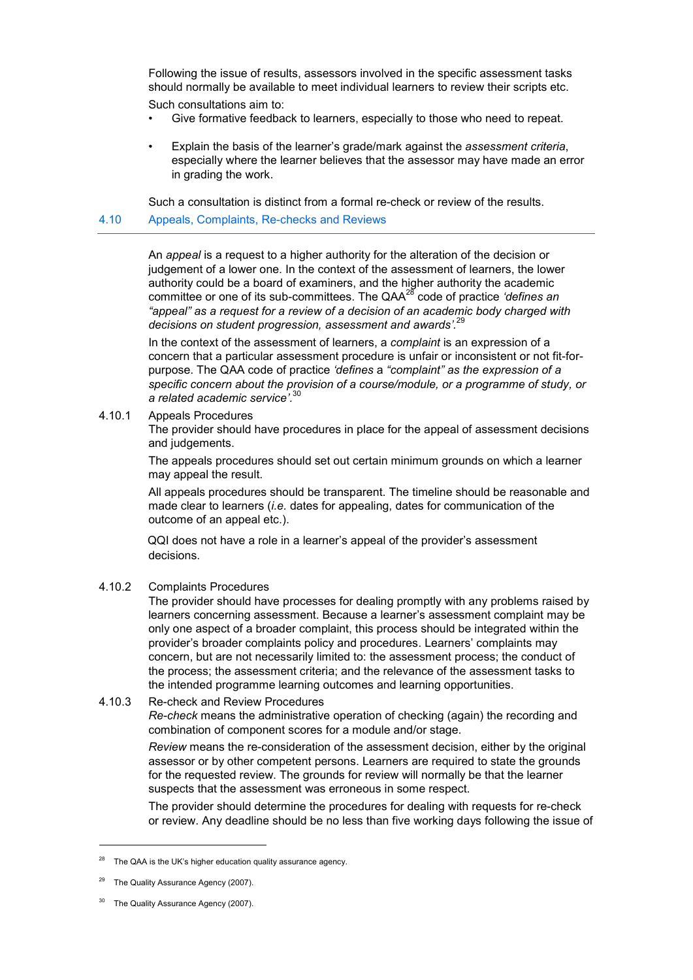Following the issue of results, assessors involved in the specific assessment tasks should normally be available to meet individual learners to review their scripts etc. Such consultations aim to:

- Give formative feedback to learners, especially to those who need to repeat.
- Explain the basis of the learner's grade/mark against the *assessment criteria*, especially where the learner believes that the assessor may have made an error in grading the work.

Such a consultation is distinct from a formal re-check or review of the results.

### 4.10 Appeals, Complaints, Re-checks and Reviews

 An *appeal* is a request to a higher authority for the alteration of the decision or judgement of a lower one. In the context of the assessment of learners, the lower authority could be a board of examiners, and the higher authority the academic committee or one of its sub-committees. The QAA<sup>28</sup> code of practice *'defines an "appeal" as a request for a review of a decision of an academic body charged with decisions on student progression, assessment and awards'.*<sup>29</sup>

 In the context of the assessment of learners, a *complaint* is an expression of a concern that a particular assessment procedure is unfair or inconsistent or not fit-forpurpose. The QAA code of practice *'defines* a *"complaint" as the expression of a specific concern about the provision of a course/module, or a programme of study, or a related academic service'.*<sup>30</sup>

4.10.1 Appeals Procedures

 The provider should have procedures in place for the appeal of assessment decisions and judgements.

 The appeals procedures should set out certain minimum grounds on which a learner may appeal the result.

 All appeals procedures should be transparent. The timeline should be reasonable and made clear to learners (*i.e.* dates for appealing, dates for communication of the outcome of an appeal etc.).

 QQI does not have a role in a learner's appeal of the provider's assessment decisions.

# 4.10.2 Complaints Procedures

 The provider should have processes for dealing promptly with any problems raised by learners concerning assessment. Because a learner's assessment complaint may be only one aspect of a broader complaint, this process should be integrated within the provider's broader complaints policy and procedures. Learners' complaints may concern, but are not necessarily limited to: the assessment process; the conduct of the process; the assessment criteria; and the relevance of the assessment tasks to the intended programme learning outcomes and learning opportunities.

#### 4.10.3 Re-check and Review Procedures

 *Re-check* means the administrative operation of checking (again) the recording and combination of component scores for a module and/or stage.

 *Review* means the re-consideration of the assessment decision, either by the original assessor or by other competent persons. Learners are required to state the grounds for the requested review. The grounds for review will normally be that the learner suspects that the assessment was erroneous in some respect.

 The provider should determine the procedures for dealing with requests for re-check or review. Any deadline should be no less than five working days following the issue of

j

The QAA is the UK's higher education quality assurance agency.

The Quality Assurance Agency (2007).

The Quality Assurance Agency (2007).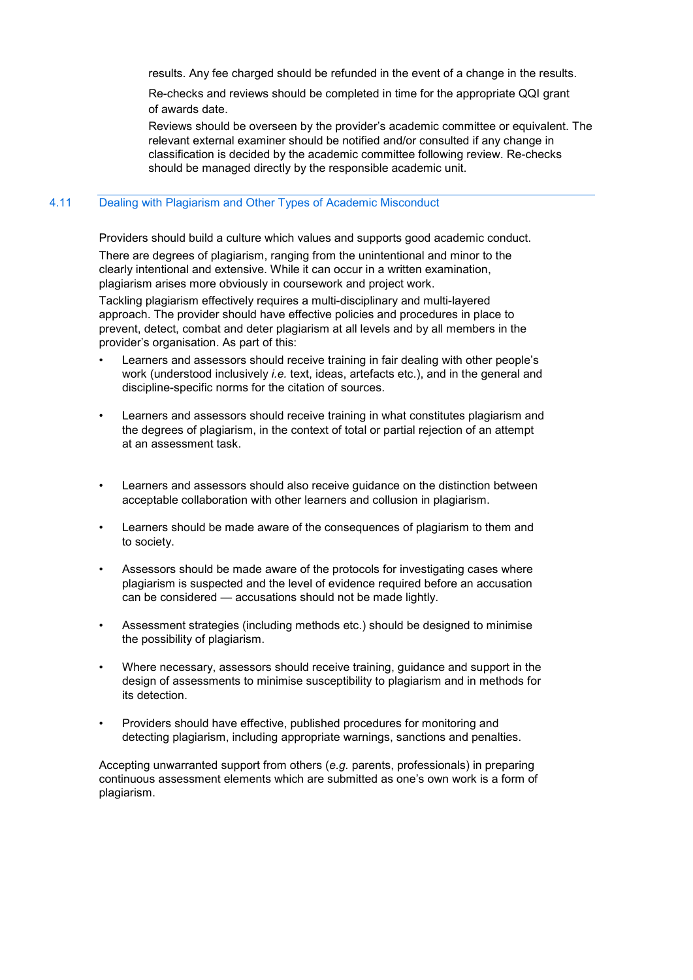results. Any fee charged should be refunded in the event of a change in the results.

 Re-checks and reviews should be completed in time for the appropriate QQI grant of awards date.

 Reviews should be overseen by the provider's academic committee or equivalent. The relevant external examiner should be notified and/or consulted if any change in classification is decided by the academic committee following review. Re-checks should be managed directly by the responsible academic unit.

#### 4.11 Dealing with Plagiarism and Other Types of Academic Misconduct

Providers should build a culture which values and supports good academic conduct.

 There are degrees of plagiarism, ranging from the unintentional and minor to the clearly intentional and extensive. While it can occur in a written examination, plagiarism arises more obviously in coursework and project work.

 Tackling plagiarism effectively requires a multi-disciplinary and multi-layered approach. The provider should have effective policies and procedures in place to prevent, detect, combat and deter plagiarism at all levels and by all members in the provider's organisation. As part of this:

- Learners and assessors should receive training in fair dealing with other people's work (understood inclusively *i.e.* text, ideas, artefacts etc.), and in the general and discipline-specific norms for the citation of sources.
- Learners and assessors should receive training in what constitutes plagiarism and the degrees of plagiarism, in the context of total or partial rejection of an attempt at an assessment task.
- Learners and assessors should also receive guidance on the distinction between acceptable collaboration with other learners and collusion in plagiarism.
- Learners should be made aware of the consequences of plagiarism to them and to society.
- Assessors should be made aware of the protocols for investigating cases where plagiarism is suspected and the level of evidence required before an accusation can be considered — accusations should not be made lightly.
- Assessment strategies (including methods etc.) should be designed to minimise the possibility of plagiarism.
- Where necessary, assessors should receive training, guidance and support in the design of assessments to minimise susceptibility to plagiarism and in methods for its detection.
- Providers should have effective, published procedures for monitoring and detecting plagiarism, including appropriate warnings, sanctions and penalties.

 Accepting unwarranted support from others (*e.g.* parents, professionals) in preparing continuous assessment elements which are submitted as one's own work is a form of plagiarism.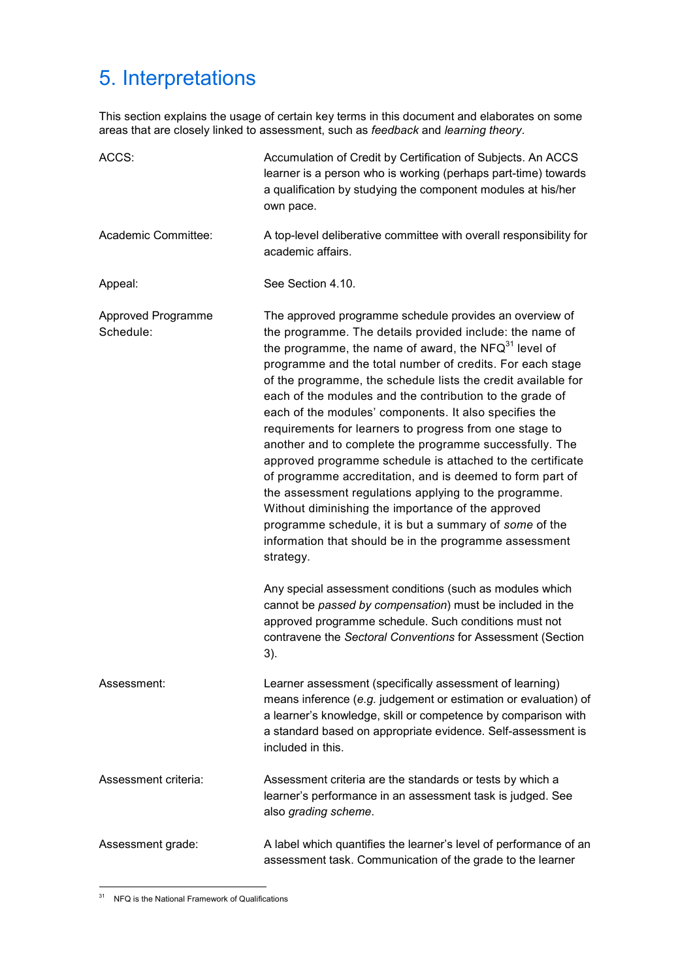# 5. Interpretations

This section explains the usage of certain key terms in this document and elaborates on some areas that are closely linked to assessment, such as *feedback* and *learning theory*.

| ACCS:                           | Accumulation of Credit by Certification of Subjects. An ACCS<br>learner is a person who is working (perhaps part-time) towards<br>a qualification by studying the component modules at his/her<br>own pace.                                                                                                                                                                                                                                                                                                                                                                                                                                                                                                                                                                                                                                                                                                                           |  |
|---------------------------------|---------------------------------------------------------------------------------------------------------------------------------------------------------------------------------------------------------------------------------------------------------------------------------------------------------------------------------------------------------------------------------------------------------------------------------------------------------------------------------------------------------------------------------------------------------------------------------------------------------------------------------------------------------------------------------------------------------------------------------------------------------------------------------------------------------------------------------------------------------------------------------------------------------------------------------------|--|
| Academic Committee:             | A top-level deliberative committee with overall responsibility for<br>academic affairs.                                                                                                                                                                                                                                                                                                                                                                                                                                                                                                                                                                                                                                                                                                                                                                                                                                               |  |
| Appeal:                         | See Section 4.10.                                                                                                                                                                                                                                                                                                                                                                                                                                                                                                                                                                                                                                                                                                                                                                                                                                                                                                                     |  |
| Approved Programme<br>Schedule: | The approved programme schedule provides an overview of<br>the programme. The details provided include: the name of<br>the programme, the name of award, the $NFA^{31}$ level of<br>programme and the total number of credits. For each stage<br>of the programme, the schedule lists the credit available for<br>each of the modules and the contribution to the grade of<br>each of the modules' components. It also specifies the<br>requirements for learners to progress from one stage to<br>another and to complete the programme successfully. The<br>approved programme schedule is attached to the certificate<br>of programme accreditation, and is deemed to form part of<br>the assessment regulations applying to the programme.<br>Without diminishing the importance of the approved<br>programme schedule, it is but a summary of some of the<br>information that should be in the programme assessment<br>strategy. |  |
|                                 | Any special assessment conditions (such as modules which<br>cannot be passed by compensation) must be included in the<br>approved programme schedule. Such conditions must not<br>contravene the Sectoral Conventions for Assessment (Section<br>3).                                                                                                                                                                                                                                                                                                                                                                                                                                                                                                                                                                                                                                                                                  |  |
| Assessment:                     | Learner assessment (specifically assessment of learning)<br>means inference (e.g. judgement or estimation or evaluation) of<br>a learner's knowledge, skill or competence by comparison with<br>a standard based on appropriate evidence. Self-assessment is<br>included in this.                                                                                                                                                                                                                                                                                                                                                                                                                                                                                                                                                                                                                                                     |  |
| Assessment criteria:            | Assessment criteria are the standards or tests by which a<br>learner's performance in an assessment task is judged. See<br>also grading scheme.                                                                                                                                                                                                                                                                                                                                                                                                                                                                                                                                                                                                                                                                                                                                                                                       |  |
| Assessment grade:               | A label which quantifies the learner's level of performance of an<br>assessment task. Communication of the grade to the learner                                                                                                                                                                                                                                                                                                                                                                                                                                                                                                                                                                                                                                                                                                                                                                                                       |  |

 $\overline{a}$ <sup>31</sup> NFQ is the National Framework of Qualifications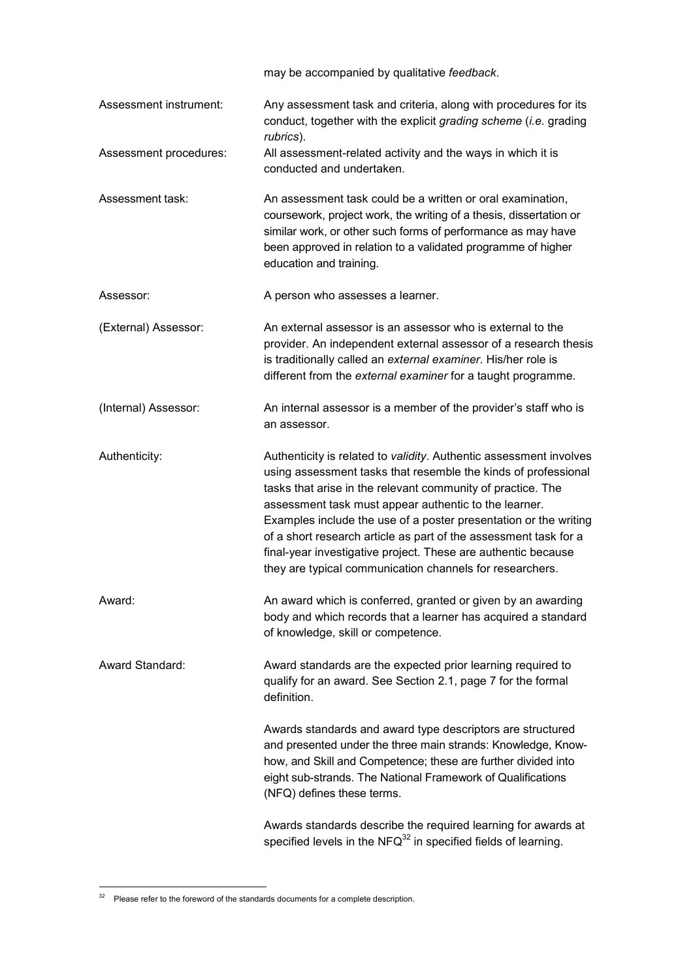|                        | may be accompanied by qualitative feedback.                                                                                                                                                                                                                                                                                                                                                                                                                                                                                       |  |
|------------------------|-----------------------------------------------------------------------------------------------------------------------------------------------------------------------------------------------------------------------------------------------------------------------------------------------------------------------------------------------------------------------------------------------------------------------------------------------------------------------------------------------------------------------------------|--|
| Assessment instrument: | Any assessment task and criteria, along with procedures for its<br>conduct, together with the explicit grading scheme (i.e. grading<br>rubrics).                                                                                                                                                                                                                                                                                                                                                                                  |  |
| Assessment procedures: | All assessment-related activity and the ways in which it is<br>conducted and undertaken.                                                                                                                                                                                                                                                                                                                                                                                                                                          |  |
| Assessment task:       | An assessment task could be a written or oral examination,<br>coursework, project work, the writing of a thesis, dissertation or<br>similar work, or other such forms of performance as may have<br>been approved in relation to a validated programme of higher<br>education and training.                                                                                                                                                                                                                                       |  |
| Assessor:              | A person who assesses a learner.                                                                                                                                                                                                                                                                                                                                                                                                                                                                                                  |  |
| (External) Assessor:   | An external assessor is an assessor who is external to the<br>provider. An independent external assessor of a research thesis<br>is traditionally called an external examiner. His/her role is<br>different from the external examiner for a taught programme.                                                                                                                                                                                                                                                                    |  |
| (Internal) Assessor:   | An internal assessor is a member of the provider's staff who is<br>an assessor.                                                                                                                                                                                                                                                                                                                                                                                                                                                   |  |
| Authenticity:          | Authenticity is related to validity. Authentic assessment involves<br>using assessment tasks that resemble the kinds of professional<br>tasks that arise in the relevant community of practice. The<br>assessment task must appear authentic to the learner.<br>Examples include the use of a poster presentation or the writing<br>of a short research article as part of the assessment task for a<br>final-year investigative project. These are authentic because<br>they are typical communication channels for researchers. |  |
| Award:                 | An award which is conferred, granted or given by an awarding<br>body and which records that a learner has acquired a standard<br>of knowledge, skill or competence.                                                                                                                                                                                                                                                                                                                                                               |  |
| Award Standard:        | Award standards are the expected prior learning required to<br>qualify for an award. See Section 2.1, page 7 for the formal<br>definition.                                                                                                                                                                                                                                                                                                                                                                                        |  |
|                        | Awards standards and award type descriptors are structured<br>and presented under the three main strands: Knowledge, Know-<br>how, and Skill and Competence; these are further divided into<br>eight sub-strands. The National Framework of Qualifications<br>(NFQ) defines these terms.                                                                                                                                                                                                                                          |  |
|                        | Awards standards describe the required learning for awards at<br>specified levels in the $NFG^{32}$ in specified fields of learning.                                                                                                                                                                                                                                                                                                                                                                                              |  |

 $\overline{a}$  $32$  Please refer to the foreword of the standards documents for a complete description.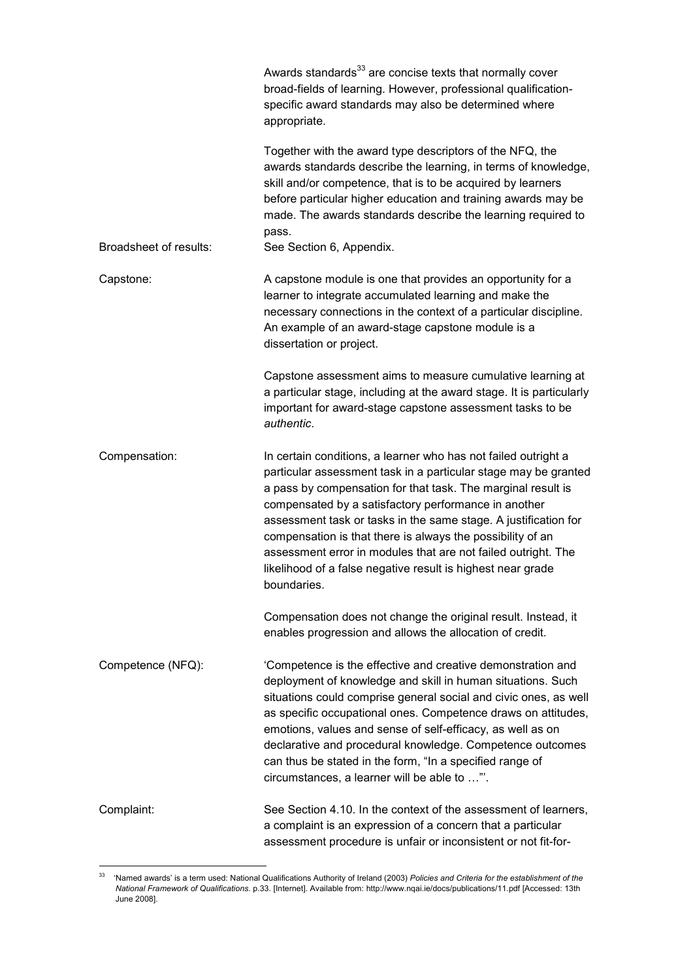|                        | Awards standards <sup>33</sup> are concise texts that normally cover<br>broad-fields of learning. However, professional qualification-<br>specific award standards may also be determined where<br>appropriate.                                                                                                                                                                                                                                                                                                                           |
|------------------------|-------------------------------------------------------------------------------------------------------------------------------------------------------------------------------------------------------------------------------------------------------------------------------------------------------------------------------------------------------------------------------------------------------------------------------------------------------------------------------------------------------------------------------------------|
|                        | Together with the award type descriptors of the NFQ, the<br>awards standards describe the learning, in terms of knowledge,<br>skill and/or competence, that is to be acquired by learners<br>before particular higher education and training awards may be<br>made. The awards standards describe the learning required to<br>pass.                                                                                                                                                                                                       |
| Broadsheet of results: | See Section 6, Appendix.                                                                                                                                                                                                                                                                                                                                                                                                                                                                                                                  |
| Capstone:              | A capstone module is one that provides an opportunity for a<br>learner to integrate accumulated learning and make the<br>necessary connections in the context of a particular discipline.<br>An example of an award-stage capstone module is a<br>dissertation or project.                                                                                                                                                                                                                                                                |
|                        | Capstone assessment aims to measure cumulative learning at<br>a particular stage, including at the award stage. It is particularly<br>important for award-stage capstone assessment tasks to be<br>authentic.                                                                                                                                                                                                                                                                                                                             |
| Compensation:          | In certain conditions, a learner who has not failed outright a<br>particular assessment task in a particular stage may be granted<br>a pass by compensation for that task. The marginal result is<br>compensated by a satisfactory performance in another<br>assessment task or tasks in the same stage. A justification for<br>compensation is that there is always the possibility of an<br>assessment error in modules that are not failed outright. The<br>likelihood of a false negative result is highest near grade<br>boundaries. |
|                        | Compensation does not change the original result. Instead, it<br>enables progression and allows the allocation of credit.                                                                                                                                                                                                                                                                                                                                                                                                                 |
| Competence (NFQ):      | 'Competence is the effective and creative demonstration and<br>deployment of knowledge and skill in human situations. Such<br>situations could comprise general social and civic ones, as well<br>as specific occupational ones. Competence draws on attitudes,<br>emotions, values and sense of self-efficacy, as well as on<br>declarative and procedural knowledge. Competence outcomes<br>can thus be stated in the form, "In a specified range of<br>circumstances, a learner will be able to ".                                     |
| Complaint:             | See Section 4.10. In the context of the assessment of learners,<br>a complaint is an expression of a concern that a particular<br>assessment procedure is unfair or inconsistent or not fit-for-                                                                                                                                                                                                                                                                                                                                          |

<sup>33</sup> 'Named awards' is a term used: National Qualifications Authority of Ireland (2003) *Policies and Criteria for the establishment of the National Framework of Qualifications*. p.33. [Internet]. Available from: http://www.nqai.ie/docs/publications/11.pdf [Accessed: 13th June 2008].

 $\overline{a}$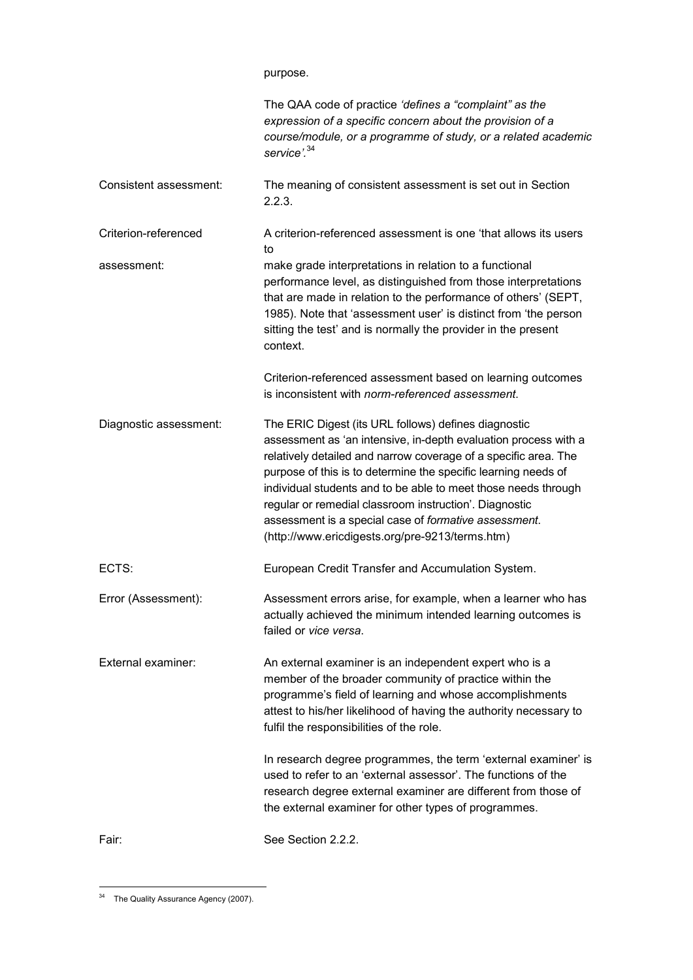|                        | The QAA code of practice 'defines a "complaint" as the<br>expression of a specific concern about the provision of a<br>course/module, or a programme of study, or a related academic<br>service'. <sup>34</sup>                                                                                                                                                                                                                                                                                      |
|------------------------|------------------------------------------------------------------------------------------------------------------------------------------------------------------------------------------------------------------------------------------------------------------------------------------------------------------------------------------------------------------------------------------------------------------------------------------------------------------------------------------------------|
| Consistent assessment: | The meaning of consistent assessment is set out in Section<br>2.2.3.                                                                                                                                                                                                                                                                                                                                                                                                                                 |
| Criterion-referenced   | A criterion-referenced assessment is one 'that allows its users<br>to                                                                                                                                                                                                                                                                                                                                                                                                                                |
| assessment:            | make grade interpretations in relation to a functional<br>performance level, as distinguished from those interpretations<br>that are made in relation to the performance of others' (SEPT,<br>1985). Note that 'assessment user' is distinct from 'the person<br>sitting the test' and is normally the provider in the present<br>context.                                                                                                                                                           |
|                        | Criterion-referenced assessment based on learning outcomes<br>is inconsistent with <i>norm-referenced</i> assessment.                                                                                                                                                                                                                                                                                                                                                                                |
| Diagnostic assessment: | The ERIC Digest (its URL follows) defines diagnostic<br>assessment as 'an intensive, in-depth evaluation process with a<br>relatively detailed and narrow coverage of a specific area. The<br>purpose of this is to determine the specific learning needs of<br>individual students and to be able to meet those needs through<br>regular or remedial classroom instruction'. Diagnostic<br>assessment is a special case of formative assessment.<br>(http://www.ericdigests.org/pre-9213/terms.htm) |
| ECTS:                  | European Credit Transfer and Accumulation System.                                                                                                                                                                                                                                                                                                                                                                                                                                                    |
| Error (Assessment):    | Assessment errors arise, for example, when a learner who has<br>actually achieved the minimum intended learning outcomes is<br>failed or vice versa.                                                                                                                                                                                                                                                                                                                                                 |
| External examiner:     | An external examiner is an independent expert who is a<br>member of the broader community of practice within the<br>programme's field of learning and whose accomplishments<br>attest to his/her likelihood of having the authority necessary to<br>fulfil the responsibilities of the role.                                                                                                                                                                                                         |
|                        | In research degree programmes, the term 'external examiner' is<br>used to refer to an 'external assessor'. The functions of the<br>research degree external examiner are different from those of<br>the external examiner for other types of programmes.                                                                                                                                                                                                                                             |
| Fair:                  | See Section 2.2.2.                                                                                                                                                                                                                                                                                                                                                                                                                                                                                   |

 $\overline{a}$ <sup>34</sup> The Quality Assurance Agency (2007).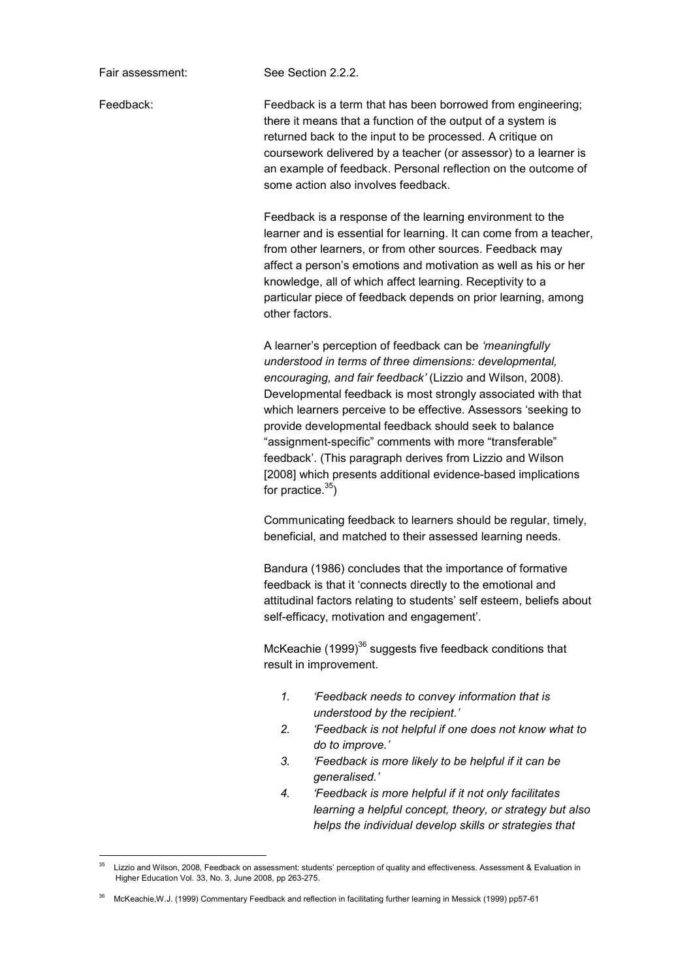Fair assessment: See Section 2.2.2.

Feedback: Feedback is a term that has been borrowed from engineering; there it means that a function of the output of a system is returned back to the input to be processed. A critique on coursework delivered by a teacher (or assessor) to a learner is an example of feedback. Personal reflection on the outcome of some action also involves feedback.

> Feedback is a response of the learning environment to the learner and is essential for learning. It can come from a teacher, from other learners, or from other sources. Feedback may affect a person's emotions and motivation as well as his or her knowledge, all of which affect learning. Receptivity to a particular piece of feedback depends on prior learning, among other factors.

A learner's perception of feedback can be *'meaningfully understood in terms of three dimensions: developmental, encouraging, and fair feedback'* (Lizzio and Wilson, 2008). Developmental feedback is most strongly associated with that which learners perceive to be effective. Assessors 'seeking to provide developmental feedback should seek to balance "assignment-specific" comments with more "transferable" feedback'. (This paragraph derives from Lizzio and Wilson [2008] which presents additional evidence-based implications for practice. $35$ )

 Communicating feedback to learners should be regular, timely, beneficial, and matched to their assessed learning needs.

 Bandura (1986) concludes that the importance of formative feedback is that it 'connects directly to the emotional and attitudinal factors relating to students' self esteem, beliefs about self-efficacy, motivation and engagement'.

McKeachie (1999)<sup>36</sup> suggests five feedback conditions that result in improvement.

- *1. 'Feedback needs to convey information that is understood by the recipient.'*
- *2. 'Feedback is not helpful if one does not know what to do to improve.'*
- *3. 'Feedback is more likely to be helpful if it can be generalised.'*
- *4. 'Feedback is more helpful if it not only facilitates learning a helpful concept, theory, or strategy but also helps the individual develop skills or strategies that*

<sup>-</sup>Lizzio and Wilson, 2008, Feedback on assessment: students' perception of quality and effectiveness. Assessment & Evaluation in Higher Education Vol. 33, No. 3, June 2008, pp 263-275.

<sup>36</sup> McKeachie,W.J. (1999) Commentary Feedback and reflection in facilitating further learning in Messick (1999) pp57-61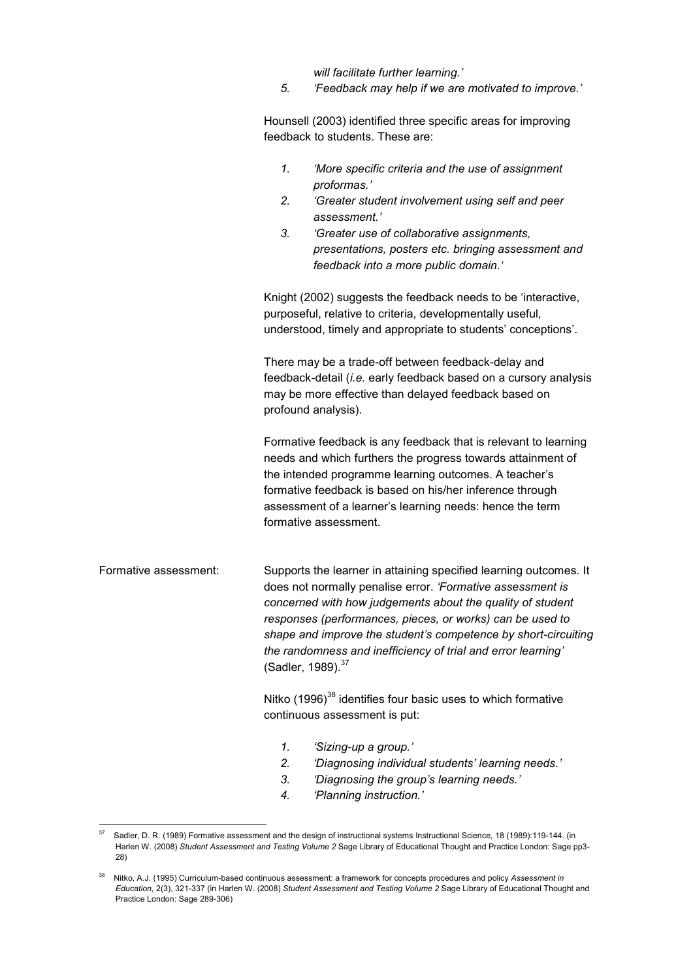*will facilitate further learning.'* 

*5. 'Feedback may help if we are motivated to improve.'* 

Hounsell (2003) identified three specific areas for improving feedback to students. These are:

*1. 'More specific criteria and the use of assignment proformas.' 2. 'Greater student involvement using self and peer assessment.' 3. 'Greater use of collaborative assignments, presentations, posters etc. bringing assessment and* 

*feedback into a more public domain.'* 

Knight (2002) suggests the feedback needs to be 'interactive, purposeful, relative to criteria, developmentally useful, understood, timely and appropriate to students' conceptions'.

There may be a trade-off between feedback-delay and feedback-detail (*i.e.* early feedback based on a cursory analysis may be more effective than delayed feedback based on profound analysis).

Formative feedback is any feedback that is relevant to learning needs and which furthers the progress towards attainment of the intended programme learning outcomes. A teacher's formative feedback is based on his/her inference through assessment of a learner's learning needs: hence the term formative assessment.

Formative assessment: Supports the learner in attaining specified learning outcomes. It does not normally penalise error. *'Formative assessment is concerned with how judgements about the quality of student responses (performances, pieces, or works) can be used to shape and improve the student's competence by short-circuiting the randomness and inefficiency of trial and error learning'*  (Sadler, 1989).<sup>37</sup>

> Nitko (1996)<sup>38</sup> identifies four basic uses to which formative continuous assessment is put:

- *1. 'Sizing-up a group.'*
- *2. 'Diagnosing individual students' learning needs.'*
- *3. 'Diagnosing the group's learning needs.'*
- *4. 'Planning instruction.'*

<sup>-</sup><sup>37</sup> Sadler, D. R. (1989) Formative assessment and the design of instructional systems Instructional Science, 18 (1989):119-144. (in Harlen W. (2008) *Student Assessment and Testing Volume 2* Sage Library of Educational Thought and Practice London: Sage pp3- 28)

<sup>38</sup> Nitko, A.J. (1995) Curriculum-based continuous assessment: a framework for concepts procedures and policy *Assessment in Education*, 2(3), 321-337 (in Harlen W. (2008) *Student Assessment and Testing Volume 2* Sage Library of Educational Thought and Practice London: Sage 289-306)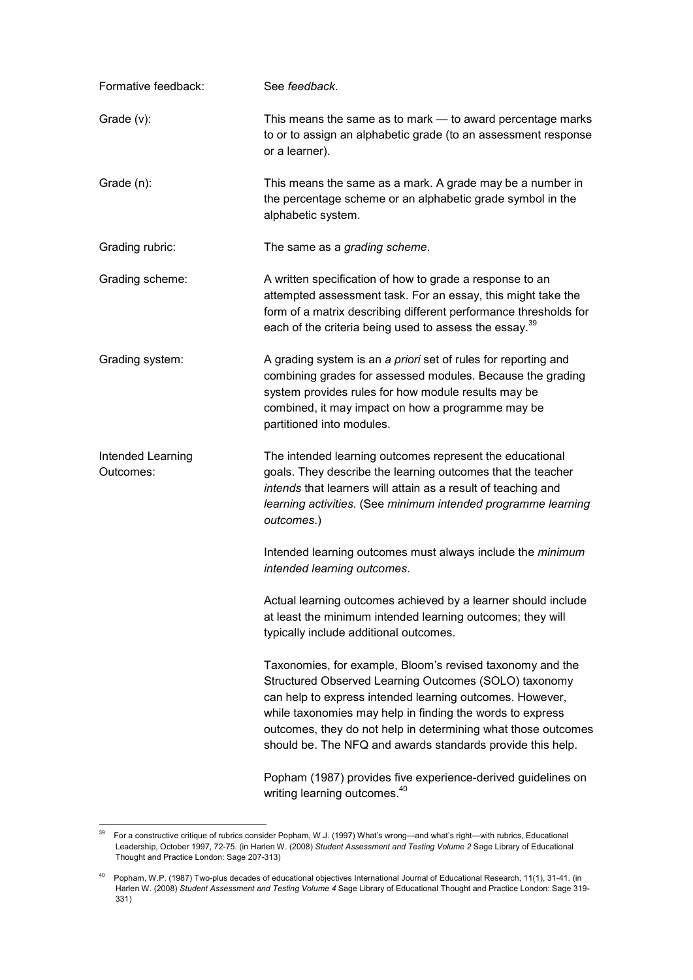| Formative feedback:            | See feedback.                                                                                                                                                                                                                                                                                                                                                              |  |  |
|--------------------------------|----------------------------------------------------------------------------------------------------------------------------------------------------------------------------------------------------------------------------------------------------------------------------------------------------------------------------------------------------------------------------|--|--|
| Grade $(v)$ :                  | This means the same as to mark - to award percentage marks<br>to or to assign an alphabetic grade (to an assessment response<br>or a learner).                                                                                                                                                                                                                             |  |  |
| Grade (n):                     | This means the same as a mark. A grade may be a number in<br>the percentage scheme or an alphabetic grade symbol in the<br>alphabetic system.                                                                                                                                                                                                                              |  |  |
| Grading rubric:                | The same as a grading scheme.                                                                                                                                                                                                                                                                                                                                              |  |  |
| Grading scheme:                | A written specification of how to grade a response to an<br>attempted assessment task. For an essay, this might take the<br>form of a matrix describing different performance thresholds for<br>each of the criteria being used to assess the essay. <sup>39</sup>                                                                                                         |  |  |
| Grading system:                | A grading system is an a priori set of rules for reporting and<br>combining grades for assessed modules. Because the grading<br>system provides rules for how module results may be<br>combined, it may impact on how a programme may be<br>partitioned into modules.                                                                                                      |  |  |
| Intended Learning<br>Outcomes: | The intended learning outcomes represent the educational<br>goals. They describe the learning outcomes that the teacher<br>intends that learners will attain as a result of teaching and<br>learning activities. (See minimum intended programme learning<br>outcomes.)                                                                                                    |  |  |
|                                | Intended learning outcomes must always include the minimum<br>intended learning outcomes.                                                                                                                                                                                                                                                                                  |  |  |
|                                | Actual learning outcomes achieved by a learner should include<br>at least the minimum intended learning outcomes; they will<br>typically include additional outcomes.                                                                                                                                                                                                      |  |  |
|                                | Taxonomies, for example, Bloom's revised taxonomy and the<br>Structured Observed Learning Outcomes (SOLO) taxonomy<br>can help to express intended learning outcomes. However,<br>while taxonomies may help in finding the words to express<br>outcomes, they do not help in determining what those outcomes<br>should be. The NFQ and awards standards provide this help. |  |  |
|                                | Popham (1987) provides five experience-derived guidelines on<br>writing learning outcomes. <sup>40</sup>                                                                                                                                                                                                                                                                   |  |  |

<sup>39</sup> <sup>39</sup> For a constructive critique of rubrics consider Popham, W.J. (1997) What's wrong—and what's right—with rubrics, Educational Leadership, October 1997, 72-75. (in Harlen W. (2008) *Student Assessment and Testing Volume 2* Sage Library of Educational Thought and Practice London: Sage 207-313)

<sup>40</sup> Popham, W.P. (1987) Two-plus decades of educational objectives International Journal of Educational Research, 11(1), 31-41. (in Harlen W. (2008) *Student Assessment and Testing Volume 4* Sage Library of Educational Thought and Practice London: Sage 319- 331)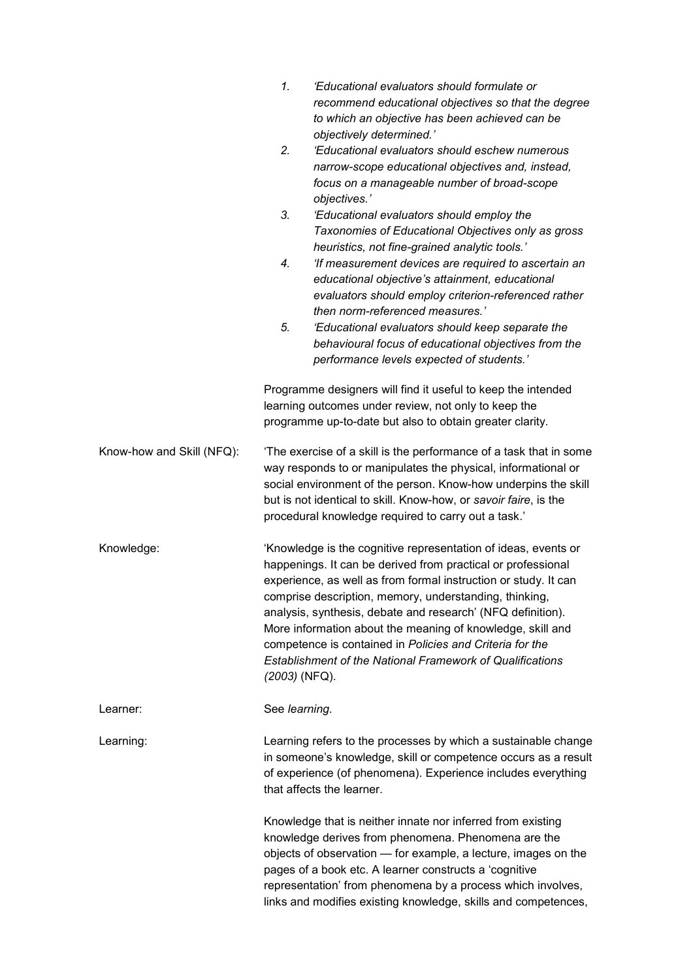|                           | 1.<br>'Educational evaluators should formulate or<br>recommend educational objectives so that the degree<br>to which an objective has been achieved can be<br>objectively determined.'<br>2.<br>'Educational evaluators should eschew numerous<br>narrow-scope educational objectives and, instead,<br>focus on a manageable number of broad-scope<br>objectives.'<br>3.<br>'Educational evaluators should employ the<br>Taxonomies of Educational Objectives only as gross<br>heuristics, not fine-grained analytic tools.'<br>4.<br>'If measurement devices are required to ascertain an<br>educational objective's attainment, educational |  |  |
|---------------------------|-----------------------------------------------------------------------------------------------------------------------------------------------------------------------------------------------------------------------------------------------------------------------------------------------------------------------------------------------------------------------------------------------------------------------------------------------------------------------------------------------------------------------------------------------------------------------------------------------------------------------------------------------|--|--|
|                           | evaluators should employ criterion-referenced rather<br>then norm-referenced measures.'<br>5.<br>'Educational evaluators should keep separate the<br>behavioural focus of educational objectives from the<br>performance levels expected of students.'                                                                                                                                                                                                                                                                                                                                                                                        |  |  |
|                           | Programme designers will find it useful to keep the intended<br>learning outcomes under review, not only to keep the<br>programme up-to-date but also to obtain greater clarity.                                                                                                                                                                                                                                                                                                                                                                                                                                                              |  |  |
| Know-how and Skill (NFQ): | The exercise of a skill is the performance of a task that in some<br>way responds to or manipulates the physical, informational or<br>social environment of the person. Know-how underpins the skill<br>but is not identical to skill. Know-how, or savoir faire, is the<br>procedural knowledge required to carry out a task.'                                                                                                                                                                                                                                                                                                               |  |  |
| Knowledge:                | 'Knowledge is the cognitive representation of ideas, events or<br>happenings. It can be derived from practical or professional<br>experience, as well as from formal instruction or study. It can<br>comprise description, memory, understanding, thinking,<br>analysis, synthesis, debate and research' (NFQ definition).<br>More information about the meaning of knowledge, skill and<br>competence is contained in Policies and Criteria for the<br><b>Establishment of the National Framework of Qualifications</b><br>(2003) (NFQ).                                                                                                     |  |  |
| Learner:                  | See learning.                                                                                                                                                                                                                                                                                                                                                                                                                                                                                                                                                                                                                                 |  |  |
| Learning:                 | Learning refers to the processes by which a sustainable change<br>in someone's knowledge, skill or competence occurs as a result<br>of experience (of phenomena). Experience includes everything<br>that affects the learner.                                                                                                                                                                                                                                                                                                                                                                                                                 |  |  |
|                           | Knowledge that is neither innate nor inferred from existing<br>knowledge derives from phenomena. Phenomena are the<br>objects of observation - for example, a lecture, images on the<br>pages of a book etc. A learner constructs a 'cognitive<br>representation' from phenomena by a process which involves,<br>links and modifies existing knowledge, skills and competences,                                                                                                                                                                                                                                                               |  |  |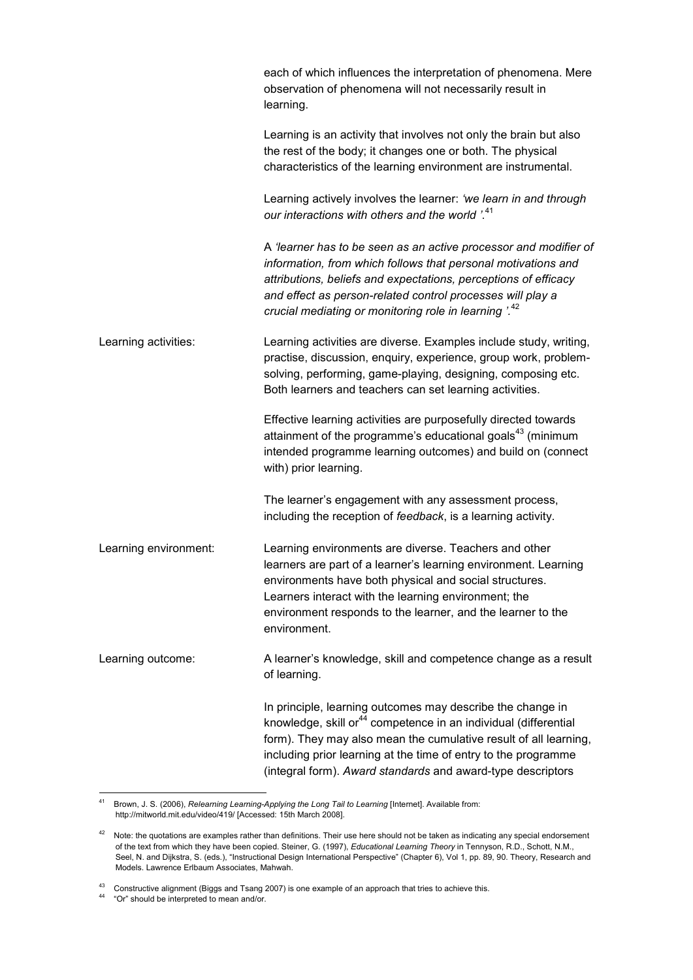|                       | each of which influences the interpretation of phenomena. Mere<br>observation of phenomena will not necessarily result in<br>learning.                                                                                                                                                                                                         |
|-----------------------|------------------------------------------------------------------------------------------------------------------------------------------------------------------------------------------------------------------------------------------------------------------------------------------------------------------------------------------------|
|                       | Learning is an activity that involves not only the brain but also<br>the rest of the body; it changes one or both. The physical<br>characteristics of the learning environment are instrumental.                                                                                                                                               |
|                       | Learning actively involves the learner: 'we learn in and through<br>our interactions with others and the world '. <sup>41</sup>                                                                                                                                                                                                                |
|                       | A 'learner has to be seen as an active processor and modifier of<br>information, from which follows that personal motivations and<br>attributions, beliefs and expectations, perceptions of efficacy<br>and effect as person-related control processes will play a<br>crucial mediating or monitoring role in learning '. <sup>42</sup>        |
| Learning activities:  | Learning activities are diverse. Examples include study, writing,<br>practise, discussion, enquiry, experience, group work, problem-<br>solving, performing, game-playing, designing, composing etc.<br>Both learners and teachers can set learning activities.                                                                                |
|                       | Effective learning activities are purposefully directed towards<br>attainment of the programme's educational goals <sup>43</sup> (minimum<br>intended programme learning outcomes) and build on (connect<br>with) prior learning.                                                                                                              |
|                       | The learner's engagement with any assessment process,<br>including the reception of feedback, is a learning activity.                                                                                                                                                                                                                          |
| Learning environment: | Learning environments are diverse. Teachers and other<br>learners are part of a learner's learning environment. Learning<br>environments have both physical and social structures.<br>Learners interact with the learning environment; the<br>environment responds to the learner, and the learner to the<br>environment.                      |
| Learning outcome:     | A learner's knowledge, skill and competence change as a result<br>of learning.                                                                                                                                                                                                                                                                 |
|                       | In principle, learning outcomes may describe the change in<br>knowledge, skill or <sup>44</sup> competence in an individual (differential<br>form). They may also mean the cumulative result of all learning,<br>including prior learning at the time of entry to the programme<br>(integral form). Award standards and award-type descriptors |

 $41$ <sup>41</sup> Brown, J. S. (2006), *Relearning Learning-Applying the Long Tail to Learning* [Internet]. Available from: http://mitworld.mit.edu/video/419/ [Accessed: 15th March 2008].

<sup>42</sup> Note: the quotations are examples rather than definitions. Their use here should not be taken as indicating any special endorsement of the text from which they have been copied. Steiner, G. (1997), *Educational Learning Theory* in Tennyson, R.D., Schott, N.M., Seel, N. and Dijkstra, S. (eds.), "Instructional Design International Perspective" (Chapter 6), Vol 1, pp. 89, 90. Theory, Research and Models. Lawrence Erlbaum Associates, Mahwah.

<sup>43</sup> Constructive alignment (Biggs and Tsang 2007) is one example of an approach that tries to achieve this.

<sup>&</sup>lt;sup>44</sup> "Or" should be interpreted to mean and/or.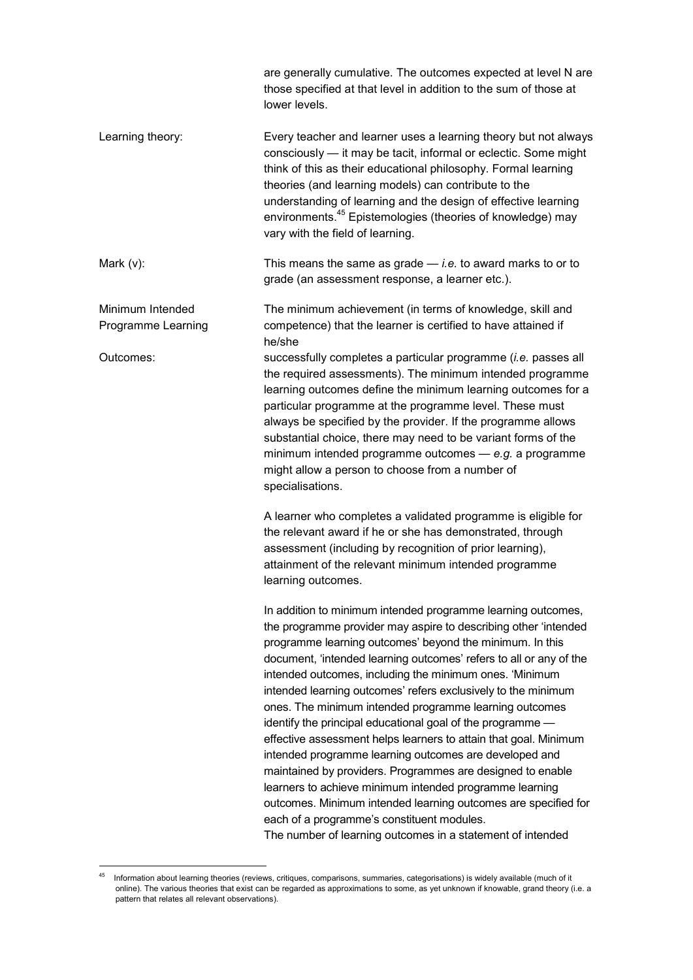are generally cumulative. The outcomes expected at level N are those specified at that level in addition to the sum of those at lower levels. Learning theory: Every teacher and learner uses a learning theory but not always consciously — it may be tacit, informal or eclectic. Some might think of this as their educational philosophy. Formal learning theories (and learning models) can contribute to the understanding of learning and the design of effective learning environments.<sup>45</sup> Epistemologies (theories of knowledge) may vary with the field of learning. Mark (v): This means the same as grade — *i.e.* to award marks to or to grade (an assessment response, a learner etc.). Minimum Intended The minimum achievement (in terms of knowledge, skill and Programme Learning competence) that the learner is certified to have attained if he/she Outcomes: successfully completes a particular programme (*i.e.* passes all the required assessments). The minimum intended programme learning outcomes define the minimum learning outcomes for a particular programme at the programme level. These must always be specified by the provider. If the programme allows substantial choice, there may need to be variant forms of the minimum intended programme outcomes — *e.g.* a programme might allow a person to choose from a number of specialisations. A learner who completes a validated programme is eligible for the relevant award if he or she has demonstrated, through assessment (including by recognition of prior learning), attainment of the relevant minimum intended programme learning outcomes. In addition to minimum intended programme learning outcomes, the programme provider may aspire to describing other 'intended programme learning outcomes' beyond the minimum. In this document, 'intended learning outcomes' refers to all or any of the intended outcomes, including the minimum ones. 'Minimum intended learning outcomes' refers exclusively to the minimum ones. The minimum intended programme learning outcomes identify the principal educational goal of the programme effective assessment helps learners to attain that goal. Minimum intended programme learning outcomes are developed and maintained by providers. Programmes are designed to enable learners to achieve minimum intended programme learning outcomes. Minimum intended learning outcomes are specified for each of a programme's constituent modules. The number of learning outcomes in a statement of intended

 $\overline{a}$ Information about learning theories (reviews, critiques, comparisons, summaries, categorisations) is widely available (much of it online). The various theories that exist can be regarded as approximations to some, as yet unknown if knowable, grand theory (i.e. a pattern that relates all relevant observations).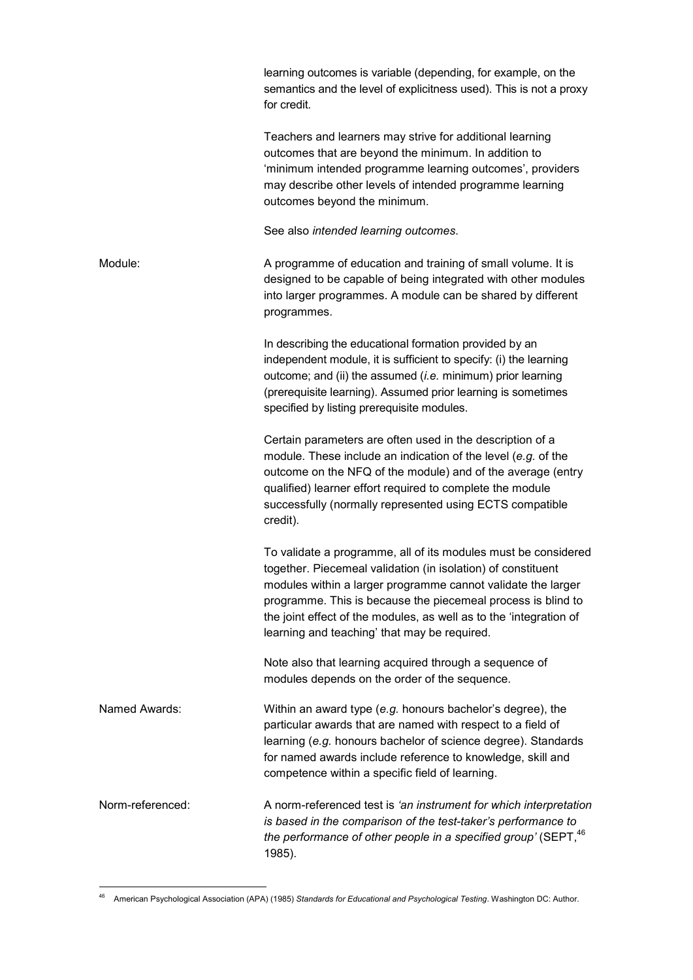|                  | learning outcomes is variable (depending, for example, on the<br>semantics and the level of explicitness used). This is not a proxy<br>for credit.                                                                                                                                                                                                                                   |
|------------------|--------------------------------------------------------------------------------------------------------------------------------------------------------------------------------------------------------------------------------------------------------------------------------------------------------------------------------------------------------------------------------------|
|                  | Teachers and learners may strive for additional learning<br>outcomes that are beyond the minimum. In addition to<br>'minimum intended programme learning outcomes', providers<br>may describe other levels of intended programme learning<br>outcomes beyond the minimum.                                                                                                            |
|                  | See also intended learning outcomes.                                                                                                                                                                                                                                                                                                                                                 |
| Module:          | A programme of education and training of small volume. It is<br>designed to be capable of being integrated with other modules<br>into larger programmes. A module can be shared by different<br>programmes.                                                                                                                                                                          |
|                  | In describing the educational formation provided by an<br>independent module, it is sufficient to specify: (i) the learning<br>outcome; and (ii) the assumed $(i.e.$ minimum) prior learning<br>(prerequisite learning). Assumed prior learning is sometimes<br>specified by listing prerequisite modules.                                                                           |
|                  | Certain parameters are often used in the description of a<br>module. These include an indication of the level (e.g. of the<br>outcome on the NFQ of the module) and of the average (entry<br>qualified) learner effort required to complete the module<br>successfully (normally represented using ECTS compatible<br>credit).                                                       |
|                  | To validate a programme, all of its modules must be considered<br>together. Piecemeal validation (in isolation) of constituent<br>modules within a larger programme cannot validate the larger<br>programme. This is because the piecemeal process is blind to<br>the joint effect of the modules, as well as to the 'integration of<br>learning and teaching' that may be required. |
|                  | Note also that learning acquired through a sequence of<br>modules depends on the order of the sequence.                                                                                                                                                                                                                                                                              |
| Named Awards:    | Within an award type (e.g. honours bachelor's degree), the<br>particular awards that are named with respect to a field of<br>learning (e.g. honours bachelor of science degree). Standards<br>for named awards include reference to knowledge, skill and<br>competence within a specific field of learning.                                                                          |
| Norm-referenced: | A norm-referenced test is 'an instrument for which interpretation<br>is based in the comparison of the test-taker's performance to<br>the performance of other people in a specified group' (SEPT, <sup>46</sup><br>1985).                                                                                                                                                           |

 $\overline{a}$ <sup>46</sup> American Psychological Association (APA) (1985) *Standards for Educational and Psychological Testing*. Washington DC: Author.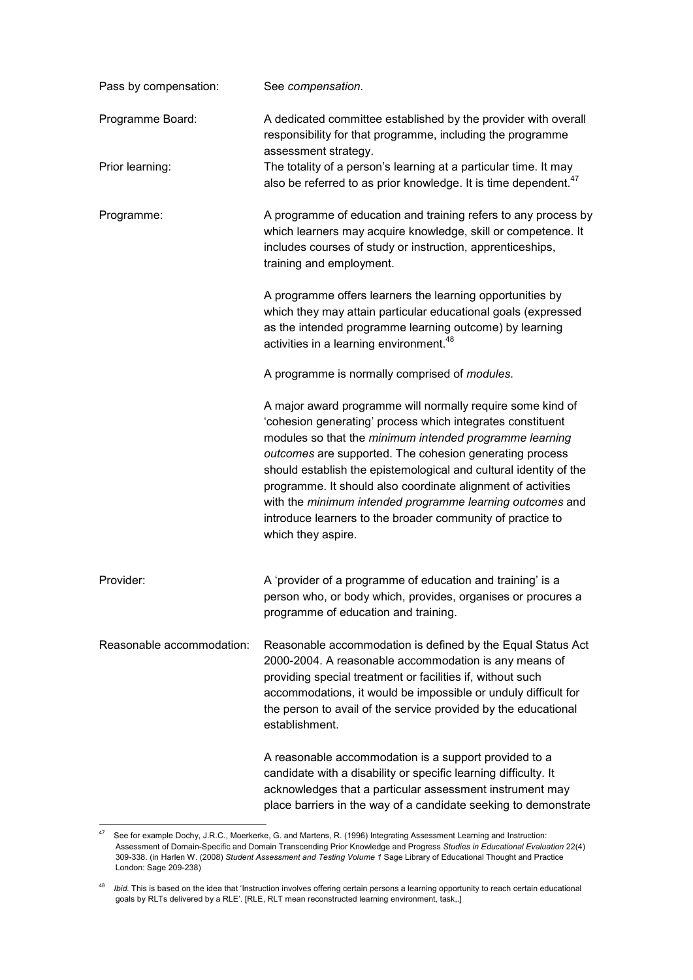| Pass by compensation:     | See compensation.                                                                                                                                                                                                                                                                                                                                                                                                                                                                                                                    |  |  |
|---------------------------|--------------------------------------------------------------------------------------------------------------------------------------------------------------------------------------------------------------------------------------------------------------------------------------------------------------------------------------------------------------------------------------------------------------------------------------------------------------------------------------------------------------------------------------|--|--|
| Programme Board:          | A dedicated committee established by the provider with overall<br>responsibility for that programme, including the programme<br>assessment strategy.                                                                                                                                                                                                                                                                                                                                                                                 |  |  |
| Prior learning:           | The totality of a person's learning at a particular time. It may<br>also be referred to as prior knowledge. It is time dependent. <sup>47</sup>                                                                                                                                                                                                                                                                                                                                                                                      |  |  |
| Programme:                | A programme of education and training refers to any process by<br>which learners may acquire knowledge, skill or competence. It<br>includes courses of study or instruction, apprenticeships,<br>training and employment.                                                                                                                                                                                                                                                                                                            |  |  |
|                           | A programme offers learners the learning opportunities by<br>which they may attain particular educational goals (expressed<br>as the intended programme learning outcome) by learning<br>activities in a learning environment. <sup>48</sup>                                                                                                                                                                                                                                                                                         |  |  |
|                           | A programme is normally comprised of <i>modules</i> .                                                                                                                                                                                                                                                                                                                                                                                                                                                                                |  |  |
|                           | A major award programme will normally require some kind of<br>'cohesion generating' process which integrates constituent<br>modules so that the minimum intended programme learning<br>outcomes are supported. The cohesion generating process<br>should establish the epistemological and cultural identity of the<br>programme. It should also coordinate alignment of activities<br>with the minimum intended programme learning outcomes and<br>introduce learners to the broader community of practice to<br>which they aspire. |  |  |
| Provider:                 | A 'provider of a programme of education and training' is a<br>person who, or body which, provides, organises or procures a<br>programme of education and training.                                                                                                                                                                                                                                                                                                                                                                   |  |  |
| Reasonable accommodation: | Reasonable accommodation is defined by the Equal Status Act<br>2000-2004. A reasonable accommodation is any means of<br>providing special treatment or facilities if, without such<br>accommodations, it would be impossible or unduly difficult for<br>the person to avail of the service provided by the educational<br>establishment.                                                                                                                                                                                             |  |  |
|                           | A reasonable accommodation is a support provided to a<br>candidate with a disability or specific learning difficulty. It<br>acknowledges that a particular assessment instrument may<br>place barriers in the way of a candidate seeking to demonstrate                                                                                                                                                                                                                                                                              |  |  |

 $47$ See for example Dochy, J.R.C., Moerkerke, G. and Martens, R. (1996) Integrating Assessment Learning and Instruction: Assessment of Domain-Specific and Domain Transcending Prior Knowledge and Progress *Studies in Educational Evaluation* 22(4) 309-338. (in Harlen W. (2008) *Student Assessment and Testing Volume 1* Sage Library of Educational Thought and Practice London: Sage 209-238)

<sup>48</sup> *Ibid.* This is based on the idea that 'Instruction involves offering certain persons a learning opportunity to reach certain educational goals by RLTs delivered by a RLE'. [RLE, RLT mean reconstructed learning environment, task,.]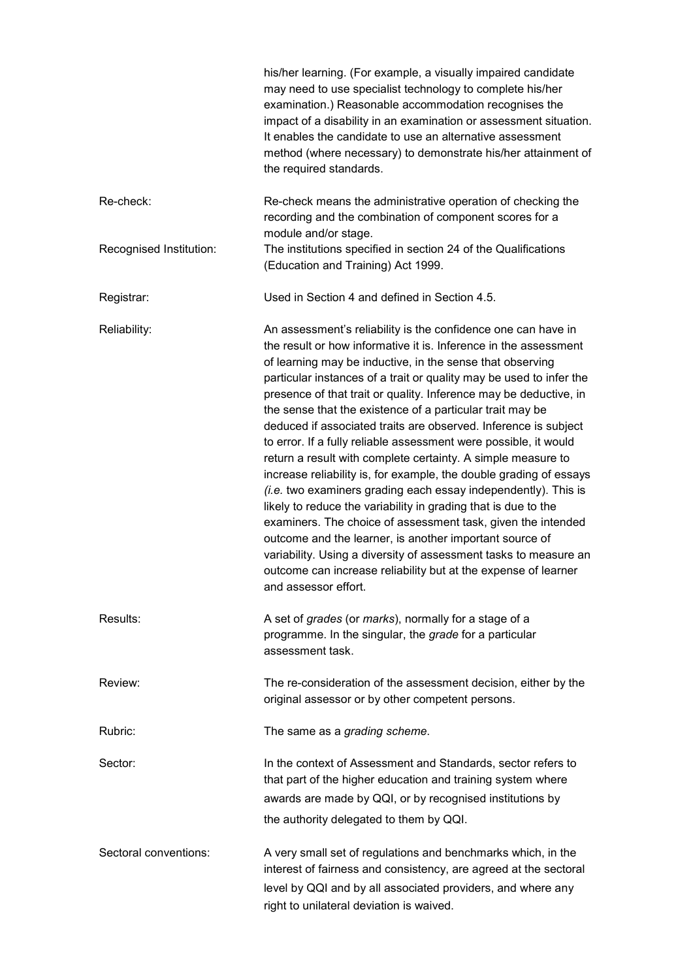|                         | his/her learning. (For example, a visually impaired candidate<br>may need to use specialist technology to complete his/her<br>examination.) Reasonable accommodation recognises the<br>impact of a disability in an examination or assessment situation.<br>It enables the candidate to use an alternative assessment<br>method (where necessary) to demonstrate his/her attainment of<br>the required standards.                                                                                                                                                                                                                                                                                                                                                                                                                                                                                                                                                                                                                                                                                                 |
|-------------------------|-------------------------------------------------------------------------------------------------------------------------------------------------------------------------------------------------------------------------------------------------------------------------------------------------------------------------------------------------------------------------------------------------------------------------------------------------------------------------------------------------------------------------------------------------------------------------------------------------------------------------------------------------------------------------------------------------------------------------------------------------------------------------------------------------------------------------------------------------------------------------------------------------------------------------------------------------------------------------------------------------------------------------------------------------------------------------------------------------------------------|
| Re-check:               | Re-check means the administrative operation of checking the<br>recording and the combination of component scores for a<br>module and/or stage.                                                                                                                                                                                                                                                                                                                                                                                                                                                                                                                                                                                                                                                                                                                                                                                                                                                                                                                                                                    |
| Recognised Institution: | The institutions specified in section 24 of the Qualifications<br>(Education and Training) Act 1999.                                                                                                                                                                                                                                                                                                                                                                                                                                                                                                                                                                                                                                                                                                                                                                                                                                                                                                                                                                                                              |
| Registrar:              | Used in Section 4 and defined in Section 4.5.                                                                                                                                                                                                                                                                                                                                                                                                                                                                                                                                                                                                                                                                                                                                                                                                                                                                                                                                                                                                                                                                     |
| Reliability:            | An assessment's reliability is the confidence one can have in<br>the result or how informative it is. Inference in the assessment<br>of learning may be inductive, in the sense that observing<br>particular instances of a trait or quality may be used to infer the<br>presence of that trait or quality. Inference may be deductive, in<br>the sense that the existence of a particular trait may be<br>deduced if associated traits are observed. Inference is subject<br>to error. If a fully reliable assessment were possible, it would<br>return a result with complete certainty. A simple measure to<br>increase reliability is, for example, the double grading of essays<br>(i.e. two examiners grading each essay independently). This is<br>likely to reduce the variability in grading that is due to the<br>examiners. The choice of assessment task, given the intended<br>outcome and the learner, is another important source of<br>variability. Using a diversity of assessment tasks to measure an<br>outcome can increase reliability but at the expense of learner<br>and assessor effort. |
| Results:                | A set of grades (or marks), normally for a stage of a<br>programme. In the singular, the grade for a particular<br>assessment task.                                                                                                                                                                                                                                                                                                                                                                                                                                                                                                                                                                                                                                                                                                                                                                                                                                                                                                                                                                               |
| Review:                 | The re-consideration of the assessment decision, either by the<br>original assessor or by other competent persons.                                                                                                                                                                                                                                                                                                                                                                                                                                                                                                                                                                                                                                                                                                                                                                                                                                                                                                                                                                                                |
| Rubric:                 | The same as a grading scheme.                                                                                                                                                                                                                                                                                                                                                                                                                                                                                                                                                                                                                                                                                                                                                                                                                                                                                                                                                                                                                                                                                     |
| Sector:                 | In the context of Assessment and Standards, sector refers to<br>that part of the higher education and training system where<br>awards are made by QQI, or by recognised institutions by<br>the authority delegated to them by QQI.                                                                                                                                                                                                                                                                                                                                                                                                                                                                                                                                                                                                                                                                                                                                                                                                                                                                                |
| Sectoral conventions:   | A very small set of regulations and benchmarks which, in the<br>interest of fairness and consistency, are agreed at the sectoral<br>level by QQI and by all associated providers, and where any<br>right to unilateral deviation is waived.                                                                                                                                                                                                                                                                                                                                                                                                                                                                                                                                                                                                                                                                                                                                                                                                                                                                       |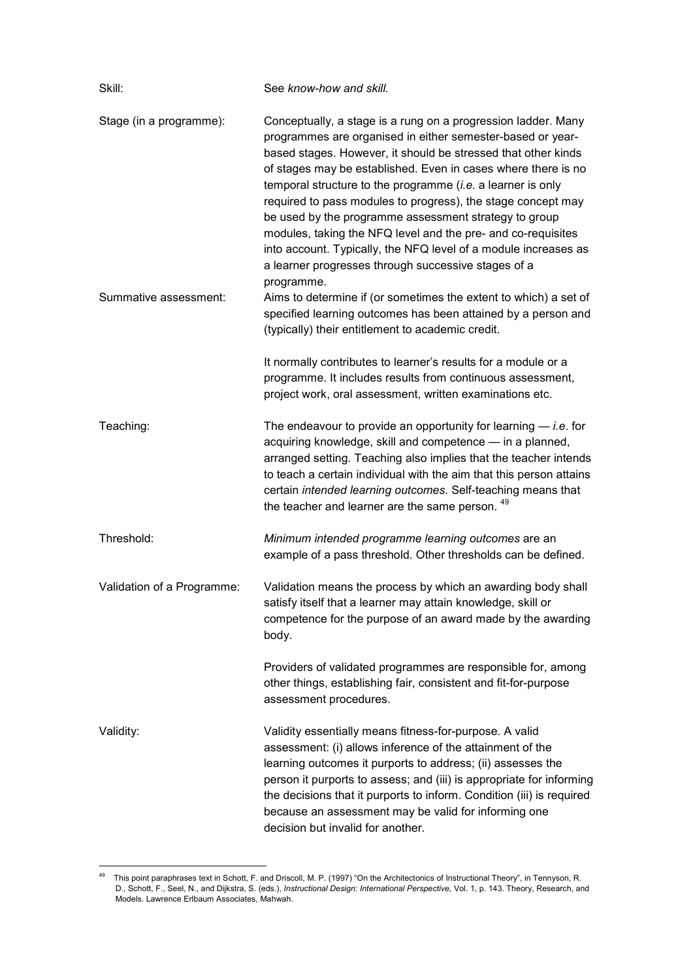| Skill:                     | See know-how and skill.                                                                                                                                                                                                                                                                                                                                                                                                                                                                                                                                                                                                                                         |  |  |
|----------------------------|-----------------------------------------------------------------------------------------------------------------------------------------------------------------------------------------------------------------------------------------------------------------------------------------------------------------------------------------------------------------------------------------------------------------------------------------------------------------------------------------------------------------------------------------------------------------------------------------------------------------------------------------------------------------|--|--|
| Stage (in a programme):    | Conceptually, a stage is a rung on a progression ladder. Many<br>programmes are organised in either semester-based or year-<br>based stages. However, it should be stressed that other kinds<br>of stages may be established. Even in cases where there is no<br>temporal structure to the programme $(i.e.$ a learner is only<br>required to pass modules to progress), the stage concept may<br>be used by the programme assessment strategy to group<br>modules, taking the NFQ level and the pre- and co-requisites<br>into account. Typically, the NFQ level of a module increases as<br>a learner progresses through successive stages of a<br>programme. |  |  |
| Summative assessment:      | Aims to determine if (or sometimes the extent to which) a set of<br>specified learning outcomes has been attained by a person and<br>(typically) their entitlement to academic credit.                                                                                                                                                                                                                                                                                                                                                                                                                                                                          |  |  |
|                            | It normally contributes to learner's results for a module or a<br>programme. It includes results from continuous assessment,<br>project work, oral assessment, written examinations etc.                                                                                                                                                                                                                                                                                                                                                                                                                                                                        |  |  |
| Teaching:                  | The endeavour to provide an opportunity for learning $-$ <i>i.e.</i> for<br>acquiring knowledge, skill and competence - in a planned,<br>arranged setting. Teaching also implies that the teacher intends<br>to teach a certain individual with the aim that this person attains<br>certain intended learning outcomes. Self-teaching means that<br>the teacher and learner are the same person. 49                                                                                                                                                                                                                                                             |  |  |
| Threshold:                 | Minimum intended programme learning outcomes are an<br>example of a pass threshold. Other thresholds can be defined.                                                                                                                                                                                                                                                                                                                                                                                                                                                                                                                                            |  |  |
| Validation of a Programme: | Validation means the process by which an awarding body shall<br>satisfy itself that a learner may attain knowledge, skill or<br>competence for the purpose of an award made by the awarding<br>body.                                                                                                                                                                                                                                                                                                                                                                                                                                                            |  |  |
|                            | Providers of validated programmes are responsible for, among<br>other things, establishing fair, consistent and fit-for-purpose<br>assessment procedures.                                                                                                                                                                                                                                                                                                                                                                                                                                                                                                       |  |  |
| Validity:                  | Validity essentially means fitness-for-purpose. A valid<br>assessment: (i) allows inference of the attainment of the<br>learning outcomes it purports to address; (ii) assesses the<br>person it purports to assess; and (iii) is appropriate for informing<br>the decisions that it purports to inform. Condition (iii) is required<br>because an assessment may be valid for informing one<br>decision but invalid for another.                                                                                                                                                                                                                               |  |  |

 $\overline{a}$ <sup>49</sup> This point paraphrases text in Schott, F. and Driscoll, M. P. (1997) "On the Architectonics of Instructional Theory", in Tennyson, R. D., Schott, F., Seel, N., and Dijkstra, S. (eds.), *Instructional Design: International Perspective,* Vol. 1, p. 143. Theory, Research, and Models. Lawrence Erlbaum Associates, Mahwah.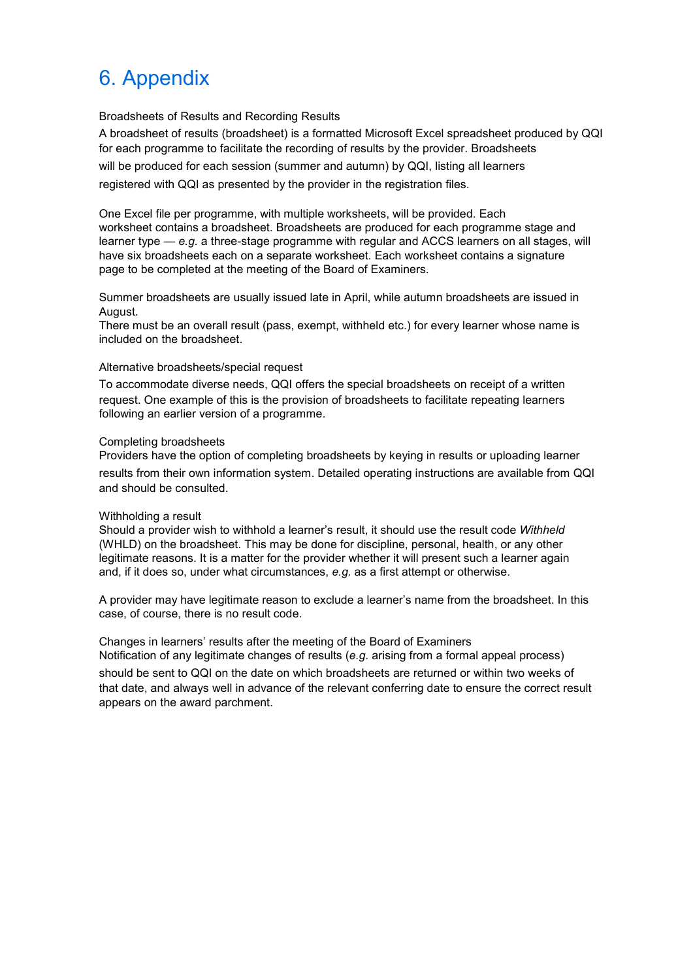# 6. Appendix

Broadsheets of Results and Recording Results

A broadsheet of results (broadsheet) is a formatted Microsoft Excel spreadsheet produced by QQI for each programme to facilitate the recording of results by the provider. Broadsheets will be produced for each session (summer and autumn) by QQI, listing all learners registered with QQI as presented by the provider in the registration files.

One Excel file per programme, with multiple worksheets, will be provided. Each worksheet contains a broadsheet. Broadsheets are produced for each programme stage and learner type — *e.g.* a three-stage programme with regular and ACCS learners on all stages, will have six broadsheets each on a separate worksheet. Each worksheet contains a signature page to be completed at the meeting of the Board of Examiners.

Summer broadsheets are usually issued late in April, while autumn broadsheets are issued in August.

There must be an overall result (pass, exempt, withheld etc.) for every learner whose name is included on the broadsheet.

#### Alternative broadsheets/special request

To accommodate diverse needs, QQI offers the special broadsheets on receipt of a written request. One example of this is the provision of broadsheets to facilitate repeating learners following an earlier version of a programme.

#### Completing broadsheets

Providers have the option of completing broadsheets by keying in results or uploading learner results from their own information system. Detailed operating instructions are available from QQI and should be consulted.

#### Withholding a result

Should a provider wish to withhold a learner's result, it should use the result code *Withheld* (WHLD) on the broadsheet. This may be done for discipline, personal, health, or any other legitimate reasons. It is a matter for the provider whether it will present such a learner again and, if it does so, under what circumstances, *e.g.* as a first attempt or otherwise.

A provider may have legitimate reason to exclude a learner's name from the broadsheet. In this case, of course, there is no result code.

Changes in learners' results after the meeting of the Board of Examiners Notification of any legitimate changes of results (*e.g.* arising from a formal appeal process)

should be sent to QQI on the date on which broadsheets are returned or within two weeks of that date, and always well in advance of the relevant conferring date to ensure the correct result appears on the award parchment.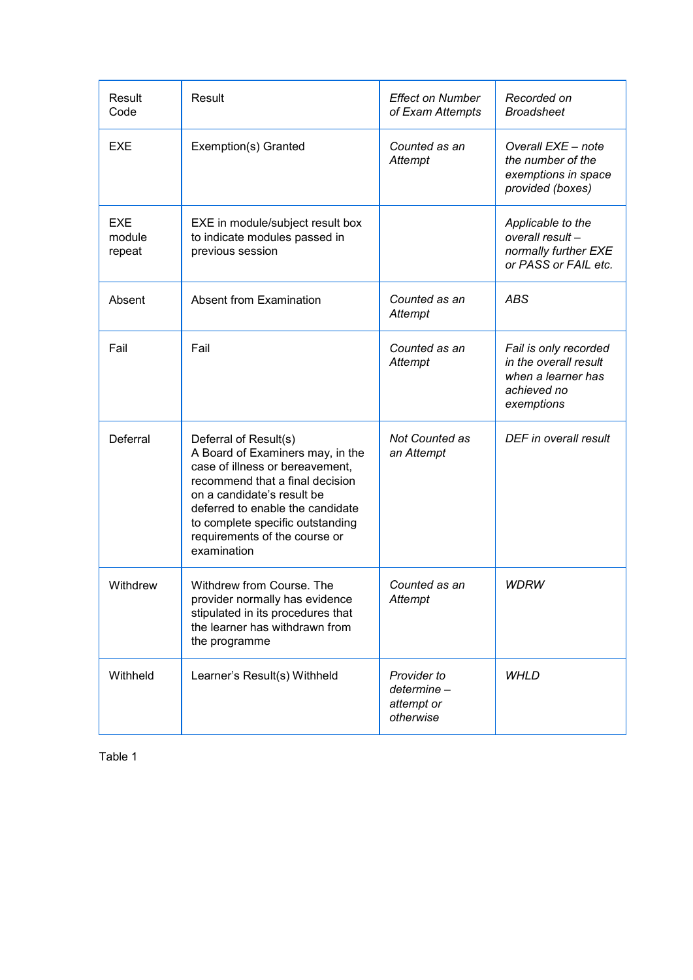| <b>Result</b><br>Code   | Result                                                                                                                                                                                                                                                                                | <b>Effect on Number</b><br>of Exam Attempts          | Recorded on<br><b>Broadsheet</b>                                                                  |
|-------------------------|---------------------------------------------------------------------------------------------------------------------------------------------------------------------------------------------------------------------------------------------------------------------------------------|------------------------------------------------------|---------------------------------------------------------------------------------------------------|
| <b>EXE</b>              | Exemption(s) Granted                                                                                                                                                                                                                                                                  | Counted as an<br>Attempt                             | Overall EXE - note<br>the number of the<br>exemptions in space<br>provided (boxes)                |
| EXE<br>module<br>repeat | EXE in module/subject result box<br>to indicate modules passed in<br>previous session                                                                                                                                                                                                 |                                                      | Applicable to the<br>overall result -<br>normally further EXE<br>or PASS or FAIL etc.             |
| Absent                  | Absent from Examination                                                                                                                                                                                                                                                               | Counted as an<br>Attempt                             | ABS                                                                                               |
| Fail                    | Fail                                                                                                                                                                                                                                                                                  | Counted as an<br>Attempt                             | Fail is only recorded<br>in the overall result<br>when a learner has<br>achieved no<br>exemptions |
| Deferral                | Deferral of Result(s)<br>A Board of Examiners may, in the<br>case of illness or bereavement,<br>recommend that a final decision<br>on a candidate's result be<br>deferred to enable the candidate<br>to complete specific outstanding<br>requirements of the course or<br>examination | Not Counted as<br>an Attempt                         | DEF in overall result                                                                             |
| Withdrew                | Withdrew from Course. The<br>provider normally has evidence<br>stipulated in its procedures that<br>the learner has withdrawn from<br>the programme                                                                                                                                   | Counted as an<br>Attempt                             | <b>WDRW</b>                                                                                       |
| Withheld                | Learner's Result(s) Withheld                                                                                                                                                                                                                                                          | Provider to<br>determine-<br>attempt or<br>otherwise | <b>WHLD</b>                                                                                       |

Table 1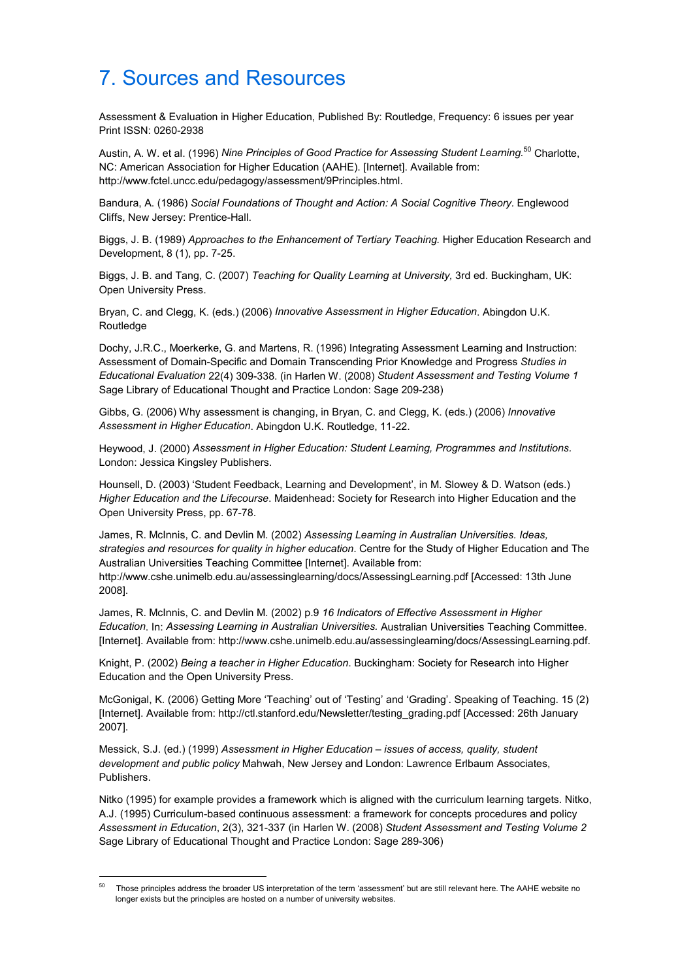# 7. Sources and Resources

Assessment & Evaluation in Higher Education, Published By: Routledge, Frequency: 6 issues per year Print ISSN: 0260-2938

Austin, A. W. et al. (1996) *Nine Principles of Good Practice for Assessing Student Learning.*<sup>50</sup> Charlotte, NC: American Association for Higher Education (AAHE). [Internet]. Available from: http://www.fctel.uncc.edu/pedagogy/assessment/9Principles.html.

Bandura, A. (1986) *Social Foundations of Thought and Action: A Social Cognitive Theory.* Englewood Cliffs, New Jersey: Prentice-Hall.

Biggs, J. B. (1989) *Approaches to the Enhancement of Tertiary Teaching.* Higher Education Research and Development, 8 (1), pp. 7-25.

Biggs, J. B. and Tang, C. (2007) *Teaching for Quality Learning at University,* 3rd ed. Buckingham, UK: Open University Press.

Bryan, C. and Clegg, K. (eds.) (2006) *Innovative Assessment in Higher Education*. Abingdon U.K. Routledge

Dochy, J.R.C., Moerkerke, G. and Martens, R. (1996) Integrating Assessment Learning and Instruction: Assessment of Domain-Specific and Domain Transcending Prior Knowledge and Progress *Studies in Educational Evaluation* 22(4) 309-338. (in Harlen W. (2008) *Student Assessment and Testing Volume 1*  Sage Library of Educational Thought and Practice London: Sage 209-238)

Gibbs, G. (2006) Why assessment is changing, in Bryan, C. and Clegg, K. (eds.) (2006) *Innovative Assessment in Higher Education*. Abingdon U.K. Routledge, 11-22.

Heywood, J. (2000) *Assessment in Higher Education: Student Learning, Programmes and Institutions.*  London: Jessica Kingsley Publishers.

Hounsell, D. (2003) 'Student Feedback, Learning and Development', in M. Slowey & D. Watson (eds.) *Higher Education and the Lifecourse*. Maidenhead: Society for Research into Higher Education and the Open University Press, pp. 67-78.

James, R. McInnis, C. and Devlin M. (2002) *Assessing Learning in Australian Universities. Ideas, strategies and resources for quality in higher education*. Centre for the Study of Higher Education and The Australian Universities Teaching Committee [Internet]. Available from: http://www.cshe.unimelb.edu.au/assessinglearning/docs/AssessingLearning.pdf [Accessed: 13th June

2008].

James, R. McInnis, C. and Devlin M. (2002) p.9 *16 Indicators of Effective Assessment in Higher Education*. In: *Assessing Learning in Australian Universities.* Australian Universities Teaching Committee. [Internet]. Available from: http://www.cshe.unimelb.edu.au/assessinglearning/docs/AssessingLearning.pdf.

Knight, P. (2002) *Being a teacher in Higher Education*. Buckingham: Society for Research into Higher Education and the Open University Press.

McGonigal, K. (2006) Getting More 'Teaching' out of 'Testing' and 'Grading'. Speaking of Teaching. 15 (2) [Internet]. Available from: http://ctl.stanford.edu/Newsletter/testing\_grading.pdf [Accessed: 26th January 2007].

Messick, S.J. (ed.) (1999) *Assessment in Higher Education – issues of access, quality, student development and public policy* Mahwah, New Jersey and London: Lawrence Erlbaum Associates, Publishers.

Nitko (1995) for example provides a framework which is aligned with the curriculum learning targets. Nitko, A.J. (1995) Curriculum-based continuous assessment: a framework for concepts procedures and policy *Assessment in Education*, 2(3), 321-337 (in Harlen W. (2008) *Student Assessment and Testing Volume 2*  Sage Library of Educational Thought and Practice London: Sage 289-306)

 $\overline{a}$ 

<sup>50</sup> Those principles address the broader US interpretation of the term 'assessment' but are still relevant here. The AAHE website no longer exists but the principles are hosted on a number of university websites.